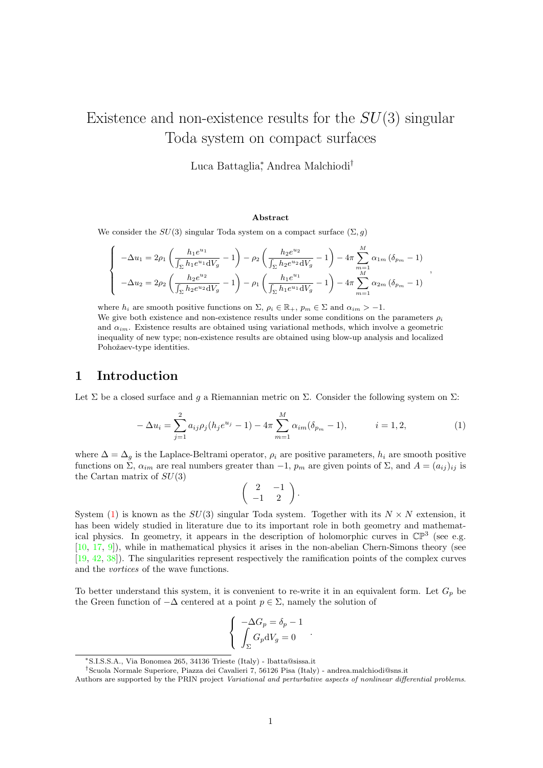# Existence and non-existence results for the  $SU(3)$  singular Toda system on compact surfaces

Luca Battaglia<sup>∗</sup> , Andrea Malchiodi†

#### Abstract

We consider the  $SU(3)$  singular Toda system on a compact surface  $(\Sigma, g)$ 

$$
\begin{cases}\n-\Delta u_1 = 2\rho_1 \left( \frac{h_1 e^{u_1}}{\int_{\Sigma} h_1 e^{u_1} dV_g} - 1 \right) - \rho_2 \left( \frac{h_2 e^{u_2}}{\int_{\Sigma} h_2 e^{u_2} dV_g} - 1 \right) - 4\pi \sum_{m=1}^M \alpha_{1m} \left( \delta_{p_m} - 1 \right) \\
-\Delta u_2 = 2\rho_2 \left( \frac{h_2 e^{u_2}}{\int_{\Sigma} h_2 e^{u_2} dV_g} - 1 \right) - \rho_1 \left( \frac{h_1 e^{u_1}}{\int_{\Sigma} h_1 e^{u_1} dV_g} - 1 \right) - 4\pi \sum_{m=1}^M \alpha_{2m} \left( \delta_{p_m} - 1 \right)\n\end{cases}
$$

where  $h_i$  are smooth positive functions on  $\Sigma$ ,  $\rho_i \in \mathbb{R}_+$ ,  $p_m \in \Sigma$  and  $\alpha_{im} > -1$ . We give both existence and non-existence results under some conditions on the parameters  $\rho_i$ and  $\alpha_{im}$ . Existence results are obtained using variational methods, which involve a geometric inequality of new type; non-existence results are obtained using blow-up analysis and localized Pohožaev-type identities.

## 1 Introduction

Let  $\Sigma$  be a closed surface and q a Riemannian metric on  $\Sigma$ . Consider the following system on  $\Sigma$ :

<span id="page-0-0"></span>
$$
-\Delta u_i = \sum_{j=1}^2 a_{ij} \rho_j (h_j e^{u_j} - 1) - 4\pi \sum_{m=1}^M \alpha_{im} (\delta_{p_m} - 1), \qquad i = 1, 2,
$$
 (1)

,

where  $\Delta = \Delta_g$  is the Laplace-Beltrami operator,  $\rho_i$  are positive parameters,  $h_i$  are smooth positive functions on  $\Sigma$ ,  $\alpha_{im}$  are real numbers greater than  $-1$ ,  $p_m$  are given points of  $\Sigma$ , and  $A = (a_{ij})_{ij}$  is the Cartan matrix of  $SU(3)$ 

$$
\left(\begin{array}{cc}2 & -1\\-1 & 2\end{array}\right).
$$

System [\(1\)](#page-0-0) is known as the  $SU(3)$  singular Toda system. Together with its  $N \times N$  extension, it has been widely studied in literature due to its important role in both geometry and mathematical physics. In geometry, it appears in the description of holomorphic curves in  $\mathbb{CP}^3$  (see e.g. [\[10,](#page-39-0) [17,](#page-39-1) [9\]](#page-39-2)), while in mathematical physics it arises in the non-abelian Chern-Simons theory (see [\[19,](#page-39-3) [42,](#page-40-0) [38\]](#page-40-1)). The singularities represent respectively the ramification points of the complex curves and the vortices of the wave functions.

To better understand this system, it is convenient to re-write it in an equivalent form. Let  $G_p$  be the Green function of  $-\Delta$  centered at a point  $p \in \Sigma$ , namely the solution of

$$
\begin{cases}\n-\Delta G_p = \delta_p - 1 \\
\int_{\Sigma} G_p \mathrm{d} V_g = 0\n\end{cases}.
$$

<sup>∗</sup>S.I.S.S.A., Via Bonomea 265, 34136 Trieste (Italy) - lbatta@sissa.it

<sup>†</sup>Scuola Normale Superiore, Piazza dei Cavalieri 7, 56126 Pisa (Italy) - andrea.malchiodi@sns.it

Authors are supported by the PRIN project Variational and perturbative aspects of nonlinear differential problems.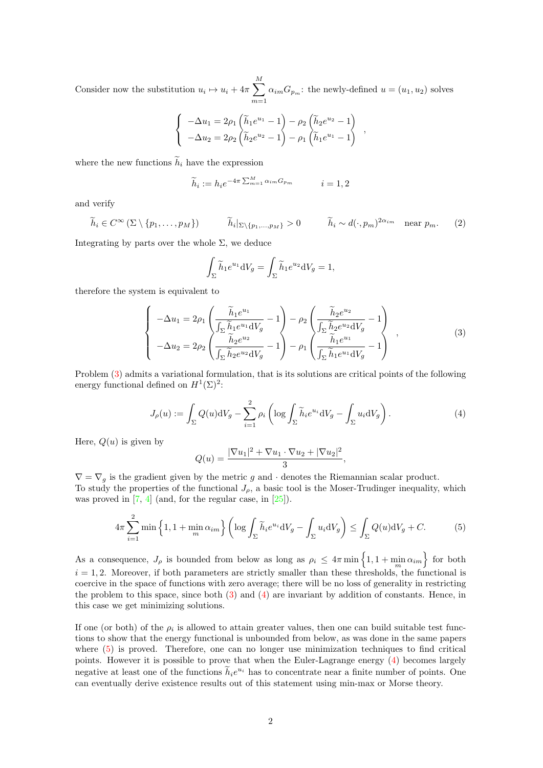Consider now the substitution  $u_i \mapsto u_i + 4\pi \sum_{i=1}^{M}$  $m=1$  $\alpha_{im}G_{p_m}$ : the newly-defined  $u = (u_1, u_2)$  solves

$$
\begin{cases}\n-\Delta u_1 = 2\rho_1 \left(\tilde{h}_1 e^{u_1} - 1\right) - \rho_2 \left(\tilde{h}_2 e^{u_2} - 1\right) \\
-\Delta u_2 = 2\rho_2 \left(\tilde{h}_2 e^{u_2} - 1\right) - \rho_1 \left(\tilde{h}_1 e^{u_1} - 1\right)\n\end{cases}
$$

where the new functions  $\tilde{h}_i$  have the expression

$$
\widetilde{h}_i := h_i e^{-4\pi \sum_{m=1}^M \alpha_{im} G_{p_m}} \qquad i = 1, 2
$$

and verify

<span id="page-1-3"></span>
$$
\widetilde{h}_i \in C^{\infty}(\Sigma \setminus \{p_1, \ldots, p_M\}) \qquad \widetilde{h}_i|_{\Sigma \setminus \{p_1, \ldots, p_M\}} > 0 \qquad \widetilde{h}_i \sim d(\cdot, p_m)^{2\alpha_{im}} \quad \text{near } p_m. \tag{2}
$$

Integrating by parts over the whole  $\Sigma$ , we deduce

$$
\int_{\Sigma} \widetilde{h}_1 e^{u_1} dV_g = \int_{\Sigma} \widetilde{h}_1 e^{u_2} dV_g = 1,
$$

therefore the system is equivalent to

<span id="page-1-0"></span>
$$
\begin{cases}\n-\Delta u_1 = 2\rho_1 \left( \frac{\tilde{h}_1 e^{u_1}}{\int_{\Sigma} \tilde{h}_1 e^{u_1} dV_g} - 1 \right) - \rho_2 \left( \frac{\tilde{h}_2 e^{u_2}}{\int_{\Sigma} \tilde{h}_2 e^{u_2} dV_g} - 1 \right) \\
-\Delta u_2 = 2\rho_2 \left( \frac{\tilde{h}_2 e^{u_2}}{\int_{\Sigma} \tilde{h}_2 e^{u_2} dV_g} - 1 \right) - \rho_1 \left( \frac{\tilde{h}_1 e^{u_1}}{\int_{\Sigma} \tilde{h}_1 e^{u_1} dV_g} - 1 \right)\n\end{cases},\n\tag{3}
$$

Problem [\(3\)](#page-1-0) admits a variational formulation, that is its solutions are critical points of the following energy functional defined on  $H^1(\Sigma)^2$ :

<span id="page-1-1"></span>
$$
J_{\rho}(u) := \int_{\Sigma} Q(u) \mathrm{d}V_g - \sum_{i=1}^{2} \rho_i \left( \log \int_{\Sigma} \widetilde{h}_i e^{u_i} \mathrm{d}V_g - \int_{\Sigma} u_i \mathrm{d}V_g \right). \tag{4}
$$

Here,  $Q(u)$  is given by

$$
Q(u) = \frac{|\nabla u_1|^2 + \nabla u_1 \cdot \nabla u_2 + |\nabla u_2|^2}{3},
$$

 $\nabla = \nabla_g$  is the gradient given by the metric g and  $\cdot$  denotes the Riemannian scalar product. To study the properties of the functional  $J_{\rho}$ , a basic tool is the Moser-Trudinger inequality, which was proved in  $[7, 4]$  $[7, 4]$  (and, for the regular case, in  $[25]$ ).

<span id="page-1-2"></span>
$$
4\pi \sum_{i=1}^{2} \min\left\{1, 1+\min_{m} \alpha_{im}\right\} \left(\log \int_{\Sigma} \widetilde{h}_{i} e^{u_{i}} \mathrm{d}V_{g} - \int_{\Sigma} u_{i} \mathrm{d}V_{g}\right) \leq \int_{\Sigma} Q(u) \mathrm{d}V_{g} + C. \tag{5}
$$

As a consequence,  $J_{\rho}$  is bounded from below as long as  $\rho_i \leq 4\pi \min\left\{1, 1 + \min_m \alpha_{im}\right\}$  for both  $i = 1, 2$ . Moreover, if both parameters are strictly smaller than these thresholds, the functional is coercive in the space of functions with zero average; there will be no loss of generality in restricting the problem to this space, since both [\(3\)](#page-1-0) and [\(4\)](#page-1-1) are invariant by addition of constants. Hence, in this case we get minimizing solutions.

If one (or both) of the  $\rho_i$  is allowed to attain greater values, then one can build suitable test functions to show that the energy functional is unbounded from below, as was done in the same papers where  $(5)$  is proved. Therefore, one can no longer use minimization techniques to find critical points. However it is possible to prove that when the Euler-Lagrange energy [\(4\)](#page-1-1) becomes largely negative at least one of the functions  $\tilde{h}_i e^{u_i}$  has to concentrate near a finite number of points. One can eventually derive existence results out of this statement using min-max or Morse theory.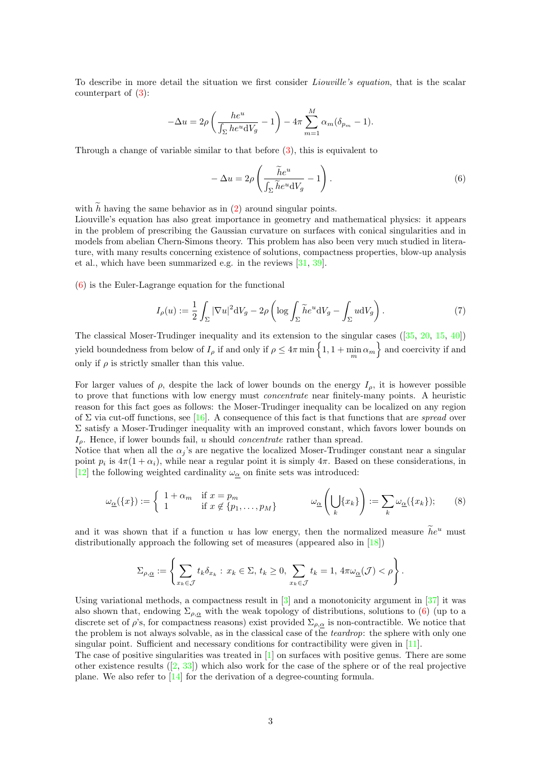To describe in more detail the situation we first consider *Liouville's equation*, that is the scalar counterpart of [\(3\)](#page-1-0):

$$
-\Delta u = 2\rho \left(\frac{he^u}{\int_{\Sigma} he^u dV_g} - 1\right) - 4\pi \sum_{m=1}^M \alpha_m (\delta_{p_m} - 1).
$$

Through a change of variable similar to that before [\(3\)](#page-1-0), this is equivalent to

<span id="page-2-0"></span>
$$
-\Delta u = 2\rho \left( \frac{\tilde{h}e^u}{\int_{\Sigma} \tilde{h}e^u \,dV_g} - 1 \right). \tag{6}
$$

with  $h$  having the same behavior as in  $(2)$  around singular points.

Liouville's equation has also great importance in geometry and mathematical physics: it appears in the problem of prescribing the Gaussian curvature on surfaces with conical singularities and in models from abelian Chern-Simons theory. This problem has also been very much studied in literature, with many results concerning existence of solutions, compactness properties, blow-up analysis et al., which have been summarized e.g. in the reviews [\[31,](#page-40-3) [39\]](#page-40-4).

[\(6\)](#page-2-0) is the Euler-Lagrange equation for the functional

<span id="page-2-1"></span>
$$
I_{\rho}(u) := \frac{1}{2} \int_{\Sigma} |\nabla u|^2 \, dV_g - 2\rho \left( \log \int_{\Sigma} \tilde{h} e^u \, dV_g - \int_{\Sigma} u \, dV_g \right). \tag{7}
$$

The classical Moser-Trudinger inequality and its extension to the singular cases([\[35,](#page-40-5) [20,](#page-39-6) [15,](#page-39-7) [40\]](#page-40-6)) yield boundedness from below of  $I_\rho$  if and only if  $\rho \leq 4\pi \min\left\{1, 1 + \min_m \alpha_m\right\}$  and coercivity if and only if  $\rho$  is strictly smaller than this value.

For larger values of  $\rho$ , despite the lack of lower bounds on the energy  $I_{\rho}$ , it is however possible to prove that functions with low energy must concentrate near finitely-many points. A heuristic reason for this fact goes as follows: the Moser-Trudinger inequality can be localized on any region of  $\Sigma$  via cut-off functions, see [\[16\]](#page-39-8). A consequence of this fact is that functions that are spread over Σ satisfy a Moser-Trudinger inequality with an improved constant, which favors lower bounds on  $I<sub>o</sub>$ . Hence, if lower bounds fail, u should *concentrate* rather than spread.

Notice that when all the  $\alpha_j$ 's are negative the localized Moser-Trudinger constant near a singular point  $p_i$  is  $4\pi(1+\alpha_i)$ , while near a regular point it is simply  $4\pi$ . Based on these considerations, in [\[12\]](#page-39-9) the following weighted cardinality  $\omega_{\alpha}$  on finite sets was introduced:

<span id="page-2-2"></span>
$$
\omega_{\underline{\alpha}}(\{x\}) := \begin{cases} 1 + \alpha_m & \text{if } x = p_m \\ 1 & \text{if } x \notin \{p_1, \dots, p_M\} \end{cases} \qquad \omega_{\underline{\alpha}}\left(\bigcup_k \{x_k\}\right) := \sum_k \omega_{\underline{\alpha}}(\{x_k\});\tag{8}
$$

and it was shown that if a function u has low energy, then the normalized measure  $\tilde{h}e^u$  must distributionally approach the following set of measures (appeared also in [\[18\]](#page-39-10))

$$
\Sigma_{\rho,\underline{\alpha}} := \left\{ \sum_{x_k \in \mathcal{J}} t_k \delta_{x_k} : x_k \in \Sigma, t_k \ge 0, \sum_{x_k \in \mathcal{J}} t_k = 1, 4\pi \omega_{\underline{\alpha}}(\mathcal{J}) < \rho \right\}.
$$

Using variational methods, a compactness result in  $\lceil 3 \rceil$  and a monotonicity argument in  $\lceil 37 \rceil$  it was also shown that, endowing  $\Sigma_{\rho,\alpha}$  with the weak topology of distributions, solutions to [\(6\)](#page-2-0) (up to a discrete set of  $\rho$ 's, for compactness reasons) exist provided  $\Sigma_{\rho,\alpha}$  is non-contractible. We notice that the problem is not always solvable, as in the classical case of the teardrop: the sphere with only one singular point. Sufficient and necessary conditions for contractibility were given in [\[11\]](#page-39-12).

The case of positive singularities was treated in [\[1\]](#page-38-0) on surfaces with positive genus. There are some otherexistence results  $([2, 33])$  $([2, 33])$  $([2, 33])$  $([2, 33])$  $([2, 33])$  which also work for the case of the sphere or of the real projective plane. We also refer to [\[14\]](#page-39-13) for the derivation of a degree-counting formula.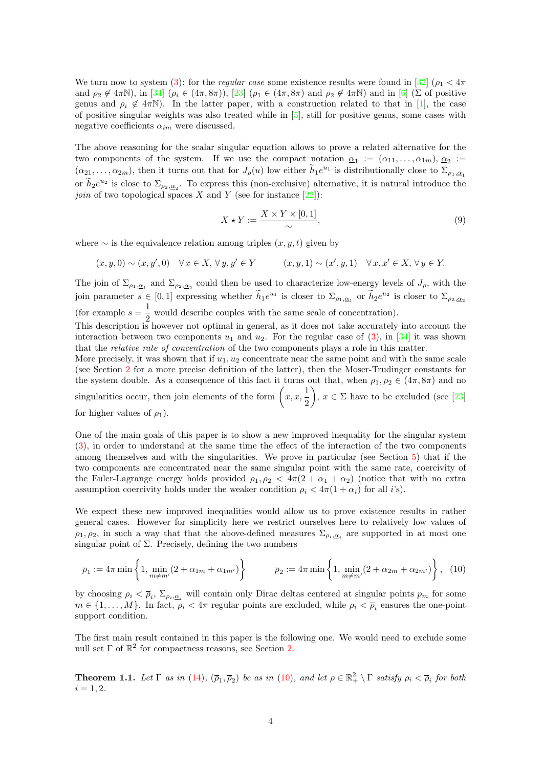We turn now to system [\(3\)](#page-1-0): for the *regular case* some existence results were found in [\[32\]](#page-40-9) ( $\rho_1 < 4\pi$ and  $\rho_2 \notin 4\pi\mathbb{N}$ ), in [\[34\]](#page-40-10)  $(\rho_i \in (4\pi, 8\pi))$ , [\[23\]](#page-39-14)  $(\rho_1 \in (4\pi, 8\pi)$  and  $\rho_2 \notin 4\pi\mathbb{N})$  and in [\[6\]](#page-39-15) (Σ of positive genus and  $\rho_i \notin 4\pi\mathbb{N}$ ). In the latter paper, with a construction related to that in [\[1\]](#page-38-0), the case of positive singular weights was also treated while in [\[5\]](#page-39-16), still for positive genus, some cases with negative coefficients  $\alpha_{im}$  were discussed.

The above reasoning for the scalar singular equation allows to prove a related alternative for the two components of the system. If we use the compact notation  $\underline{\alpha}_1 := (\alpha_{11}, \ldots, \alpha_{1m}), \underline{\alpha}_2 :=$  $(\alpha_{21},\ldots,\alpha_{2m})$ , then it turns out that for  $J_{\rho}(u)$  low either  $\tilde{h}_1e^{u_1}$  is distributionally close to  $\Sigma_{\rho_1,\underline{\alpha}_1}$ or  $\widetilde{h}_2 e^{u_2}$  is close to  $\Sigma_{\rho_2,\underline{\alpha}_2}$ . To express this (non-exclusive) alternative, it is natural introduce the *join* of two topological spaces X and Y (see for instance  $[22]$ ):

<span id="page-3-2"></span>
$$
X \star Y := \frac{X \times Y \times [0,1]}{\sim},\tag{9}
$$

where  $\sim$  is the equivalence relation among triples  $(x, y, t)$  given by

$$
(x,y,0) \sim (x,y',0) \quad \forall \, x \in X, \, \forall \, y,y' \in Y \qquad \qquad (x,y,1) \sim (x',y,1) \quad \forall \, x,x' \in X, \, \forall \, y \in Y.
$$

The join of  $\Sigma_{\rho_1,\underline{\alpha}_1}$  and  $\Sigma_{\rho_2,\underline{\alpha}_2}$  could then be used to characterize low-energy levels of  $J_\rho$ , with the join parameter  $s \in [0,1]$  expressing whether  $\widetilde{h}_1 e^{u_1}$  is closer to  $\Sigma_{\rho_1,\underline{\alpha}_1}$  or  $\widetilde{h}_2 e^{u_2}$  is closer to  $\Sigma_{\rho_2,\underline{\alpha}_2}$ (for example  $s=\frac{1}{2}$ )  $\frac{1}{2}$  would describe couples with the same scale of concentration). This description is however not optimal in general, as it does not take accurately into account the

interaction between two components  $u_1$  and  $u_2$ . For the regular case of [\(3\)](#page-1-0), in [\[34\]](#page-40-10) it was shown that the relative rate of concentration of the two components plays a role in this matter.

More precisely, it was shown that if  $u_1, u_2$  concentrate near the same point and with the same scale (see Section [2](#page-5-0) for a more precise definition of the latter), then the Moser-Trudinger constants for the system double. As a consequence of this fact it turns out that, when  $\rho_1, \rho_2 \in (4\pi, 8\pi)$  and no singularities occur, then join elements of the form  $\left(x, x, \frac{1}{2}\right)$ 2 ),  $x \in \Sigma$  have to be excluded (see [\[23\]](#page-39-14) for higher values of  $\rho_1$ ).

One of the main goals of this paper is to show a new improved inequality for the singular system [\(3\)](#page-1-0), in order to understand at the same time the effect of the interaction of the two components among themselves and with the singularities. We prove in particular (see Section [5\)](#page-20-0) that if the two components are concentrated near the same singular point with the same rate, coercivity of the Euler-Lagrange energy holds provided  $\rho_1, \rho_2 < 4\pi(2 + \alpha_1 + \alpha_2)$  (notice that with no extra assumption coercivity holds under the weaker condition  $\rho_i < 4\pi (1 + \alpha_i)$  for all *i*'s).

We expect these new improved inequalities would allow us to prove existence results in rather general cases. However for simplicity here we restrict ourselves here to relatively low values of  $\rho_1, \rho_2$ , in such a way that that the above-defined measures  $\Sigma_{\rho_i, \underline{\alpha}_i}$  are supported in at most one singular point of  $\Sigma$ . Precisely, defining the two numbers

<span id="page-3-0"></span>
$$
\overline{\rho}_1 := 4\pi \min \left\{ 1, \min_{m \neq m'} (2 + \alpha_{1m} + \alpha_{1m'}) \right\} \qquad \overline{\rho}_2 := 4\pi \min \left\{ 1, \min_{m \neq m'} (2 + \alpha_{2m} + \alpha_{2m'}) \right\}, \tag{10}
$$

by choosing  $\rho_i < \overline{\rho}_i$ ,  $\Sigma_{\rho_i, \underline{\alpha}_i}$  will contain only Dirac deltas centered at singular points  $p_m$  for some  $m \in \{1, \ldots, M\}$ . In fact,  $\rho_i < 4\pi$  regular points are excluded, while  $\rho_i < \overline{\rho}_i$  ensures the one-point support condition.

The first main result contained in this paper is the following one. We would need to exclude some null set  $\Gamma$  of  $\mathbb{R}^2$  for compactness reasons, see Section [2.](#page-5-0)

<span id="page-3-1"></span>**Theorem 1.1.** Let  $\Gamma$  as in [\(14\)](#page-8-0),  $(\overline{\rho}_1, \overline{\rho}_2)$  be as in [\(10\)](#page-3-0), and let  $\rho \in \mathbb{R}_+^2 \setminus \Gamma$  satisfy  $\rho_i < \overline{\rho}_i$  for both  $i = 1, 2.$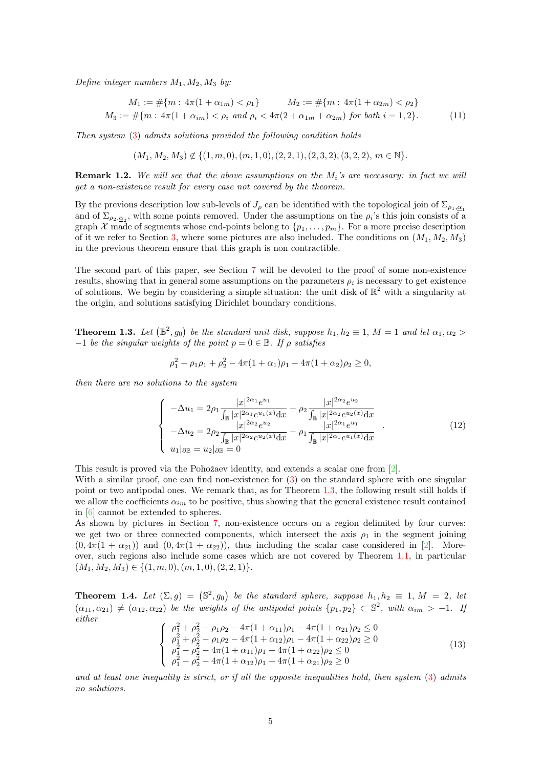Define integer numbers  $M_1, M_2, M_3$  by:

<span id="page-4-2"></span>
$$
M_1 := \#\{m : 4\pi(1 + \alpha_{1m}) < \rho_1\} \qquad M_2 := \#\{m : 4\pi(1 + \alpha_{2m}) < \rho_2\}
$$
\n
$$
M_3 := \#\{m : 4\pi(1 + \alpha_{im}) < \rho_i \text{ and } \rho_i < 4\pi(2 + \alpha_{1m} + \alpha_{2m}) \text{ for both } i = 1, 2\}. \tag{11}
$$

Then system [\(3\)](#page-1-0) admits solutions provided the following condition holds

$$
(M_1, M_2, M_3) \notin \{ (1, m, 0), (m, 1, 0), (2, 2, 1), (2, 3, 2), (3, 2, 2), m \in \mathbb{N} \}.
$$

**Remark 1.2.** We will see that the above assumptions on the  $M_i$ 's are necessary: in fact we will get a non-existence result for every case not covered by the theorem.

By the previous description low sub-levels of  $J_\rho$  can be identified with the topological join of  $\Sigma_{\rho_1,\alpha_1}$ and of  $\Sigma_{\rho_2,\underline{\alpha}_2}$ , with some points removed. Under the assumptions on the  $\rho_i$ 's this join consists of a graph X made of segments whose end-points belong to  $\{p_1, \ldots, p_m\}$ . For a more precise description of it we refer to Section [3,](#page-13-0) where some pictures are also included. The conditions on  $(M_1, M_2, M_3)$ in the previous theorem ensure that this graph is non contractible.

The second part of this paper, see Section [7](#page-33-0) will be devoted to the proof of some non-existence results, showing that in general some assumptions on the parameters  $\rho_i$  is necessary to get existence of solutions. We begin by considering a simple situation: the unit disk of  $\mathbb{R}^2$  with a singularity at the origin, and solutions satisfying Dirichlet boundary conditions.

<span id="page-4-0"></span>**Theorem 1.3.** Let  $(\mathbb{B}^2, g_0)$  be the standard unit disk, suppose  $h_1, h_2 \equiv 1, M = 1$  and let  $\alpha_1, \alpha_2 >$  $-1$  be the singular weights of the point  $p = 0 \in \mathbb{B}$ . If  $\rho$  satisfies

$$
\rho_1^2 - \rho_1 \rho_1 + \rho_2^2 - 4\pi (1 + \alpha_1)\rho_1 - 4\pi (1 + \alpha_2)\rho_2 \ge 0,
$$

then there are no solutions to the system

<span id="page-4-3"></span>
$$
\begin{cases}\n-\Delta u_1 = 2\rho_1 \frac{|x|^{2\alpha_1} e^{u_1}}{\int_{\mathbb{B}} |x|^{2\alpha_1} e^{u_1(x)} dx} - \rho_2 \frac{|x|^{2\alpha_2} e^{u_2}}{\int_{\mathbb{B}} |x|^{2\alpha_2} e^{u_2(x)} dx} \\
-\Delta u_2 = 2\rho_2 \frac{|x|^{2\alpha_2} e^{u_2}}{\int_{\mathbb{B}} |x|^{2\alpha_2} e^{u_2(x)} dx} - \rho_1 \frac{|x|^{2\alpha_1} e^{u_1}}{\int_{\mathbb{B}} |x|^{2\alpha_1} e^{u_1(x)} dx} \\
u_1|_{\partial \mathbb{B}} = u_2|_{\partial \mathbb{B}} = 0\n\end{cases} (12)
$$

This result is proved via the Pohožaev identity, and extends a scalar one from [\[2\]](#page-38-1).

With a similar proof, one can find non-existence for  $(3)$  on the standard sphere with one singular point or two antipodal ones. We remark that, as for Theorem [1.3,](#page-4-0) the following result still holds if we allow the coefficients  $\alpha_{im}$  to be positive, thus showing that the general existence result contained in [\[6\]](#page-39-15) cannot be extended to spheres.

As shown by pictures in Section [7,](#page-33-0) non-existence occurs on a region delimited by four curves: we get two or three connected components, which intersect the axis  $\rho_1$  in the segment joining  $(0, 4\pi(1 + \alpha_{21}))$  and  $(0, 4\pi(1 + \alpha_{22}))$ , thus including the scalar case considered in [\[2\]](#page-38-1). Moreover, such regions also include some cases which are not covered by Theorem [1.1,](#page-3-1) in particular  $(M_1, M_2, M_3) \in \{(1, m, 0), (m, 1, 0), (2, 2, 1)\}.$ 

<span id="page-4-1"></span>**Theorem 1.4.** Let  $(\Sigma, g) = (\mathbb{S}^2, g_0)$  be the standard sphere, suppose  $h_1, h_2 \equiv 1, M = 2$ , let  $(\alpha_{11}, \alpha_{21}) \neq (\alpha_{12}, \alpha_{22})$  be the weights of the antipodal points  $\{p_1, p_2\} \subset \mathbb{S}^2$ , with  $\alpha_{im} > -1$ . If either

<span id="page-4-4"></span>
$$
\begin{cases}\n\rho_1^2 + \rho_2^2 - \rho_1 \rho_2 - 4\pi (1 + \alpha_{11})\rho_1 - 4\pi (1 + \alpha_{21})\rho_2 \le 0 \\
\rho_1^2 + \rho_2^2 - \rho_1 \rho_2 - 4\pi (1 + \alpha_{12})\rho_1 - 4\pi (1 + \alpha_{22})\rho_2 \ge 0 \\
\rho_1^2 - \rho_2^2 - 4\pi (1 + \alpha_{11})\rho_1 + 4\pi (1 + \alpha_{22})\rho_2 \le 0 \\
\rho_1^2 - \rho_2^2 - 4\pi (1 + \alpha_{12})\rho_1 + 4\pi (1 + \alpha_{21})\rho_2 \ge 0\n\end{cases}
$$
\n(13)

and at least one inequality is strict, or if all the opposite inequalities hold, then system [\(3\)](#page-1-0) admits no solutions.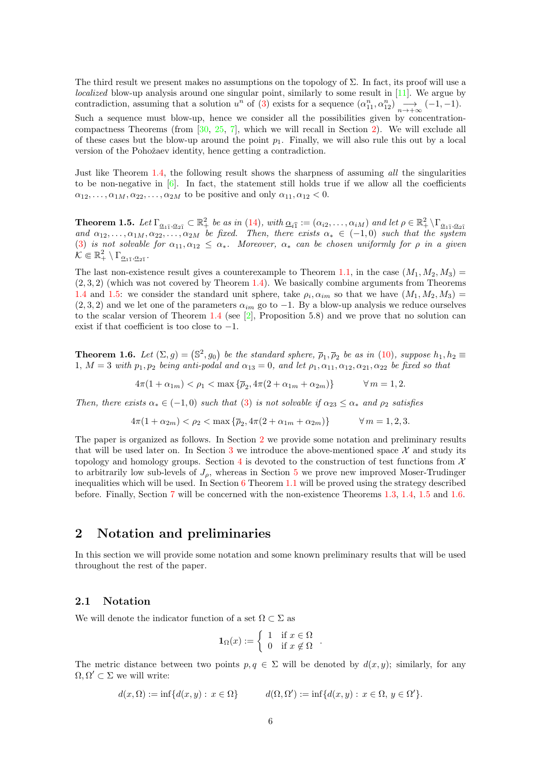The third result we present makes no assumptions on the topology of  $\Sigma$ . In fact, its proof will use a localized blow-up analysis around one singular point, similarly to some result in [\[11\]](#page-39-12). We argue by contradiction, assuming that a solution  $u^n$  of [\(3\)](#page-1-0) exists for a sequence  $(\alpha_{11}^n, \alpha_{12}^n) \longrightarrow_{n \to +\infty} (-1, -1)$ .

Such a sequence must blow-up, hence we consider all the possibilities given by concentrationcompactness Theorems (from  $[30, 25, 7]$  $[30, 25, 7]$  $[30, 25, 7]$  $[30, 25, 7]$ , which we will recall in Section [2\)](#page-5-0). We will exclude all of these cases but the blow-up around the point  $p_1$ . Finally, we will also rule this out by a local version of the Pohožaev identity, hence getting a contradiction.

Just like Theorem [1.4,](#page-4-1) the following result shows the sharpness of assuming all the singularities to be non-negative in  $[6]$ . In fact, the statement still holds true if we allow all the coefficients  $\alpha_{12}, \ldots, \alpha_{1M}, \alpha_{22}, \ldots, \alpha_{2M}$  to be positive and only  $\alpha_{11}, \alpha_{12} < 0$ .

<span id="page-5-1"></span>**Theorem 1.5.** Let  $\Gamma_{\alpha_1\hat{1},\alpha_2\hat{1}} \subset \mathbb{R}^2_+$  be as in [\(14\)](#page-8-0), with  $\alpha_{i\hat{1}} := (\alpha_{i2}, \ldots, \alpha_{iM})$  and let  $\rho \in \mathbb{R}^2_+ \setminus \Gamma_{\alpha_1\hat{1},\alpha_2\hat{1}}$ <br>and  $\alpha_{12}, \ldots, \alpha_{1M}, \alpha_{22}, \ldots, \alpha_{2M}$  be fixed. Then, there exists [\(3\)](#page-1-0) is not solvable for  $\alpha_{11}, \alpha_{12} \leq \alpha_*$ . Moreover,  $\alpha_*$  can be chosen uniformly for  $\rho$  in a given  $\mathcal{K} \Subset \mathbb{R}_+^2 \setminus \Gamma_{\underline{\alpha}_{1\hat{1}}, \underline{\alpha}_{2\hat{1}}}$ .

The last non-existence result gives a counterexample to Theorem [1.1,](#page-3-1) in the case  $(M_1, M_2, M_3)$  $(2, 3, 2)$  (which was not covered by Theorem [1.4\)](#page-4-1). We basically combine arguments from Theorems [1.4](#page-4-1) and [1.5:](#page-5-1) we consider the standard unit sphere, take  $\rho_i, \alpha_{im}$  so that we have  $(M_1, M_2, M_3)$  =  $(2, 3, 2)$  and we let one of the parameters  $\alpha_{im}$  go to  $-1$ . By a blow-up analysis we reduce ourselves to the scalar version of Theorem [1.4](#page-4-1) (see  $[2]$ , Proposition 5.8) and we prove that no solution can exist if that coefficient is too close to  $-1$ .

<span id="page-5-2"></span>**Theorem 1.6.** Let  $(\Sigma, g) = (\mathbb{S}^2, g_0)$  be the standard sphere,  $\overline{\rho}_1, \overline{\rho}_2$  be as in [\(10\)](#page-3-0), suppose  $h_1, h_2 \equiv$ 1,  $M = 3$  with  $p_1, p_2$  being anti-podal and  $\alpha_{13} = 0$ , and let  $\rho_1, \alpha_{11}, \alpha_{12}, \alpha_{21}, \alpha_{22}$  be fixed so that

$$
4\pi(1 + \alpha_{1m}) < \rho_1 < \max\{\bar{\rho}_2, 4\pi(2 + \alpha_{1m} + \alpha_{2m})\} \qquad \forall m = 1, 2.
$$

Then, there exists  $\alpha_* \in (-1,0)$  such that [\(3\)](#page-1-0) is not solvable if  $\alpha_{23} \leq \alpha_*$  and  $\rho_2$  satisfies

$$
4\pi(1 + \alpha_{2m}) < \rho_2 < \max\left\{\overline{\rho}_2, 4\pi(2 + \alpha_{1m} + \alpha_{2m})\right\} \qquad \forall m = 1, 2, 3.
$$

The paper is organized as follows. In Section [2](#page-5-0) we provide some notation and preliminary results that will be used later on. In Section [3](#page-13-0) we introduce the above-mentioned space  $\mathcal{X}$  and study its topology and homology groups. Section [4](#page-15-0) is devoted to the construction of test functions from  $\mathcal{X}$ to arbitrarily low sub-levels of  $J_{\rho}$ , whereas in Section [5](#page-20-0) we prove new improved Moser-Trudinger inequalities which will be used. In Section  $6$  Theorem [1.1](#page-3-1) will be proved using the strategy described before. Finally, Section [7](#page-33-0) will be concerned with the non-existence Theorems [1.3,](#page-4-0) [1.4,](#page-4-1) [1.5](#page-5-1) and [1.6.](#page-5-2)

## <span id="page-5-0"></span>2 Notation and preliminaries

In this section we will provide some notation and some known preliminary results that will be used throughout the rest of the paper.

#### 2.1 Notation

We will denote the indicator function of a set  $\Omega \subset \Sigma$  as

$$
\mathbf{1}_{\Omega}(x) := \begin{cases} 1 & \text{if } x \in \Omega \\ 0 & \text{if } x \notin \Omega \end{cases}.
$$

The metric distance between two points  $p, q \in \Sigma$  will be denoted by  $d(x, y)$ ; similarly, for any  $\Omega, \Omega' \subset \Sigma$  we will write:

$$
d(x,\Omega) := \inf \{ d(x,y) : x \in \Omega \} \qquad d(\Omega,\Omega') := \inf \{ d(x,y) : x \in \Omega, y \in \Omega' \}.
$$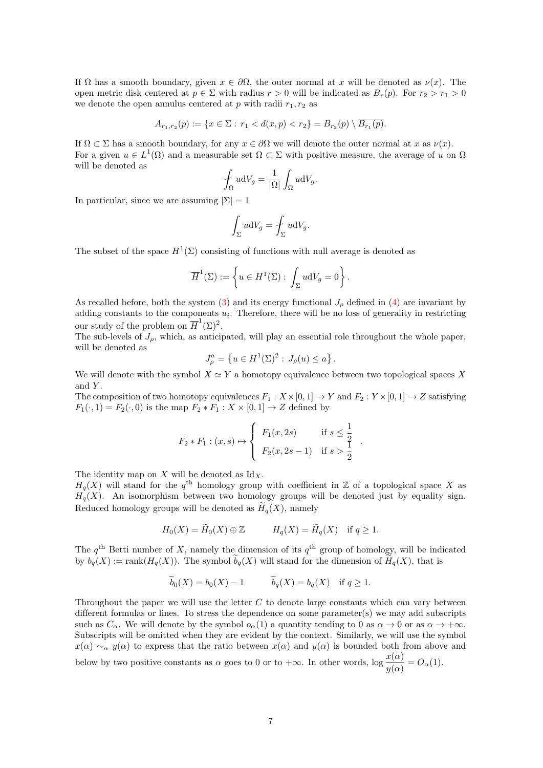If  $\Omega$  has a smooth boundary, given  $x \in \partial\Omega$ , the outer normal at x will be denoted as  $\nu(x)$ . The open metric disk centered at  $p \in \Sigma$  with radius  $r > 0$  will be indicated as  $B_r(p)$ . For  $r_2 > r_1 > 0$ we denote the open annulus centered at p with radii  $r_1, r_2$  as

$$
A_{r_1,r_2}(p) := \{ x \in \Sigma : r_1 < d(x,p) < r_2 \} = B_{r_2}(p) \setminus \overline{B_{r_1}(p)}.
$$

If  $\Omega \subset \Sigma$  has a smooth boundary, for any  $x \in \partial \Omega$  we will denote the outer normal at x as  $\nu(x)$ . For a given  $u \in L^1(\Omega)$  and a measurable set  $\Omega \subset \Sigma$  with positive measure, the average of u on  $\Omega$ will be denoted as

$$
\oint_{\Omega} u \mathrm{d}V_g = \frac{1}{|\Omega|} \int_{\Omega} u \mathrm{d}V_g.
$$

In particular, since we are assuming  $|\Sigma| = 1$ 

$$
\int_{\Sigma} u \mathrm{d}V_g = \int_{\Sigma} u \mathrm{d}V_g.
$$

The subset of the space  $H^1(\Sigma)$  consisting of functions with null average is denoted as

$$
\overline{H}^1(\Sigma) := \left\{ u \in H^1(\Sigma) : \int_{\Sigma} u \mathrm{d}V_g = 0 \right\}.
$$

As recalled before, both the system [\(3\)](#page-1-0) and its energy functional  $J_\rho$  defined in [\(4\)](#page-1-1) are invariant by adding constants to the components  $u_i$ . Therefore, there will be no loss of generality in restricting our study of the problem on  $\overline{H}^1(\Sigma)^2$ .

The sub-levels of  $J_{\rho}$ , which, as anticipated, will play an essential role throughout the whole paper, will be denoted as

$$
J_{\rho}^{a} = \{ u \in H^{1}(\Sigma)^{2} : J_{\rho}(u) \le a \} .
$$

We will denote with the symbol  $X \simeq Y$  a homotopy equivalence between two topological spaces X and  $Y$ .

The composition of two homotopy equivalences  $F_1 : X \times [0, 1] \to Y$  and  $F_2 : Y \times [0, 1] \to Z$  satisfying  $F_1(\cdot, 1) = F_2(\cdot, 0)$  is the map  $F_2 * F_1 : X \times [0, 1] \rightarrow Z$  defined by

$$
F_2 * F_1 : (x, s) \mapsto \begin{cases} F_1(x, 2s) & \text{if } s \le \frac{1}{2} \\ F_2(x, 2s - 1) & \text{if } s > \frac{1}{2} \end{cases}
$$

.

The identity map on  $X$  will be denoted as  $\mathrm{Id}_X$ .

 $H_q(X)$  will stand for the  $q^{\text{th}}$  homology group with coefficient in Z of a topological space X as  $H_q(X)$ . An isomorphism between two homology groups will be denoted just by equality sign. Reduced homology groups will be denoted as  $H_a(X)$ , namely

$$
H_0(X) = \widetilde{H}_0(X) \oplus \mathbb{Z} \qquad H_q(X) = \widetilde{H}_q(X) \quad \text{if } q \ge 1.
$$

The  $q^{\text{th}}$  Betti number of X, namely the dimension of its  $q^{\text{th}}$  group of homology, will be indicated by  $b_q(X) := \text{rank}(H_q(X))$ . The symbol  $\widetilde{b}_q(X)$  will stand for the dimension of  $\widetilde{H}_q(X)$ , that is

$$
\widetilde{b}_0(X) = b_0(X) - 1
$$
  $\widetilde{b}_q(X) = b_q(X)$  if  $q \ge 1$ .

Throughout the paper we will use the letter  $C$  to denote large constants which can vary between different formulas or lines. To stress the dependence on some parameter(s) we may add subscripts such as  $C_{\alpha}$ . We will denote by the symbol  $o_{\alpha}(1)$  a quantity tending to 0 as  $\alpha \to 0$  or as  $\alpha \to +\infty$ . Subscripts will be omitted when they are evident by the context. Similarly, we will use the symbol  $x(\alpha) \sim_\alpha y(\alpha)$  to express that the ratio between  $x(\alpha)$  and  $y(\alpha)$  is bounded both from above and below by two positive constants as  $\alpha$  goes to 0 or to  $+\infty$ . In other words,  $\log \frac{x(\alpha)}{y(\alpha)} = O_{\alpha}(1)$ .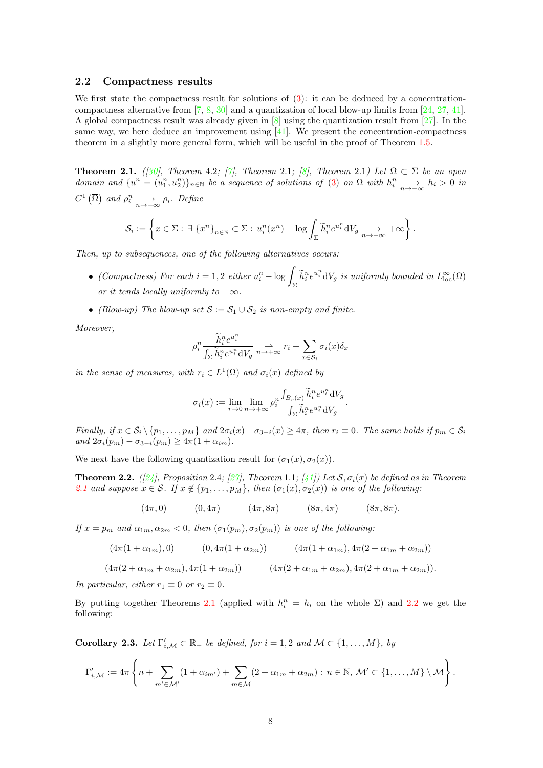#### 2.2 Compactness results

We first state the compactness result for solutions of  $(3)$ : it can be deduced by a concentrationcompactness alternative from [\[7,](#page-39-4) [8,](#page-39-18) [30\]](#page-40-11) and a quantization of local blow-up limits from [\[24,](#page-39-19) [27,](#page-40-12) [41\]](#page-40-13). A global compactness result was already given in [\[8\]](#page-39-18) using the quantization result from [\[27\]](#page-40-12). In the same way, we here deduce an improvement using  $[41]$ . We present the concentration-compactness theorem in a slightly more general form, which will be useful in the proof of Theorem [1.5.](#page-5-1)

<span id="page-7-0"></span>**Theorem 2.1.** ([\[30\]](#page-40-11), Theorem 4.2; [\[7\]](#page-39-4), Theorem 2.1; [\[8\]](#page-39-18), Theorem 2.1) Let  $\Omega \subset \Sigma$  be an open domain and  $\{u^n=(u_1^n,u_2^n)\}_{n\in\mathbb{N}}$  be a sequence of solutions of [\(3\)](#page-1-0) on  $\Omega$  with  $h_i^n \longrightarrow_{n\to+\infty} h_i > 0$  in  $C^1(\overline{\Omega})$  and  $\rho_i^n \longrightarrow_{n \to +\infty} \rho_i$ . Define

$$
\mathcal{S}_i := \left\{ x \in \Sigma : \exists \ \{x^n\}_{n \in \mathbb{N}} \subset \Sigma : u_i^n(x^n) - \log \int_{\Sigma} \widetilde{h}_i^n e^{u_i^n} dV_g \underset{n \to +\infty}{\longrightarrow} +\infty \right\}.
$$

Then, up to subsequences, one of the following alternatives occurs:

- (Compactness) For each  $i = 1, 2$  either  $u_i^n \log \int_{\Sigma} \tilde{h}_i^n e^{u_i^n} dV_g$  is uniformly bounded in  $L^{\infty}_{\text{loc}}(\Omega)$ or it tends locally uniformly to  $-\infty$ .
- (Blow-up) The blow-up set  $S := S_1 \cup S_2$  is non-empty and finite.

Moreover,

$$
\rho_i^n \frac{\widetilde{h}_i^n e^{u_i^n}}{\int_{\Sigma} \widetilde{h}_i^n e^{u_i^n} dV_g} \underset{n \to +\infty}{\to} r_i + \sum_{x \in \mathcal{S}_i} \sigma_i(x) \delta_x
$$

in the sense of measures, with  $r_i \in L^1(\Omega)$  and  $\sigma_i(x)$  defined by

$$
\sigma_i(x) := \lim_{r \to 0} \lim_{n \to +\infty} \rho_i^n \frac{\int_{B_r(x)} \tilde{h}_i^n e^{u_i^n} dV_g}{\int_{\Sigma} \tilde{h}_i^n e^{u_i^n} dV_g}.
$$

Finally, if  $x \in S_i \setminus \{p_1, \ldots, p_M\}$  and  $2\sigma_i(x) - \sigma_{3-i}(x) \geq 4\pi$ , then  $r_i \equiv 0$ . The same holds if  $p_m \in S_i$ and  $2\sigma_i(p_m) - \sigma_{3-i}(p_m) \geq 4\pi(1 + \alpha_{im}).$ 

We next have the following quantization result for  $(\sigma_1(x), \sigma_2(x))$ .

<span id="page-7-1"></span>**Theorem 2.2.** ([\[24\]](#page-39-19), Proposition 2.4; [\[27\]](#page-40-12), Theorem 1.1; [\[41\]](#page-40-13)) Let  $S$ ,  $\sigma_i(x)$  be defined as in Theorem [2.1](#page-7-0) and suppose  $x \in \mathcal{S}$ . If  $x \notin \{p_1, \ldots, p_M\}$ , then  $(\sigma_1(x), \sigma_2(x))$  is one of the following:

$$
(4\pi,0) \qquad (0,4\pi) \qquad (4\pi,8\pi) \qquad (8\pi,4\pi) \qquad (8\pi,8\pi).
$$

If  $x = p_m$  and  $\alpha_{1m}, \alpha_{2m} < 0$ , then  $(\sigma_1(p_m), \sigma_2(p_m))$  is one of the following:

$$
(4\pi(1+\alpha_{1m}),0) \qquad (0,4\pi(1+\alpha_{2m})) \qquad (4\pi(1+\alpha_{1m}),4\pi(2+\alpha_{1m}+\alpha_{2m}))
$$

$$
(4\pi(2+\alpha_{1m}+\alpha_{2m}), 4\pi(1+\alpha_{2m})) \qquad (4\pi(2+\alpha_{1m}+\alpha_{2m}), 4\pi(2+\alpha_{1m}+\alpha_{2m})).
$$

In particular, either  $r_1 \equiv 0$  or  $r_2 \equiv 0$ .

By putting together Theorems [2.1](#page-7-0) (applied with  $h_i^n = h_i$  on the whole  $\Sigma$ ) and [2.2](#page-7-1) we get the following:

<span id="page-7-2"></span>**Corollary 2.3.** Let  $\Gamma'_{i,\mathcal{M}} \subset \mathbb{R}_+$  be defined, for  $i = 1, 2$  and  $\mathcal{M} \subset \{1, ..., M\}$ , by

$$
\Gamma'_{i,\mathcal{M}} := 4\pi \left\{ n + \sum_{m' \in \mathcal{M'}} (1 + \alpha_{im'}) + \sum_{m \in \mathcal{M}} (2 + \alpha_{1m} + \alpha_{2m}) : n \in \mathbb{N}, \mathcal{M'} \subset \{1, \dots, M\} \setminus \mathcal{M} \right\}.
$$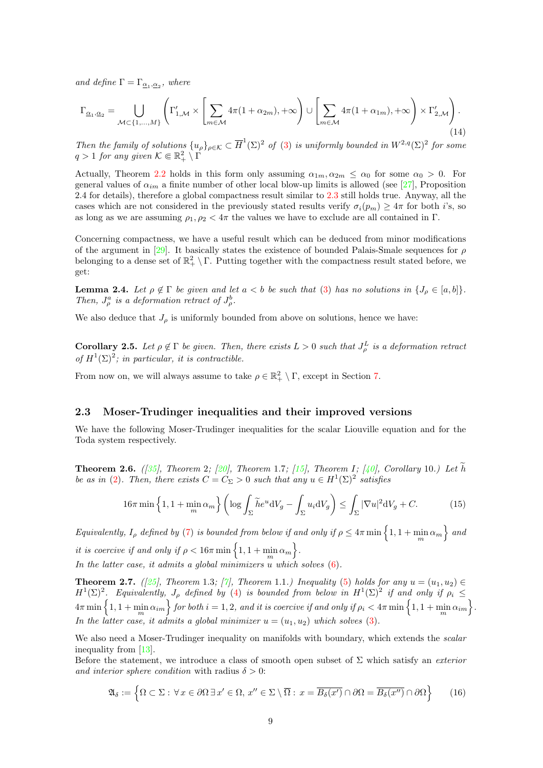and define  $\Gamma = \Gamma_{\underline{\alpha_1}, \underline{\alpha_2}}$ , where

<span id="page-8-0"></span>
$$
\Gamma_{\underline{\alpha}_1,\underline{\alpha}_2} = \bigcup_{\mathcal{M}\subset\{1,\ldots,M\}} \left( \Gamma'_{1,\mathcal{M}} \times \left[ \sum_{m\in\mathcal{M}} 4\pi (1+\alpha_{2m}), +\infty \right) \cup \left[ \sum_{m\in\mathcal{M}} 4\pi (1+\alpha_{1m}), +\infty \right) \times \Gamma'_{2,\mathcal{M}} \right). \tag{14}
$$

Then the family of solutions  $\{u_\rho\}_{\rho \in \mathcal{K}} \subset \overline{H}^1(\Sigma)^2$  of [\(3\)](#page-1-0) is uniformly bounded in  $W^{2,q}(\Sigma)^2$  for some  $q > 1$  for any given  $\mathcal{K} \Subset \mathbb{R}^2_+ \setminus \Gamma$ 

Actually, Theorem [2.2](#page-7-1) holds in this form only assuming  $\alpha_{1m}, \alpha_{2m} \leq \alpha_0$  for some  $\alpha_0 > 0$ . For general values of  $\alpha_{im}$  a finite number of other local blow-up limits is allowed (see [\[27\]](#page-40-12), Proposition 2.4 for details), therefore a global compactness result similar to [2.3](#page-7-2) still holds true. Anyway, all the cases which are not considered in the previously stated results verify  $\sigma_i(p_m) \geq 4\pi$  for both i's, so as long as we are assuming  $\rho_1, \rho_2 < 4\pi$  the values we have to exclude are all contained in Γ.

Concerning compactness, we have a useful result which can be deduced from minor modifications of the argument in [\[29\]](#page-40-14). It basically states the existence of bounded Palais-Smale sequences for  $\rho$ belonging to a dense set of  $\mathbb{R}^2_+ \setminus \Gamma$ . Putting together with the compactness result stated before, we get:

<span id="page-8-4"></span>**Lemma 2.4.** Let  $\rho \notin \Gamma$  be given and let  $a < b$  be such that [\(3\)](#page-1-0) has no solutions in  $\{J_\rho \in [a, b]\}.$ Then,  $J_{\rho}^a$  is a deformation retract of  $J_{\rho}^b$ .

We also deduce that  $J_{\rho}$  is uniformly bounded from above on solutions, hence we have:

<span id="page-8-5"></span>**Corollary 2.5.** Let  $\rho \notin \Gamma$  be given. Then, there exists  $L > 0$  such that  $J_{\rho}^L$  is a deformation retract of  $H^1(\Sigma)^2$ ; in particular, it is contractible.

From now on, we will always assume to take  $\rho \in \mathbb{R}^2_+ \setminus \Gamma$ , except in Section [7.](#page-33-0)

#### 2.3 Moser-Trudinger inequalities and their improved versions

We have the following Moser-Trudinger inequalities for the scalar Liouville equation and for the Toda system respectively.

**Theorem 2.6.** ([\[35\]](#page-40-5), Theorem 2; [\[20\]](#page-39-6), Theorem 1.7; [\[15\]](#page-39-7), Theorem I; [\[40\]](#page-40-6), Corollary 10.) Let  $\tilde{h}$ be as in [\(2\)](#page-1-3). Then, there exists  $C = C_{\Sigma} > 0$  such that any  $u \in H^{1}(\Sigma)^{2}$  satisfies

<span id="page-8-2"></span>
$$
16\pi \min\left\{1, 1+\min_{m} \alpha_{m}\right\} \left(\log \int_{\Sigma} \widetilde{h} e^{u} dV_{g} - \int_{\Sigma} u_{i} dV_{g}\right) \leq \int_{\Sigma} |\nabla u|^{2} dV_{g} + C. \tag{15}
$$

 $Equivalently, I_{\rho}$  defined by [\(7\)](#page-2-1) is bounded from below if and only if  $\rho \leq 4\pi \min\left\{1,1+\min\limits_{m}\alpha_{m}\right\}$  and it is coercive if and only if  $\rho < 16\pi \min\left\{1, 1 + \min_m \alpha_m\right\}$ . In the latter case, it admits a global minimizers u which solves  $(6)$ .

<span id="page-8-1"></span>**Theorem 2.7.** ([\[25\]](#page-40-2), Theorem 1.3; [\[7\]](#page-39-4), Theorem 1.1.) Inequality [\(5\)](#page-1-2) holds for any  $u = (u_1, u_2) \in$  $H^1(\Sigma)^2$ . Equivalently,  $J_\rho$  defined by [\(4\)](#page-1-1) is bounded from below in  $H^1(\Sigma)^2$  if and only if  $\rho_i \leq$  $4\pi\min\left\{1,1+\min_m\alpha_{im}\right\}$  for both  $i=1,2,$  and it is coercive if and only if  $\rho_i< 4\pi\min\left\{1,1+\min_m\alpha_{im}\right\}.$ In the latter case, it admits a global minimizer  $u = (u_1, u_2)$  which solves [\(3\)](#page-1-0).

We also need a Moser-Trudinger inequality on manifolds with boundary, which extends the *scalar* inequality from [\[13\]](#page-39-20).

Before the statement, we introduce a class of smooth open subset of  $\Sigma$  which satisfy an *exterior* and interior sphere condition with radius  $\delta > 0$ :

<span id="page-8-3"></span>
$$
\mathfrak{A}_{\delta} := \left\{ \Omega \subset \Sigma : \forall x \in \partial \Omega \, \exists x' \in \Omega, \, x'' \in \Sigma \setminus \overline{\Omega} : \, x = \overline{B_{\delta}(x')} \cap \partial \Omega = \overline{B_{\delta}(x'')} \cap \partial \Omega \right\} \tag{16}
$$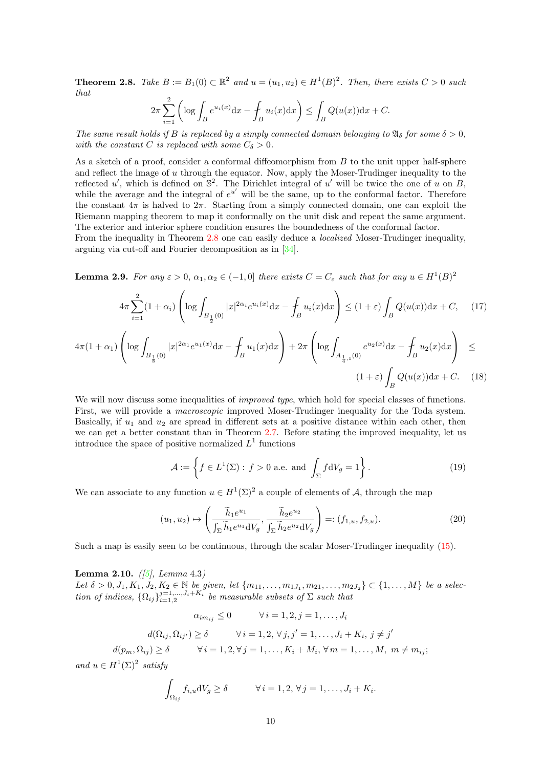<span id="page-9-0"></span>**Theorem 2.8.** Take  $B := B_1(0) \subset \mathbb{R}^2$  and  $u = (u_1, u_2) \in H^1(B)^2$ . Then, there exists  $C > 0$  such that  $\overline{2}$ 

$$
2\pi \sum_{i=1}^{2} \left( \log \int_{B} e^{u_i(x)} dx - \int_{B} u_i(x) dx \right) \le \int_{B} Q(u(x)) dx + C.
$$

The same result holds if B is replaced by a simply connected domain belonging to  $\mathfrak{A}_{\delta}$  for some  $\delta > 0$ , with the constant C is replaced with some  $C_{\delta} > 0$ .

As a sketch of a proof, consider a conformal diffeomorphism from B to the unit upper half-sphere and reflect the image of u through the equator. Now, apply the Moser-Trudinger inequality to the reflected u', which is defined on  $\mathbb{S}^2$ . The Dirichlet integral of u' will be twice the one of u on B, while the average and the integral of  $e^{u'}$  will be the same, up to the conformal factor. Therefore the constant  $4\pi$  is halved to  $2\pi$ . Starting from a simply connected domain, one can exploit the Riemann mapping theorem to map it conformally on the unit disk and repeat the same argument. The exterior and interior sphere condition ensures the boundedness of the conformal factor.

From the inequality in Theorem [2.8](#page-9-0) one can easily deduce a *localized* Moser-Trudinger inequality, arguing via cut-off and Fourier decomposition as in [\[34\]](#page-40-10).

<span id="page-9-3"></span>**Lemma 2.9.** For any  $\varepsilon > 0$ ,  $\alpha_1, \alpha_2 \in (-1, 0]$  there exists  $C = C_{\varepsilon}$  such that for any  $u \in H^1(B)^2$ 

<span id="page-9-4"></span>
$$
4\pi \sum_{i=1}^{2} (1+\alpha_i) \left( \log \int_{B_{\frac{1}{2}}(0)} |x|^{2\alpha_i} e^{u_i(x)} dx - \int_B u_i(x) dx \right) \le (1+\varepsilon) \int_B Q(u(x)) dx + C, \quad (17)
$$

$$
4\pi (1+\alpha_1) \left( \log \int_{B_{\frac{1}{8}}(0)} |x|^{2\alpha_1} e^{u_1(x)} dx - \int_B u_1(x) dx \right) + 2\pi \left( \log \int_{A_{\frac{1}{4},1}(0)} e^{u_2(x)} dx - \int_B u_2(x) dx \right) \le
$$
  

$$
(1+\varepsilon) \int_B Q(u(x)) dx + C. \quad (18)
$$

We will now discuss some inequalities of *improved type*, which hold for special classes of functions. First, we will provide a macroscopic improved Moser-Trudinger inequality for the Toda system. Basically, if  $u_1$  and  $u_2$  are spread in different sets at a positive distance within each other, then we can get a better constant than in Theorem [2.7.](#page-8-1) Before stating the improved inequality, let us introduce the space of positive normalized  $L^1$  functions

<span id="page-9-1"></span>
$$
\mathcal{A} := \left\{ f \in L^{1}(\Sigma) : f > 0 \text{ a.e. and } \int_{\Sigma} f \, \mathrm{d}V_{g} = 1 \right\}. \tag{19}
$$

We can associate to any function  $u \in H^1(\Sigma)^2$  a couple of elements of A, through the map

$$
(u_1, u_2) \mapsto \left(\frac{\widetilde{h}_1 e^{u_1}}{\int_{\Sigma} \widetilde{h}_1 e^{u_1} dV_g}, \frac{\widetilde{h}_2 e^{u_2}}{\int_{\Sigma} \widetilde{h}_2 e^{u_2} dV_g}\right) =: (f_{1,u}, f_{2,u}).
$$
\n(20)

Such a map is easily seen to be continuous, through the scalar Moser-Trudinger inequality [\(15\)](#page-8-2).

<span id="page-9-2"></span>**Lemma 2.10.**  $(|5|, Lemma 4.3)$ Let  $\delta > 0, J_1, K_1, J_2, K_2 \in \mathbb{N}$  be given, let  $\{m_{11}, \ldots, m_{1J_1}, m_{21}, \ldots, m_{2J_2}\} \subset \{1, \ldots, M\}$  be a selection of indices,  $\{\Omega_{ij}\}_{i=1,2}^{j=1,\ldots,J_i+K_i}$  be measurable subsets of  $\Sigma$  such that

$$
\alpha_{im_{ij}} \le 0 \qquad \forall i = 1, 2, j = 1, \dots, J_i
$$

$$
d(\Omega_{ij}, \Omega_{ij'}) \ge \delta \qquad \forall i = 1, 2, \forall j, j' = 1, \dots, J_i + K_i, j \ne j'
$$

$$
d(p_m, \Omega_{ij}) \ge \delta \qquad \forall i = 1, 2, \forall j = 1, \dots, K_i + M_i, \forall m = 1, \dots, M, m \ne m_{ij};
$$

and  $u \in H^1(\Sigma)^2$  satisfy

$$
\int_{\Omega_{ij}} f_{i,u} dV_g \ge \delta \qquad \forall i = 1, 2, \forall j = 1, \dots, J_i + K_i.
$$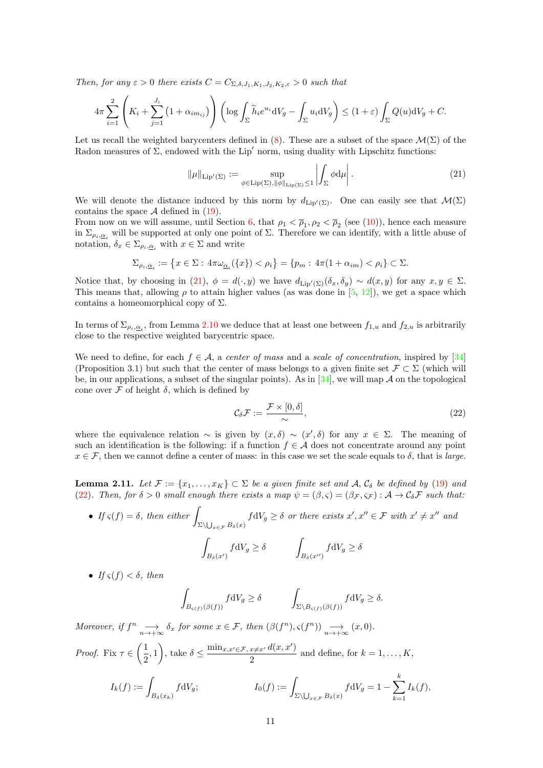Then, for any  $\varepsilon > 0$  there exists  $C = C_{\Sigma, \delta, J_1, K_1, J_2, K_2, \varepsilon} > 0$  such that

$$
4\pi \sum_{i=1}^{2} \left( K_i + \sum_{j=1}^{J_i} \left( 1 + \alpha_{im_{ij}} \right) \right) \left( \log \int_{\Sigma} \widetilde{h}_i e^{u_i} dV_g - \int_{\Sigma} u_i dV_g \right) \le (1+\varepsilon) \int_{\Sigma} Q(u) dV_g + C.
$$

Let us recall the weighted barycenters defined in [\(8\)](#page-2-2). These are a subset of the space  $\mathcal{M}(\Sigma)$  of the Radon measures of  $\Sigma$ , endowed with the Lip' norm, using duality with Lipschitz functions:

<span id="page-10-0"></span>
$$
\|\mu\|_{\text{Lip}'(\Sigma)} := \sup_{\phi \in \text{Lip}(\Sigma), \|\phi\|_{\text{Lip}(\Sigma)} \le 1} \left| \int_{\Sigma} \phi \, \mathrm{d}\mu \right|.
$$
 (21)

We will denote the distance induced by this norm by  $d_{\text{Lip}'(\Sigma)}$ . One can easily see that  $\mathcal{M}(\Sigma)$ contains the space  $\mathcal A$  defined in [\(19\)](#page-9-1).

From now on we will assume, until Section [6,](#page-30-0) that  $\rho_1 < \overline{\rho}_1$ ,  $\rho_2 < \overline{\rho}_2$  (see [\(10\)](#page-3-0)), hence each measure in  $\Sigma_{\rho_i, \underline{\alpha}_i}$  will be supported at only one point of  $\Sigma$ . Therefore we can identify, with a little abuse of notation,  $\delta_x \in \Sigma_{\rho_i, \underline{\alpha}_i}$  with  $x \in \Sigma$  and write

$$
\Sigma_{\rho_i,\underline{\alpha}_i}:=\left\{x\in\Sigma:\,4\pi\omega_{\underline{\alpha}_i}(\{x\})<\rho_i\right\}=\left\{p_m:\,4\pi(1+\alpha_{im})<\rho_i\right\}\subset\Sigma.
$$

Notice that, by choosing in [\(21\)](#page-10-0),  $\phi = d(\cdot, y)$  we have  $d_{\text{Lip}'(\Sigma)}(\delta_x, \delta_y) \sim d(x, y)$  for any  $x, y \in \Sigma$ . This means that, allowing  $\rho$  to attain higher values (as was done in [\[5,](#page-39-16) [12\]](#page-39-9)), we get a space which contains a homeomorphical copy of  $\Sigma$ .

In terms of  $\Sigma_{\rho_i,\underline{\alpha}_i}$ , from Lemma [2.10](#page-9-2) we deduce that at least one between  $f_{1,u}$  and  $f_{2,u}$  is arbitrarily close to the respective weighted barycentric space.

We need to define, for each  $f \in \mathcal{A}$ , a center of mass and a scale of concentration, inspired by [\[34\]](#page-40-10) (Proposition 3.1) but such that the center of mass belongs to a given finite set  $\mathcal{F} \subset \Sigma$  (which will be, in our applications, a subset of the singular points). As in  $[34]$ , we will map A on the topological cone over  $\mathcal F$  of height  $\delta$ , which is defined by

<span id="page-10-1"></span>
$$
\mathcal{C}_{\delta}\mathcal{F} := \frac{\mathcal{F} \times [0,\delta]}{\sim},\tag{22}
$$

where the equivalence relation  $\sim$  is given by  $(x, \delta) \sim (x', \delta)$  for any  $x \in \Sigma$ . The meaning of such an identification is the following: if a function  $f \in \mathcal{A}$  does not concentrate around any point  $x \in \mathcal{F}$ , then we cannot define a center of mass: in this case we set the scale equals to  $\delta$ , that is *large.* 

<span id="page-10-2"></span>**Lemma 2.11.** Let  $\mathcal{F} := \{x_1, \ldots, x_K\} \subset \Sigma$  be a given finite set and A,  $\mathcal{C}_{\delta}$  be defined by [\(19\)](#page-9-1) and [\(22\)](#page-10-1). Then, for  $\delta > 0$  small enough there exists a map  $\psi = (\beta, \varsigma) = (\beta_{\mathcal{F}}, \varsigma_{\mathcal{F}}): \mathcal{A} \to \mathcal{C}_{\delta} \mathcal{F}$  such that:

• If 
$$
\varsigma(f) = \delta
$$
, then either  $\int_{\Sigma \setminus \bigcup_{x \in \mathcal{F}} B_{\delta}(x)} f \, dV_g \ge \delta$  or there exists  $x', x'' \in \mathcal{F}$  with  $x' \ne x''$  and  

$$
\int_{B_{\delta}(x')} f \, dV_g \ge \delta \qquad \int_{B_{\delta}(x'')} f \, dV_g \ge \delta
$$

• If  $\varsigma(f) < \delta$ , then

$$
\int_{B_{\varsigma(f)}(\beta(f))} f dV_g \ge \delta \qquad \qquad \int_{\Sigma \backslash B_{\varsigma(f)}(\beta(f))} f dV_g \ge \delta.
$$

Moreover, if  $f^n \longrightarrow_{n \to +\infty} \delta_x$  for some  $x \in \mathcal{F}$ , then  $(\beta(f^n), \varsigma(f^n)) \longrightarrow_{n \to +\infty} (x, 0)$ .

*Proof.* Fix 
$$
\tau \in \left(\frac{1}{2}, 1\right)
$$
, take  $\delta \le \frac{\min_{x, x' \in \mathcal{F}, x \ne x'} d(x, x')}{2}$  and define, for  $k = 1, ..., K$ ,  

$$
I_k(f) := \int_{B_{\delta}(x_k)} f dV_g;
$$

$$
I_0(f) := \int_{\Sigma \setminus \bigcup_{x \in \mathcal{F}} B_{\delta}(x)} f dV_g = 1 - \sum_{k=1}^k I_k(f),
$$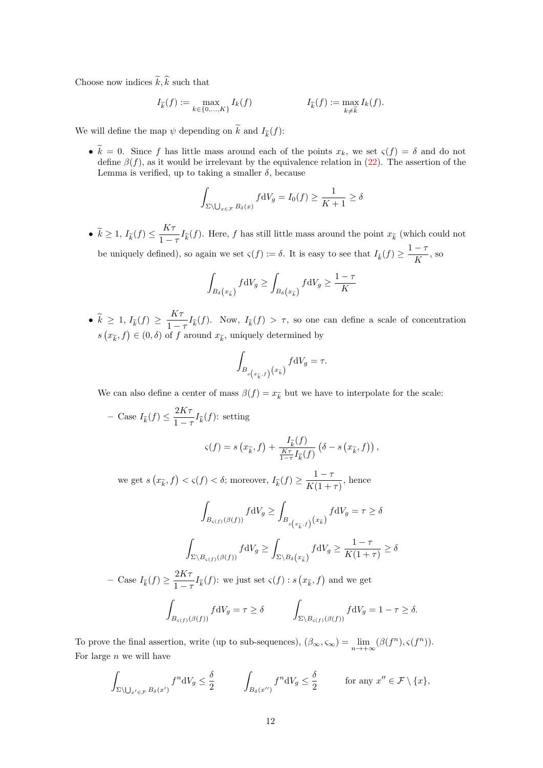Choose now indices  $\tilde{k}, \hat{k}$  such that

$$
I_{\widetilde{k}}(f) := \max_{k \in \{0, \ldots, K\}} I_k(f) \qquad I_{\widehat{k}}(f) := \max_{k \neq \widetilde{k}} I_k(f).
$$

We will define the map  $\psi$  depending on k and  $I_{\tilde{k}}(f)$ :

•  $\widetilde{k} = 0$ . Since f has little mass around each of the points  $x_k$ , we set  $\varsigma(f) = \delta$  and do not define  $\beta(f)$ , as it would be irrelevant by the equivalence relation in [\(22\)](#page-10-1). The assertion of the Lemma is verified, up to taking a smaller  $\delta$ , because

$$
\int_{\Sigma \setminus \bigcup_{x \in \mathcal{F}} B_{\delta}(x)} f \, dV_g = I_0(f) \ge \frac{1}{K+1} \ge \delta
$$

•  $\widetilde{k} \geq 1, I_{\widetilde{k}}(f) \leq \frac{K\tau}{1-\tau}$  $\frac{1}{1-\tau}I_{\hat{k}}(f)$ . Here, f has still little mass around the point  $x_{\tilde{k}}$  (which could not

be uniquely defined), so again we set  $\varsigma(f) := \delta$ . It is easy to see that  $I_{\hat{k}}(f) \geq \frac{1 - \tau}{K}$  $\frac{1}{K}$ , so

$$
\int_{B_{\delta}(x_{\widetilde{k}})} f \mathrm{d}V_g \ge \int_{B_{\delta}(x_{\widehat{k}})} f \mathrm{d}V_g \ge \frac{1-\tau}{K}
$$

•  $\widetilde{k} \geq 1, I_{\widetilde{k}}(f) \geq \frac{K\tau}{1-\tau}$  $\frac{1}{1-\tau}I_{\hat{k}}(f)$ . Now,  $I_{\hat{k}}(f) > \tau$ , so one can define a scale of concentration  $s(x_{\widetilde{k}}, f) \in (0, \delta)$  of f around  $x_{\widetilde{k}}$ , uniquely determined by

$$
\int_{B_{s\left(x_{\tilde{k}},f\right)}\left(x_{\tilde{k}}\right)}f\mathrm{d}V_g=\tau.
$$

We can also define a center of mass  $\beta(f) = x_{\widetilde{k}}$  but we have to interpolate for the scale:

- Case 
$$
I_{\tilde{k}}(f) \leq \frac{2K\tau}{1-\tau} I_{\hat{k}}(f)
$$
: setting  
\n
$$
\varsigma(f) = s(x_{\tilde{k}}, f) + \frac{I_{\tilde{k}}(f)}{\frac{K\tau}{1-\tau} I_{\hat{k}}(f)} \left( \delta - s(x_{\tilde{k}}, f) \right),
$$
\n
$$
\text{we get } s(x_{\tilde{k}}, f) < \varsigma(f) < \delta \text{: moreover, } I_{\tilde{k}}(f) > \frac{1-\tau}{1-\tau} \quad \text{ hence}
$$

we get  $s(x_{\widetilde{k}}, f) < s(f) < \delta$ ; moreover,  $I_{\widehat{k}}(f) \ge \frac{1 - \tau}{K(1 + \epsilon)}$  $\frac{1}{K(1+\tau)}$ , hence

$$
\int_{B_{\varsigma(f)}(\beta(f))} f \, dV_g \ge \int_{B_{s(x_{\widetilde{k}},f)}} f \, dV_g = \tau \ge \delta
$$
\n
$$
\int_{\Sigma \backslash B_{\varsigma(f)}(\beta(f))} f \, dV_g \ge \int_{\Sigma \backslash B_{\delta}(x_{\widetilde{k}})} f \, dV_g \ge \frac{1-\tau}{K(1+\tau)} \ge \delta
$$
\n- Case  $I_{\widetilde{k}}(f) \ge \frac{2K\tau}{1-\tau} I_{\widehat{k}}(f)$ : we just set  $\varsigma(f) : s(x_{\widetilde{k}}, f)$  and we get\n
$$
\int_{B_{\varsigma(f)}(\beta(f))} f \, dV_g = \tau \ge \delta \qquad \int_{\Sigma \backslash B_{\varsigma(f)}(\beta(f))} f \, dV_g = 1 - \tau \ge \delta.
$$

To prove the final assertion, write (up to sub-sequences),  $(\beta_{\infty}, \varsigma_{\infty}) = \lim_{n \to +\infty} (\beta(f^n), \varsigma(f^n)).$ For large  $n$  we will have

$$
\int_{\Sigma \setminus \bigcup_{x' \in \mathcal{F}} B_{\delta}(x')} f^n dV_g \leq \frac{\delta}{2} \qquad \int_{B_{\delta}(x'')} f^n dV_g \leq \frac{\delta}{2} \qquad \text{for any } x'' \in \mathcal{F} \setminus \{x\},
$$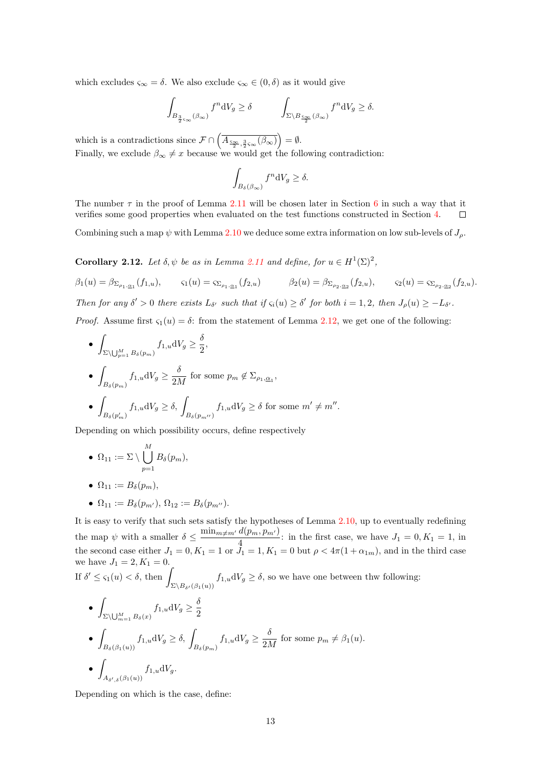which excludes  $\varsigma_{\infty} = \delta$ . We also exclude  $\varsigma_{\infty} \in (0, \delta)$  as it would give

$$
\int_{B_{\frac{3}{2}\varsigma_{\infty}}(\beta_{\infty})} f^{n} \mathrm{d}V_{g} \ge \delta \qquad \qquad \int_{\Sigma \backslash B_{\frac{\varsigma_{\infty}}{2}}(\beta_{\infty})} f^{n} \mathrm{d}V_{g} \ge \delta.
$$

which is a contradictions since  $\mathcal{F} \cap \left( \overline{A_{\frac{\varsigma_{\infty}}{2}, \frac{3}{2} \varsigma_{\infty}}(\beta_{\infty})} \right) = \emptyset$ . Finally, we exclude  $\beta_{\infty} \neq x$  because we would get the following contradiction:

$$
\int_{B_\delta(\beta_\infty)} f^n \mathrm{d} V_g \ge \delta.
$$

The number  $\tau$  in the proof of Lemma [2.11](#page-10-2) will be chosen later in Section [6](#page-30-0) in such a way that it verifies some good properties when evaluated on the test functions constructed in Section [4.](#page-15-0)  $\Box$ 

Combining such a map  $\psi$  with Lemma [2.10](#page-9-2) we deduce some extra information on low sub-levels of  $J_{\rho}$ .

<span id="page-12-0"></span>**Corollary 2.12.** Let  $\delta, \psi$  be as in Lemma [2.11](#page-10-2) and define, for  $u \in H^1(\Sigma)^2$ ,

 $\beta_1(u) = \beta_{\sum_{\rho_1,\alpha_1}}(f_{1,u}),$   $\varsigma_1(u) = \varsigma_{\sum_{\rho_1,\alpha_1}}(f_{2,u})$   $\beta_2(u) = \beta_{\sum_{\rho_2,\alpha_2}}(f_{2,u}),$   $\varsigma_2(u) = \varsigma_{\sum_{\rho_2,\alpha_2}}(f_{2,u}).$ Then for any  $\delta' > 0$  there exists  $L_{\delta'}$  such that if  $\varsigma_i(u) \geq \delta'$  for both  $i = 1, 2$ , then  $J_\rho(u) \geq -L_{\delta'}$ .

*Proof.* Assume first  $\varsigma_1(u) = \delta$ : from the statement of Lemma [2.12,](#page-12-0) we get one of the following:

\n- \n
$$
\int_{\Sigma \setminus \bigcup_{p=1}^{M} B_{\delta}(p_m)} f_{1,u} \, dV_g \geq \frac{\delta}{2},
$$
\n
\n- \n
$$
\int_{B_{\delta}(p_m)} f_{1,u} \, dV_g \geq \frac{\delta}{2M} \text{ for some } p_m \notin \Sigma_{\rho_1, \underline{\alpha}_1},
$$
\n
\n- \n
$$
\int_{B_{\delta}(p'_m)} f_{1,u} \, dV_g \geq \delta, \int_{B_{\delta}(p_{m'})} f_{1,u} \, dV_g \geq \delta \text{ for some } m' \neq m''.
$$
\n
\n

Depending on which possibility occurs, define respectively

- $\bullet \ \ \Omega_{11} := \Sigma \setminus \bigcup^M$  $p=1$  $B_\delta(p_m),$
- $\Omega_{11} := B_{\delta}(p_m)$ ,
- $\Omega_{11} := B_{\delta}(p_{m'})$ ,  $\Omega_{12} := B_{\delta}(p_{m''})$ .

It is easy to verify that such sets satisfy the hypotheses of Lemma [2.10,](#page-9-2) up to eventually redefining the map  $\psi$  with a smaller  $\delta \leq \frac{\min_{m \neq m'} d(p_m, p_{m'})}{4}$  $\frac{d(m, p_m)}{4}$ : in the first case, we have  $J_1 = 0, K_1 = 1$ , in the second case either  $J_1 = 0, K_1 = 1$  or  $J_1 = 1, K_1 = 0$  but  $\rho < 4\pi(1 + \alpha_{1m})$ , and in the third case we have  $J_1 = 2, K_1 = 0$ .

If  $\delta' \leq \varsigma_1(u) < \delta$ , then  $\Sigma\backslash B_{\delta'}(\beta_1(u))$  $f_{1,u}dV_g \geq \delta$ , so we have one between thw following:

\n- \n
$$
\int_{\Sigma \setminus \bigcup_{m=1}^{M} B_{\delta}(x)} f_{1,u} \, dV_g \geq \frac{\delta}{2}
$$
\n
\n- \n
$$
\int_{B_{\delta}(\beta_1(u))} f_{1,u} \, dV_g \geq \delta, \int_{B_{\delta}(p_m)} f_{1,u} \, dV_g \geq \frac{\delta}{2M} \text{ for some } p_m \neq \beta_1(u).
$$
\n
\n- \n
$$
\int_{A_{\delta',\delta}(\beta_1(u))} f_{1,u} \, dV_g.
$$
\n
\n

Depending on which is the case, define: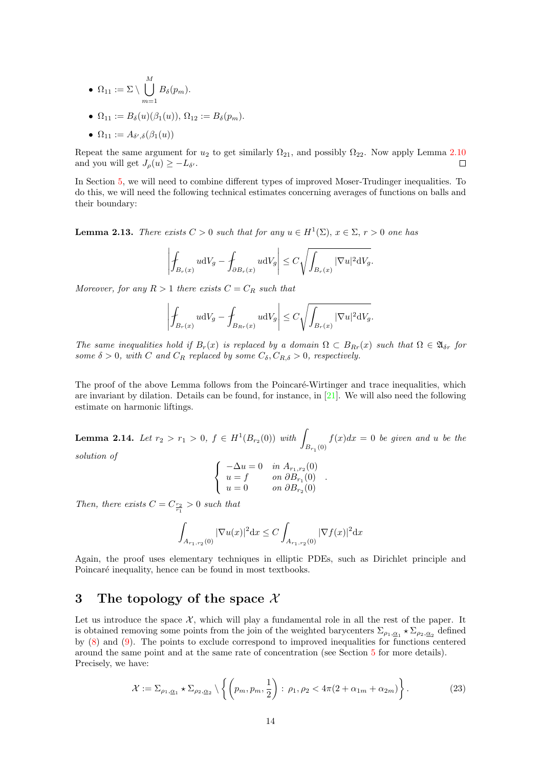• 
$$
\Omega_{11} := \Sigma \setminus \bigcup_{m=1}^{M} B_{\delta}(p_m).
$$

$$
\bullet \ \Omega_{11} := B_{\delta}(u)(\beta_1(u)), \ \Omega_{12} := B_{\delta}(p_m).
$$

$$
\bullet \ \Omega_{11} := A_{\delta',\delta}(\beta_1(u))
$$

Repeat the same argument for  $u_2$  to get similarly  $\Omega_{21}$ , and possibly  $\Omega_{22}$ . Now apply Lemma [2.10](#page-9-2)  $\Box$ and you will get  $J_{\rho}(u) \geq -L_{\delta}$ .

In Section [5,](#page-20-0) we will need to combine different types of improved Moser-Trudinger inequalities. To do this, we will need the following technical estimates concerning averages of functions on balls and their boundary:

<span id="page-13-2"></span>**Lemma 2.13.** There exists  $C > 0$  such that for any  $u \in H^1(\Sigma)$ ,  $x \in \Sigma$ ,  $r > 0$  one has

$$
\left| \int_{B_r(x)} u \mathrm{d} V_g - \int_{\partial B_r(x)} u \mathrm{d} V_g \right| \leq C \sqrt{\int_{B_r(x)} |\nabla u|^2 \mathrm{d} V_g}.
$$

Moreover, for any  $R > 1$  there exists  $C = C_R$  such that

$$
\left| \int_{B_r(x)} u \mathrm{d}V_g - \int_{B_{Rr}(x)} u \mathrm{d}V_g \right| \leq C \sqrt{\int_{B_r(x)} |\nabla u|^2 \mathrm{d}V_g}.
$$

The same inequalities hold if  $B_r(x)$  is replaced by a domain  $\Omega \subset B_{Rr}(x)$  such that  $\Omega \in \mathfrak{A}_{\delta r}$  for some  $\delta > 0$ , with C and  $C_R$  replaced by some  $C_{\delta}, C_{R,\delta} > 0$ , respectively.

The proof of the above Lemma follows from the Poincaré-Wirtinger and trace inequalities, which are invariant by dilation. Details can be found, for instance, in [\[21\]](#page-39-21). We will also need the following estimate on harmonic liftings.

<span id="page-13-3"></span>Lemma 2.14. Let  $r_2 > r_1 > 0$ ,  $f \in H^1(B_{r_2}(0))$  with  $B_{r_1}(0)$  $f(x)dx = 0$  be given and u be the

solution of

$$
\left\{ \begin{array}{ll} -\Delta u=0 & \text{ in }A_{r_1,r_2}(0) \\ u=f & \text{ on } \partial B_{r_1}(0) \\ u=0 & \text{ on } \partial B_{r_2}(0) \end{array} \right.
$$

.

Then, there exists  $C = C_{\frac{r_2}{r_1}} > 0$  such that

$$
\int_{A_{r_1,r_2}(0)}|\nabla u(x)|^2{\rm d}x\leq C\int_{A_{r_1,r_2}(0)}|\nabla f(x)|^2{\rm d}x
$$

Again, the proof uses elementary techniques in elliptic PDEs, such as Dirichlet principle and Poincaré inequality, hence can be found in most textbooks.

## <span id="page-13-0"></span>3 The topology of the space  $\mathcal X$

Let us introduce the space  $X$ , which will play a fundamental role in all the rest of the paper. It is obtained removing some points from the join of the weighted barycenters  $\Sigma_{\rho_1,\underline{\alpha}_1} \star \Sigma_{\rho_2,\underline{\alpha}_2}$  defined by [\(8\)](#page-2-2) and [\(9\)](#page-3-2). The points to exclude correspond to improved inequalities for functions centered around the same point and at the same rate of concentration (see Section [5](#page-20-0) for more details). Precisely, we have:

<span id="page-13-1"></span>
$$
\mathcal{X} := \Sigma_{\rho_1, \underline{\alpha}_1} \star \Sigma_{\rho_2, \underline{\alpha}_2} \setminus \left\{ \left( p_m, p_m, \frac{1}{2} \right) : \rho_1, \rho_2 < 4\pi (2 + \alpha_{1m} + \alpha_{2m}) \right\}.
$$
\n<sup>(23)</sup>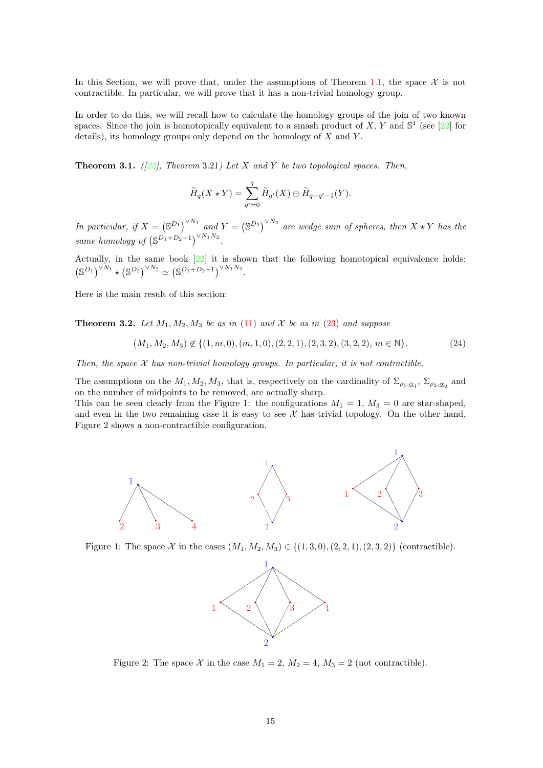In this Section, we will prove that, under the assumptions of Theorem [1.1,](#page-3-1) the space  $\mathcal X$  is not contractible. In particular, we will prove that it has a non-trivial homology group.

In order to do this, we will recall how to calculate the homology groups of the join of two known spaces. Since the join is homotopically equivalent to a smash product of X, Y and  $\mathbb{S}^1$  (see [\[22\]](#page-39-17) for details), its homology groups only depend on the homology of  $X$  and  $Y$ .

<span id="page-14-1"></span>**Theorem 3.1.** ([\[22\]](#page-39-17), Theorem 3.21) Let X and Y be two topological spaces. Then,

$$
\widetilde{H}_q(X \star Y) = \sum_{q'=0}^q \widetilde{H}_{q'}(X) \oplus \widetilde{H}_{q-q'-1}(Y).
$$

In particular, if  $X = (\mathbb{S}^{D_1})^{\vee N_1}$  and  $Y = (\mathbb{S}^{D_2})^{\vee N_2}$  are wedge sum of spheres, then  $X \star Y$  has the same homology of  $(\mathbb{S}^{D_1+D_2+1})^{\vee N_1N_2}$ .

Actually, in the same book [\[22\]](#page-39-17) it is shown that the following homotopical equivalence holds:  $(S^{D_1})^{\vee N_1} \star (S^{D_2})^{\vee N_2} \simeq (S^{D_1+D_2+1})^{\vee N_1 N_2}.$ 

Here is the main result of this section:

<span id="page-14-0"></span>**Theorem 3.2.** Let  $M_1, M_2, M_3$  be as in [\(11\)](#page-4-2) and X be as in [\(23\)](#page-13-1) and suppose

<span id="page-14-2"></span>
$$
(M_1, M_2, M_3) \notin \{ (1, m, 0), (m, 1, 0), (2, 2, 1), (2, 3, 2), (3, 2, 2), m \in \mathbb{N} \}. \tag{24}
$$

Then, the space  $X$  has non-trivial homology groups. In particular, it is not contractible.

The assumptions on the  $M_1, M_2, M_3$ , that is, respectively on the cardinality of  $\Sigma_{\rho_1,\underline{\alpha}_1}$ ,  $\Sigma_{\rho_2,\underline{\alpha}_2}$  and on the number of midpoints to be removed, are actually sharp.

This can be seen clearly from the Figure 1: the configurations  $M_1 = 1$ ,  $M_3 = 0$  are star-shaped, and even in the two remaining case it is easy to see  $\mathcal X$  has trivial topology. On the other hand, Figure 2 shows a non-contractible configuration.



Figure 1: The space X in the cases  $(M_1, M_2, M_3) \in \{(1, 3, 0), (2, 2, 1), (2, 3, 2)\}$  (contractible).



Figure 2: The space X in the case  $M_1 = 2$ ,  $M_2 = 4$ ,  $M_3 = 2$  (not contractible).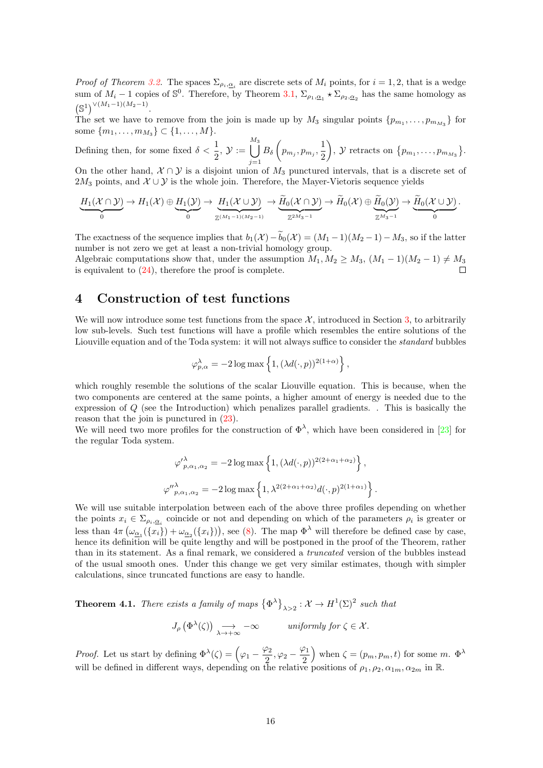*Proof of Theorem [3.2.](#page-14-0)* The spaces  $\Sigma_{\rho_i,\underline{\alpha}_i}$  are discrete sets of  $M_i$  points, for  $i = 1,2$ , that is a wedge sum of  $M_i - 1$  copies of  $\mathbb{S}^0$ . Therefore, by Theorem [3.1,](#page-14-1)  $\Sigma_{\rho_1,\underline{\alpha_1}} \star \Sigma_{\rho_2,\underline{\alpha_2}}$  has the same homology as  $(\mathbb{S}^1)^{\vee (M_1-1)(M_2-1)}.$ 

The set we have to remove from the join is made up by  $M_3$  singular points  $\{p_{m_1}, \ldots, p_{m_{M_3}}\}$  for some  $\{m_1, \ldots, m_{M_3}\} \subset \{1, \ldots, M\}.$ 

Defining then, for some fixed  $\delta < \frac{1}{2}$ ,  $\mathcal{Y} :=$  $\frac{M_3}{\vert}$  $j=1$  $B_{\delta}\left(p_{m_j},p_{m_j},\frac{1}{2}\right)$ 2 ),  $\mathcal{Y}$  retracts on  $\{p_{m_1}, \ldots, p_{m_{M_3}}\}.$ 

On the other hand,  $X \cap Y$  is a disjoint union of  $M_3$  punctured intervals, that is a discrete set of 2M<sub>3</sub> points, and  $\mathcal{X} \cup \mathcal{Y}$  is the whole join. Therefore, the Mayer-Vietoris sequence yields

$$
\underbrace{H_1(\mathcal{X} \cap \mathcal{Y})}_{0} \to H_1(\mathcal{X}) \oplus \underbrace{H_1(\mathcal{Y})}_{0} \to \underbrace{H_1(\mathcal{X} \cup \mathcal{Y})}_{\mathbb{Z}^{(M_1-1)(M_2-1)}} \to \underbrace{\widetilde{H}_0(\mathcal{X} \cap \mathcal{Y})}_{\mathbb{Z}^{2M_3-1}} \to \widetilde{H}_0(\mathcal{X}) \oplus \underbrace{\widetilde{H}_0(\mathcal{Y})}_{\mathbb{Z}^{M_3-1}} \to \underbrace{\widetilde{H}_0(\mathcal{X} \cup \mathcal{Y})}_{0}.
$$

The exactness of the sequence implies that  $b_1(\mathcal{X})-\widetilde{b}_0(\mathcal{X}) = (M_1-1)(M_2-1)-M_3$ , so if the latter number is not zero we get at least a non-trivial homology group.

Algebraic computations show that, under the assumption  $M_1, M_2 \geq M_3$ ,  $(M_1 - 1)(M_2 - 1) \neq M_3$ is equivalent to [\(24\)](#page-14-2), therefore the proof is complete.

## <span id="page-15-0"></span>4 Construction of test functions

We will now introduce some test functions from the space  $\mathcal{X}$ , introduced in Section [3,](#page-13-0) to arbitrarily low sub-levels. Such test functions will have a profile which resembles the entire solutions of the Liouville equation and of the Toda system: it will not always suffice to consider the *standard* bubbles

$$
\varphi_{p,\alpha}^{\lambda} = -2 \log \max \left\{ 1, (\lambda d(\cdot, p))^{2(1+\alpha)} \right\},\,
$$

which roughly resemble the solutions of the scalar Liouville equation. This is because, when the two components are centered at the same points, a higher amount of energy is needed due to the expression of Q (see the Introduction) which penalizes parallel gradients. . This is basically the reason that the join is punctured in [\(23\)](#page-13-1).

We will need two more profiles for the construction of  $\Phi^{\lambda}$ , which have been considered in [\[23\]](#page-39-14) for the regular Toda system.

$$
\varphi'_{p,\alpha_1,\alpha_2}^{\lambda} = -2 \log \max \left\{ 1, (\lambda d(\cdot, p))^{2(2+\alpha_1+\alpha_2)} \right\},
$$
  

$$
\varphi''_{p,\alpha_1,\alpha_2}^{\lambda} = -2 \log \max \left\{ 1, \lambda^{2(2+\alpha_1+\alpha_2)} d(\cdot, p)^{2(1+\alpha_1)} \right\}.
$$

We will use suitable interpolation between each of the above three profiles depending on whether the points  $x_i \in \Sigma_{\rho_i, \underline{\alpha}_i}$  coincide or not and depending on which of the parameters  $\rho_i$  is greater or less than  $4\pi \left(\omega_{\underline{\alpha}_1}(\{x_i\}) + \omega_{\underline{\alpha}_2}(\{x_i\})\right)$ , see [\(8\)](#page-2-2). The map  $\Phi^{\lambda}$  will therefore be defined case by case, hence its definition will be quite lengthy and will be postponed in the proof of the Theorem, rather than in its statement. As a final remark, we considered a truncated version of the bubbles instead of the usual smooth ones. Under this change we get very similar estimates, though with simpler calculations, since truncated functions are easy to handle.

<span id="page-15-1"></span>**Theorem 4.1.** There exists a family of maps  $\{\Phi^{\lambda}\}_{\lambda>2} : \mathcal{X} \to H^1(\Sigma)^2$  such that

$$
J_{\rho}\left(\Phi^{\lambda}(\zeta)\right) \underset{\lambda \to +\infty}{\longrightarrow} -\infty \quad \text{uniformly for } \zeta \in \mathcal{X}.
$$

*Proof.* Let us start by defining  $\Phi^{\lambda}(\zeta) = \left(\varphi_1 - \frac{\varphi_2}{2}\right)$  $\frac{\varphi_2}{2}, \varphi_2 - \frac{\varphi_1}{2}$ 2 when  $\zeta = (p_m, p_m, t)$  for some m.  $\Phi^{\lambda}$ will be defined in different ways, depending on the relative positions of  $\rho_1, \rho_2, \alpha_{1m}, \alpha_{2m}$  in R.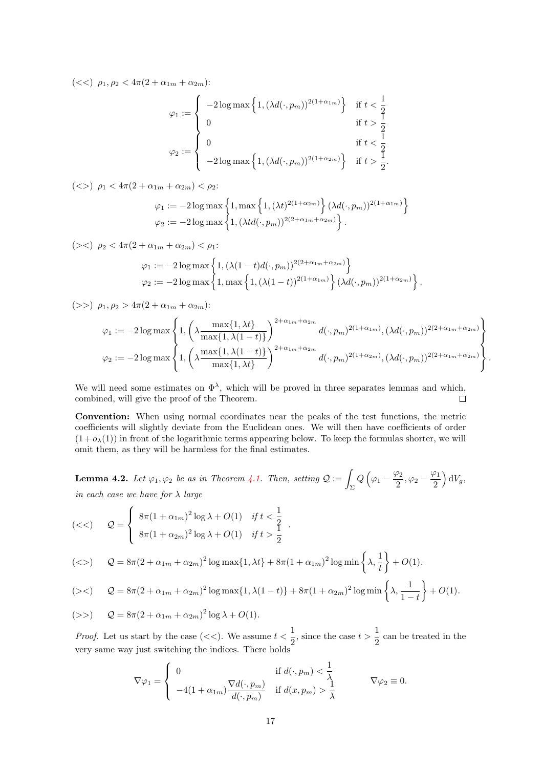(<<)  $\rho_1, \rho_2 < 4\pi(2 + \alpha_{1m} + \alpha_{2m})$ :

$$
\varphi_1 := \begin{cases}\n-2\log \max\left\{1, (\lambda d(\cdot, p_m))^{2(1+\alpha_{1m})}\right\} & \text{if } t < \frac{1}{2} \\
0 & \text{if } t > \frac{1}{2} \\
0 & \text{if } t < \frac{1}{2} \\
-2\log \max\left\{1, (\lambda d(\cdot, p_m))^{2(1+\alpha_{2m})}\right\} & \text{if } t > \frac{1}{2}.\n\end{cases}
$$

(
$$
>
$$
)  $\rho_1 < 4\pi (2 + \alpha_{1m} + \alpha_{2m}) < \rho_2$ :

$$
\varphi_1 := -2 \log \max \left\{ 1, \max \left\{ 1, (\lambda t)^{2(1+\alpha_{2m})} \right\} (\lambda d(\cdot, p_m))^{2(1+\alpha_{1m})} \right\}
$$
  

$$
\varphi_2 := -2 \log \max \left\{ 1, (\lambda t d(\cdot, p_m))^{2(2+\alpha_{1m}+\alpha_{2m})} \right\}.
$$

(
$$
>
$$
)  $\rho_2 < 4\pi (2 + \alpha_{1m} + \alpha_{2m}) < \rho_1$ :

$$
\varphi_1 := -2 \log \max \left\{ 1, (\lambda(1-t)d(\cdot, p_m))^{2(2+\alpha_{1m}+\alpha_{2m})} \right\}
$$
  

$$
\varphi_2 := -2 \log \max \left\{ 1, \max \left\{ 1, (\lambda(1-t))^{2(1+\alpha_{1m})} \right\} (\lambda d(\cdot, p_m))^{2(1+\alpha_{2m})} \right\}.
$$

$$
(\gg) \ \rho_1, \rho_2 > 4\pi (2 + \alpha_{1m} + \alpha_{2m});
$$

$$
\varphi_1 := -2 \log \max \left\{ 1, \left( \lambda \frac{\max\{1, \lambda t\}}{\max\{1, \lambda(1-t)\}} \right)^{2+\alpha_{1m}+\alpha_{2m}} d(\cdot, p_m)^{2(1+\alpha_{1m})}, (\lambda d(\cdot, p_m))^{2(2+\alpha_{1m}+\alpha_{2m})} \right\}
$$
  

$$
\varphi_2 := -2 \log \max \left\{ 1, \left( \lambda \frac{\max\{1, \lambda(1-t)\}}{\max\{1, \lambda t\}} \right)^{2+\alpha_{1m}+\alpha_{2m}} d(\cdot, p_m)^{2(1+\alpha_{2m})}, (\lambda d(\cdot, p_m))^{2(2+\alpha_{1m}+\alpha_{2m})} \right\}.
$$

We will need some estimates on  $\Phi^{\lambda}$ , which will be proved in three separates lemmas and which, combined, will give the proof of the Theorem.  $\Box$ 

Convention: When using normal coordinates near the peaks of the test functions, the metric coefficients will slightly deviate from the Euclidean ones. We will then have coefficients of order  $(1 + o<sub>\lambda</sub>(1))$  in front of the logarithmic terms appearing below. To keep the formulas shorter, we will omit them, as they will be harmless for the final estimates.

<span id="page-16-0"></span>**Lemma 4.2.** Let  $\varphi_1, \varphi_2$  be as in Theorem [4.1.](#page-15-1) Then, setting  $\mathcal{Q} := \int_{\Sigma}$  $Q\left(\varphi_1-\frac{\varphi_2}{2}\right)$  $\frac{\rho_2}{2}, \varphi_2 - \frac{\varphi_1}{2}$ 2  $\Big) dV_g,$ in each case we have for  $\lambda$  large

.

(*<*) 
$$
Q = \begin{cases} 8\pi (1 + \alpha_{1m})^2 \log \lambda + O(1) & \text{if } t < \frac{1}{2} \\ 8\pi (1 + \alpha_{2m})^2 \log \lambda + O(1) & \text{if } t > \frac{1}{2} \end{cases}
$$

$$
(<>) \quad Q = 8\pi (2 + \alpha_{1m} + \alpha_{2m})^2 \log \max\{1, \lambda t\} + 8\pi (1 + \alpha_{1m})^2 \log \min\left\{\lambda, \frac{1}{t}\right\} + O(1).
$$

$$
(\gtlt) \qquad Q = 8\pi (2 + \alpha_{1m} + \alpha_{2m})^2 \log \max\{1, \lambda(1-t)\} + 8\pi (1 + \alpha_{2m})^2 \log \min\left\{\lambda, \frac{1}{1-t}\right\} + O(1).
$$

$$
(\gg) \qquad Q = 8\pi (2 + \alpha_{1m} + \alpha_{2m})^2 \log \lambda + O(1).
$$

*Proof.* Let us start by the case (<<). We assume  $t < \frac{1}{2}$  $\frac{1}{2}$ , since the case  $t > \frac{1}{2}$  $\frac{1}{2}$  can be treated in the very same way just switching the indices. There holds

$$
\nabla \varphi_1 = \begin{cases} 0 & \text{if } d(\cdot, p_m) < \frac{1}{\lambda} \\ -4(1 + \alpha_{1m}) \frac{\nabla d(\cdot, p_m)}{d(\cdot, p_m)} & \text{if } d(x, p_m) > \frac{1}{\lambda} \end{cases} \qquad \nabla \varphi_2 \equiv 0.
$$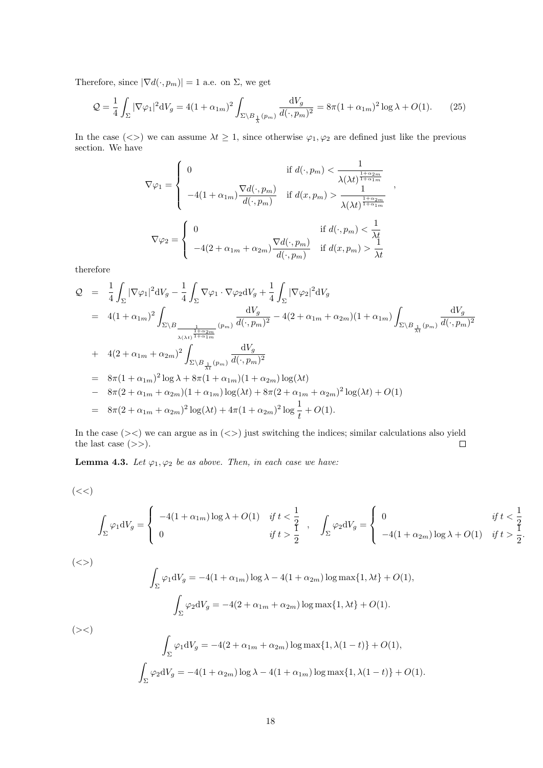Therefore, since  $|\nabla d(\cdot,p_m)|=1$  a.e. on  $\Sigma,$  we get

$$
Q = \frac{1}{4} \int_{\Sigma} |\nabla \varphi_1|^2 dV_g = 4(1 + \alpha_{1m})^2 \int_{\Sigma \backslash B_{\frac{1}{\lambda}}(p_m)} \frac{dV_g}{d(\cdot, p_m)^2} = 8\pi (1 + \alpha_{1m})^2 \log \lambda + O(1). \tag{25}
$$

In the case (<>) we can assume  $\lambda t \geq 1$ , since otherwise  $\varphi_1, \varphi_2$  are defined just like the previous section. We have

$$
\nabla \varphi_1 = \begin{cases}\n0 & \text{if } d(\cdot, p_m) < \frac{1}{\lambda(\lambda t)^{\frac{1+\alpha_{2m}}{1+\alpha_{1m}}}} \\
-4(1+\alpha_{1m})\frac{\nabla d(\cdot, p_m)}{d(\cdot, p_m)} & \text{if } d(x, p_m) > \frac{1}{\lambda(\lambda t)^{\frac{1+\alpha_{2m}}{1+\alpha_{1m}}}} \\
\nabla \varphi_2 = \begin{cases}\n0 & \text{if } d(\cdot, p_m) < \frac{1}{\lambda t} \\
-4(2+\alpha_{1m}+\alpha_{2m})\frac{\nabla d(\cdot, p_m)}{d(\cdot, p_m)} & \text{if } d(x, p_m) > \frac{1}{\lambda t}\n\end{cases}\n\end{cases}
$$

therefore

$$
Q = \frac{1}{4} \int_{\Sigma} |\nabla \varphi_1|^2 dV_g - \frac{1}{4} \int_{\Sigma} \nabla \varphi_1 \cdot \nabla \varphi_2 dV_g + \frac{1}{4} \int_{\Sigma} |\nabla \varphi_2|^2 dV_g
$$
  
\n
$$
= 4(1 + \alpha_{1m})^2 \int_{\Sigma \backslash B} \frac{dV_g}{\frac{1}{\lambda(\lambda t)^{\frac{1+\alpha_{2m}}{1+\alpha_{1m}}}} (p_m) d(\cdot, p_m)^2} - 4(2 + \alpha_{1m} + \alpha_{2m})(1 + \alpha_{1m}) \int_{\Sigma \backslash B} \frac{dV_g}{\lambda_t^2} (p_m) d(\cdot, p_m)^2
$$
  
\n+ 4(2 + \alpha\_{1m} + \alpha\_{2m})^2 \int\_{\Sigma \backslash B} \frac{dV\_g}{\lambda\_t^2} (p\_m) d(\cdot, p\_m)^2  
\n= 8\pi (1 + \alpha\_{1m})^2 \log \lambda + 8\pi (1 + \alpha\_{1m})(1 + \alpha\_{2m}) \log(\lambda t)  
\n- 8\pi (2 + \alpha\_{1m} + \alpha\_{2m})(1 + \alpha\_{1m}) \log(\lambda t) + 8\pi (2 + \alpha\_{1m} + \alpha\_{2m})^2 \log(\lambda t) + O(1)  
\n= 8\pi (2 + \alpha\_{1m} + \alpha\_{2m})^2 \log(\lambda t) + 4\pi (1 + \alpha\_{2m})^2 \log \frac{1}{t} + O(1).

In the case  $(\geq)$  we can argue as in  $(\leq)$  just switching the indices; similar calculations also yield the last case  $(\gg).$  $\Box$ 

<span id="page-17-0"></span>**Lemma 4.3.** Let  $\varphi_1, \varphi_2$  be as above. Then, in each case we have:

$$
(<\!<)
$$

$$
\int_{\Sigma} \varphi_1 dV_g = \begin{cases}\n-4(1+\alpha_{1m})\log \lambda + O(1) & \text{if } t < \frac{1}{2} \\
0 & \text{if } t > \frac{1}{2}\n\end{cases},\n\int_{\Sigma} \varphi_2 dV_g = \begin{cases}\n0 & \text{if } t < \frac{1}{2} \\
-4(1+\alpha_{2m})\log \lambda + O(1) & \text{if } t > \frac{1}{2}.\n\end{cases}
$$

 $(\ll>)$ 

$$
\int_{\Sigma} \varphi_1 dV_g = -4(1 + \alpha_{1m}) \log \lambda - 4(1 + \alpha_{2m}) \log \max\{1, \lambda t\} + O(1),
$$

$$
\int_{\Sigma} \varphi_2 dV_g = -4(2 + \alpha_{1m} + \alpha_{2m}) \log \max\{1, \lambda t\} + O(1).
$$

 $(\ge\lt)$ 

$$
\int_{\Sigma} \varphi_1 dV_g = -4(2 + \alpha_{1m} + \alpha_{2m}) \log \max\{1, \lambda(1-t)\} + O(1),
$$

$$
\int_{\Sigma} \varphi_2 dV_g = -4(1 + \alpha_{2m}) \log \lambda - 4(1 + \alpha_{1m}) \log \max\{1, \lambda(1-t)\} + O(1).
$$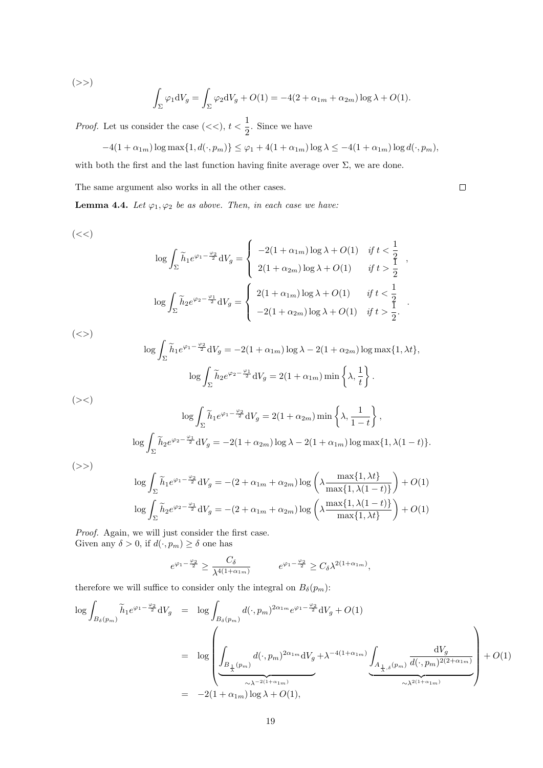$(>>)$ 

$$
\int_{\Sigma} \varphi_1 dV_g = \int_{\Sigma} \varphi_2 dV_g + O(1) = -4(2 + \alpha_{1m} + \alpha_{2m}) \log \lambda + O(1).
$$

*Proof.* Let us consider the case  $(<, t < \frac{1}{2})$  $\frac{1}{2}$ . Since we have

$$
-4(1+\alpha_{1m})\log\max\{1,d(\cdot,p_m)\}\leq\varphi_1+4(1+\alpha_{1m})\log\lambda\leq-4(1+\alpha_{1m})\log d(\cdot,p_m),
$$

with both the first and the last function having finite average over  $\Sigma$ , we are done.

The same argument also works in all the other cases.

<span id="page-18-0"></span>**Lemma 4.4.** Let  $\varphi_1, \varphi_2$  be as above. Then, in each case we have:

 $(< <)$ 

$$
\log \int_{\Sigma} \widetilde{h}_1 e^{\varphi_1 - \frac{\varphi_2}{2}} dV_g = \begin{cases}\n-2(1 + \alpha_{1m}) \log \lambda + O(1) & \text{if } t < \frac{1}{2} \\
2(1 + \alpha_{2m}) \log \lambda + O(1) & \text{if } t > \frac{1}{2}\n\end{cases}
$$
\n
$$
\log \int_{\Sigma} \widetilde{h}_2 e^{\varphi_2 - \frac{\varphi_1}{2}} dV_g = \begin{cases}\n2(1 + \alpha_{1m}) \log \lambda + O(1) & \text{if } t < \frac{1}{2} \\
-2(1 + \alpha_{2m}) \log \lambda + O(1) & \text{if } t > \frac{1}{2}.\n\end{cases}
$$

,

 $\Box$ 

.

 $(<>)$ 

$$
\log \int_{\Sigma} \tilde{h}_1 e^{\varphi_1 - \frac{\varphi_2}{2}} dV_g = -2(1 + \alpha_{1m}) \log \lambda - 2(1 + \alpha_{2m}) \log \max\{1, \lambda t\},
$$

$$
\log \int_{\Sigma} \tilde{h}_2 e^{\varphi_2 - \frac{\varphi_1}{2}} dV_g = 2(1 + \alpha_{1m}) \min\left\{\lambda, \frac{1}{t}\right\}.
$$

$$
\log \int_{\Sigma} \widetilde{h}_1 e^{\varphi_1 - \frac{\varphi_2}{2}} dV_g = 2(1 + \alpha_{2m}) \min \left\{ \lambda, \frac{1}{1 - t} \right\},
$$

$$
\log \int_{\Sigma} \widetilde{h}_2 e^{\varphi_2 - \frac{\varphi_1}{2}} dV_g = -2(1 + \alpha_{2m}) \log \lambda - 2(1 + \alpha_{1m}) \log \max \{ 1, \lambda (1 - t) \}.
$$

 $(>>)$ 

 $(\geqslant)$ 

$$
\log \int_{\Sigma} \tilde{h}_1 e^{\varphi_1 - \frac{\varphi_2}{2}} dV_g = -(2 + \alpha_{1m} + \alpha_{2m}) \log \left( \lambda \frac{\max\{1, \lambda t\}}{\max\{1, \lambda(1 - t)\}} \right) + O(1)
$$
  

$$
\log \int_{\Sigma} \tilde{h}_2 e^{\varphi_2 - \frac{\varphi_1}{2}} dV_g = -(2 + \alpha_{1m} + \alpha_{2m}) \log \left( \lambda \frac{\max\{1, \lambda(1 - t)\}}{\max\{1, \lambda t\}} \right) + O(1)
$$

Proof. Again, we will just consider the first case. Given any  $\delta > 0$ , if  $d(\cdot, p_m) \ge \delta$  one has

$$
e^{\varphi_1 - \frac{\varphi_2}{2}} \ge \frac{C_\delta}{\lambda^{4(1+\alpha_{1m})}} \qquad e^{\varphi_1 - \frac{\varphi_2}{2}} \ge C_\delta \lambda^{2(1+\alpha_{1m})},
$$

therefore we will suffice to consider only the integral on  $B_\delta(p_m)$ :

$$
\log \int_{B_{\delta}(p_m)} \widetilde{h}_1 e^{\varphi_1 - \frac{\varphi_2}{2}} dV_g = \log \int_{B_{\delta}(p_m)} d(\cdot, p_m)^{2\alpha_{1m}} e^{\varphi_1 - \frac{\varphi_2}{2}} dV_g + O(1)
$$
  
\n
$$
= \log \left( \int_{B_{\frac{1}{\lambda}}(p_m)} d(\cdot, p_m)^{2\alpha_{1m}} dV_g + \lambda^{-4(1+\alpha_{1m})} \int_{A_{\frac{1}{\lambda}, \delta}(p_m)} \frac{dV_g}{d(\cdot, p_m)^{2(2+\alpha_{1m})}} \right) + O(1)
$$
  
\n
$$
= -2(1+\alpha_{1m}) \log \lambda + O(1),
$$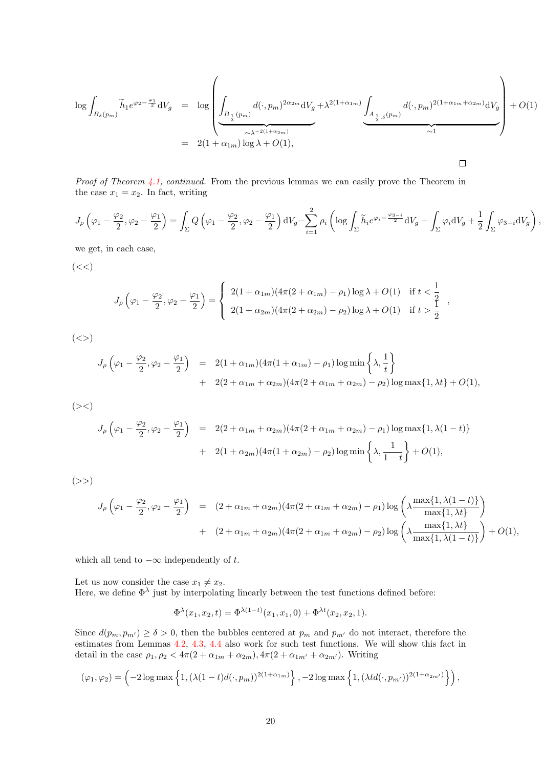$$
\log \int_{B_{\delta}(p_m)} \widetilde{h}_1 e^{\varphi_2 - \frac{\varphi_1}{2}} dV_g = \log \left( \underbrace{\int_{B_{\frac{1}{\lambda}}(p_m)} d(\cdot, p_m)^{2\alpha_2 m} dV_g}_{\sim \lambda^{-2(1 + \alpha_{2m})}} + \lambda^{2(1 + \alpha_{1m})} \underbrace{\int_{A_{\frac{1}{\lambda}, \delta}(p_m)} d(\cdot, p_m)^{2(1 + \alpha_{1m} + \alpha_{2m})} dV_g}_{\sim 1} + O(1) \right)
$$
\n
$$
= 2(1 + \alpha_{1m}) \log \lambda + O(1),
$$

Proof of Theorem [4.1,](#page-15-1) continued. From the previous lemmas we can easily prove the Theorem in the case  $x_1 = x_2$ . In fact, writing

$$
J_{\rho}\left(\varphi_{1}-\frac{\varphi_{2}}{2},\varphi_{2}-\frac{\varphi_{1}}{2}\right)=\int_{\Sigma}Q\left(\varphi_{1}-\frac{\varphi_{2}}{2},\varphi_{2}-\frac{\varphi_{1}}{2}\right)\mathrm{d}V_{g}-\sum_{i=1}^{2}\rho_{i}\left(\log\int_{\Sigma}\widetilde{h}_{i}e^{\varphi_{i}-\frac{\varphi_{3-i}}{2}}\mathrm{d}V_{g}-\int_{\Sigma}\varphi_{i}\mathrm{d}V_{g}+\frac{1}{2}\int_{\Sigma}\varphi_{3-i}\mathrm{d}V_{g}\right),
$$

we get, in each case,

 $(<<)$ 

$$
J_{\rho}\left(\varphi_{1}-\frac{\varphi_{2}}{2},\varphi_{2}-\frac{\varphi_{1}}{2}\right)=\begin{cases}2(1+\alpha_{1m})(4\pi(2+\alpha_{1m})-\rho_{1})\log\lambda+O(1) & \text{if } t<\frac{1}{2}\\2(1+\alpha_{2m})(4\pi(2+\alpha_{2m})-\rho_{2})\log\lambda+O(1) & \text{if } t>\frac{1}{2}\end{cases},
$$

 $(<>)$ 

$$
J_{\rho} \left( \varphi_{1} - \frac{\varphi_{2}}{2}, \varphi_{2} - \frac{\varphi_{1}}{2} \right) = 2(1 + \alpha_{1m})(4\pi(1 + \alpha_{1m}) - \rho_{1}) \log \min \left\{ \lambda, \frac{1}{t} \right\} + 2(2 + \alpha_{1m} + \alpha_{2m})(4\pi(2 + \alpha_{1m} + \alpha_{2m}) - \rho_{2}) \log \max \{ 1, \lambda t \} + O(1),
$$

 $(\geqslant)$ 

$$
J_{\rho} \left( \varphi_{1} - \frac{\varphi_{2}}{2}, \varphi_{2} - \frac{\varphi_{1}}{2} \right) = 2(2 + \alpha_{1m} + \alpha_{2m})(4\pi(2 + \alpha_{1m} + \alpha_{2m}) - \rho_{1}) \log \max\{1, \lambda(1 - t)\}\
$$
  
+ 2(1 + \alpha\_{2m})(4\pi(1 + \alpha\_{2m}) - \rho\_{2}) \log \min\left\{\lambda, \frac{1}{1 - t}\right\} + O(1),

 $(>>)$ 

$$
J_{\rho}\left(\varphi_{1}-\frac{\varphi_{2}}{2},\varphi_{2}-\frac{\varphi_{1}}{2}\right) = (2+\alpha_{1m}+\alpha_{2m})(4\pi(2+\alpha_{1m}+\alpha_{2m})-\rho_{1})\log\left(\lambda \frac{\max\{1,\lambda(1-t)\}}{\max\{1,\lambda t\}}\right) + (2+\alpha_{1m}+\alpha_{2m})(4\pi(2+\alpha_{1m}+\alpha_{2m})-\rho_{2})\log\left(\lambda \frac{\max\{1,\lambda t\}}{\max\{1,\lambda(1-t)\}}\right)+O(1),
$$

which all tend to  $-\infty$  independently of t.

Let us now consider the case  $x_1 \neq x_2$ . Here, we define  $\Phi^{\lambda}$  just by interpolating linearly between the test functions defined before:

$$
\Phi^{\lambda}(x_1, x_2, t) = \Phi^{\lambda(1-t)}(x_1, x_1, 0) + \Phi^{\lambda t}(x_2, x_2, 1).
$$

Since  $d(p_m, p_{m'}) \ge \delta > 0$ , then the bubbles centered at  $p_m$  and  $p_{m'}$  do not interact, therefore the estimates from Lemmas [4.2,](#page-16-0) [4.3,](#page-17-0) [4.4](#page-18-0) also work for such test functions. We will show this fact in detail in the case  $\rho_1, \rho_2 < 4\pi (2 + \alpha_{1m} + \alpha_{2m}), 4\pi (2 + \alpha_{1m'} + \alpha_{2m'})$ . Writing

$$
(\varphi_1, \varphi_2) = \left(-2\log \max\left\{1, (\lambda(1-t)d(\cdot, p_m))^{2(1+\alpha_{1m})}\right\}, -2\log \max\left\{1, (\lambda td(\cdot, p_{m'}))^{2(1+\alpha_{2m'})}\right\}\right),
$$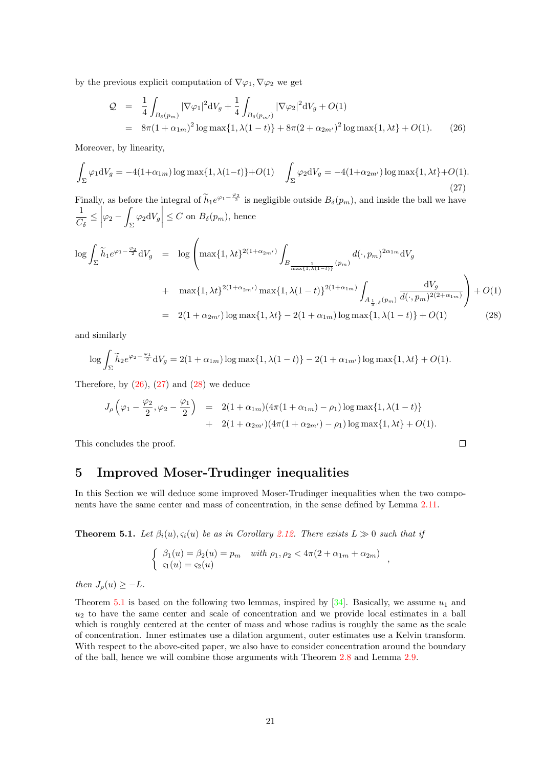by the previous explicit computation of  $\nabla\varphi_1, \nabla\varphi_2$  we get

<span id="page-20-1"></span>
$$
Q = \frac{1}{4} \int_{B_{\delta}(p_m)} |\nabla \varphi_1|^2 dV_g + \frac{1}{4} \int_{B_{\delta}(p_m)} |\nabla \varphi_2|^2 dV_g + O(1)
$$
  
=  $8\pi (1 + \alpha_{1m})^2 \log \max\{1, \lambda(1-t)\} + 8\pi (2 + \alpha_{2m'})^2 \log \max\{1, \lambda t\} + O(1).$  (26)

Moreover, by linearity,

<span id="page-20-2"></span>
$$
\int_{\Sigma} \varphi_1 dV_g = -4(1+\alpha_{1m}) \log \max\{1, \lambda(1-t)\} + O(1) \quad \int_{\Sigma} \varphi_2 dV_g = -4(1+\alpha_{2m'}) \log \max\{1, \lambda t\} + O(1).
$$
\n(27)

Finally, as before the integral of  $\widetilde{h}_1e^{\varphi_1-\frac{\varphi_2}{2}}$  is negligible outside  $B_\delta(p_m)$ , and inside the ball we have 1  $\frac{1}{C_\delta} \leq$  $\varphi_2$  − |  $\int_{\Sigma} \varphi_2 \mathrm{d}V_g$  $\leq C$  on  $B_{\delta}(p_m)$ , hence

<span id="page-20-3"></span>
$$
\log \int_{\Sigma} \widetilde{h}_1 e^{\varphi_1 - \frac{\varphi_2}{2}} dV_g = \log \left( \max\{1, \lambda t\}^{2(1 + \alpha_{2m'})} \int_{B_{\frac{1}{\max\{1, \lambda(1 - t)\}}} (p_m)} d(\cdot, p_m)^{2\alpha_{1m}} dV_g
$$
  
+ 
$$
\max\{1, \lambda t\}^{2(1 + \alpha_{2m'})} \max\{1, \lambda(1 - t)\}^{2(1 + \alpha_{1m})} \int_{A_{\frac{1}{\lambda}, \delta}(p_m)} \frac{dV_g}{d(\cdot, p_m)^{2(2 + \alpha_{1m})}} \right) + O(1)
$$
  
= 
$$
2(1 + \alpha_{2m'}) \log \max\{1, \lambda t\} - 2(1 + \alpha_{1m}) \log \max\{1, \lambda(1 - t)\} + O(1)
$$
(28)

and similarly

$$
\log \int_{\Sigma} \tilde{h}_2 e^{\varphi_2 - \frac{\varphi_1}{2}} dV_g = 2(1 + \alpha_{1m}) \log \max\{1, \lambda(1 - t)\} - 2(1 + \alpha_{1m'}) \log \max\{1, \lambda t\} + O(1).
$$

Therefore, by  $(26)$ ,  $(27)$  and  $(28)$  we deduce

$$
J_{\rho}\left(\varphi_{1}-\frac{\varphi_{2}}{2},\varphi_{2}-\frac{\varphi_{1}}{2}\right) = 2(1+\alpha_{1m})(4\pi(1+\alpha_{1m})-\rho_{1})\log\max\{1,\lambda(1-t)\} + 2(1+\alpha_{2m'})(4\pi(1+\alpha_{2m'})-\rho_{1})\log\max\{1,\lambda t\} + O(1).
$$

This concludes the proof.

## <span id="page-20-0"></span>5 Improved Moser-Trudinger inequalities

In this Section we will deduce some improved Moser-Trudinger inequalities when the two components have the same center and mass of concentration, in the sense defined by Lemma [2.11.](#page-10-2)

<span id="page-20-4"></span>**Theorem 5.1.** Let  $\beta_i(u), \varsigma_i(u)$  be as in Corollary [2.12.](#page-12-0) There exists  $L \gg 0$  such that if

$$
\begin{cases} \beta_1(u) = \beta_2(u) = p_m & with \ \rho_1, \rho_2 < 4\pi(2 + \alpha_{1m} + \alpha_{2m}) \\ \varsigma_1(u) = \varsigma_2(u) \end{cases}
$$

,

 $\Box$ 

then  $J<sub>o</sub>(u) \geq -L$ .

Theorem [5.1](#page-20-4) is based on the following two lemmas, inspired by [\[34\]](#page-40-10). Basically, we assume  $u_1$  and  $u_2$  to have the same center and scale of concentration and we provide local estimates in a ball which is roughly centered at the center of mass and whose radius is roughly the same as the scale of concentration. Inner estimates use a dilation argument, outer estimates use a Kelvin transform. With respect to the above-cited paper, we also have to consider concentration around the boundary of the ball, hence we will combine those arguments with Theorem [2.8](#page-9-0) and Lemma [2.9.](#page-9-3)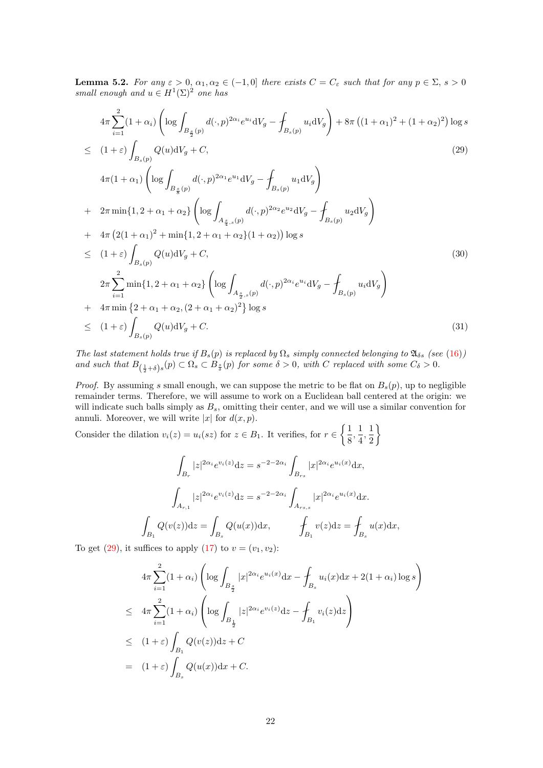<span id="page-21-1"></span>**Lemma 5.2.** For any  $\varepsilon > 0$ ,  $\alpha_1, \alpha_2 \in (-1, 0]$  there exists  $C = C_{\varepsilon}$  such that for any  $p \in \Sigma$ ,  $s > 0$ small enough and  $u \in H^1(\Sigma)^2$  one has

<span id="page-21-0"></span>
$$
4\pi \sum_{i=1}^{2} (1+\alpha_{i}) \left( \log \int_{B_{\frac{s}{2}}(p)} d(\cdot, p)^{2\alpha_{i}} e^{u_{i}} dV_{g} - \int_{B_{s}(p)} u_{i} dV_{g} \right) + 8\pi \left( (1+\alpha_{1})^{2} + (1+\alpha_{2})^{2} \right) \log s
$$
  
\n
$$
\leq (1+\varepsilon) \int_{B_{s}(p)} Q(u) dV_{g} + C,
$$
\n
$$
4\pi (1+\alpha_{1}) \left( \log \int_{B_{\frac{s}{8}}(p)} d(\cdot, p)^{2\alpha_{1}} e^{u_{1}} dV_{g} - \int_{B_{s}(p)} u_{1} dV_{g} \right)
$$
\n
$$
+ 2\pi \min\{1, 2+\alpha_{1}+\alpha_{2}\} \left( \log \int_{A_{\frac{s}{4},s}(p)} d(\cdot, p)^{2\alpha_{2}} e^{u_{2}} dV_{g} - \int_{B_{s}(p)} u_{2} dV_{g} \right)
$$
\n
$$
+ 4\pi \left( 2(1+\alpha_{1})^{2} + \min\{1, 2+\alpha_{1}+\alpha_{2}\} (1+\alpha_{2}) \right) \log s
$$
\n
$$
\leq (1+\varepsilon) \int_{B_{s}(p)} Q(u) dV_{g} + C,
$$
\n
$$
2\pi \sum_{i=1}^{2} \min\{1, 2+\alpha_{1}+\alpha_{2}\} \left( \log \int_{A_{\frac{s}{2},s}(p)} d(\cdot, p)^{2\alpha_{i}} e^{u_{i}} dV_{g} - \int_{B_{s}(p)} u_{i} dV_{g} \right)
$$
\n
$$
+ 4\pi \min \{2+\alpha_{1}+\alpha_{2}, (2+\alpha_{1}+\alpha_{2})^{2} \} \log s
$$
\n
$$
\leq (1+\varepsilon) \int_{B_{s}(p)} Q(u) dV_{g} + C.
$$
\n(31)

The last statement holds true if  $B_s(p)$  is replaced by  $\Omega_s$  simply connected belonging to  $\mathfrak{A}_{\delta s}$  (see [\(16\)](#page-8-3)) and such that  $B_{(\frac{1}{2}+\delta)s}(p) \subset \Omega_s \subset B_{\frac{s}{\delta}}(p)$  for some  $\delta > 0$ , with C replaced with some  $C_{\delta} > 0$ .

*Proof.* By assuming s small enough, we can suppose the metric to be flat on  $B_s(p)$ , up to negligible remainder terms. Therefore, we will assume to work on a Euclidean ball centered at the origin: we will indicate such balls simply as  $B_s$ , omitting their center, and we will use a similar convention for annuli. Moreover, we will write  $|x|$  for  $d(x, p)$ .

Consider the dilation  $v_i(z) = u_i(sz)$  for  $z \in B_1$ . It verifies, for  $r \in \left\{\frac{1}{s}\right\}$  $\frac{1}{8}, \frac{1}{4}$  $\frac{1}{4}, \frac{1}{2}$ 2  $\mathcal{L}$ 

$$
\int_{B_r} |z|^{2\alpha_i} e^{v_i(z)} dz = s^{-2-2\alpha_i} \int_{B_{rs}} |x|^{2\alpha_i} e^{u_i(x)} dx,
$$

$$
\int_{A_{r,1}} |z|^{2\alpha_i} e^{v_i(z)} dz = s^{-2-2\alpha_i} \int_{A_{rs,s}} |x|^{2\alpha_i} e^{u_i(x)} dx.
$$

$$
\int_{B_1} Q(v(z)) dz = \int_{B_s} Q(u(x)) dx, \qquad \int_{B_1} v(z) dz = \int_{B_s} u(x) dx,
$$

To get [\(29\)](#page-21-0), it suffices to apply [\(17\)](#page-9-4) to  $v = (v_1, v_2)$ :

 $\cdot$ 

$$
4\pi \sum_{i=1}^{2} (1 + \alpha_i) \left( \log \int_{B_{\frac{s}{2}}} |x|^{2\alpha_i} e^{u_i(x)} dx - \int_{B_s} u_i(x) dx + 2(1 + \alpha_i) \log s \right)
$$
  
\n
$$
\leq 4\pi \sum_{i=1}^{2} (1 + \alpha_i) \left( \log \int_{B_{\frac{1}{2}}} |z|^{2\alpha_i} e^{v_i(z)} dz - \int_{B_1} v_i(z) dz \right)
$$
  
\n
$$
\leq (1 + \varepsilon) \int_{B_1} Q(v(z)) dz + C
$$
  
\n
$$
= (1 + \varepsilon) \int_{B_s} Q(u(x)) dx + C.
$$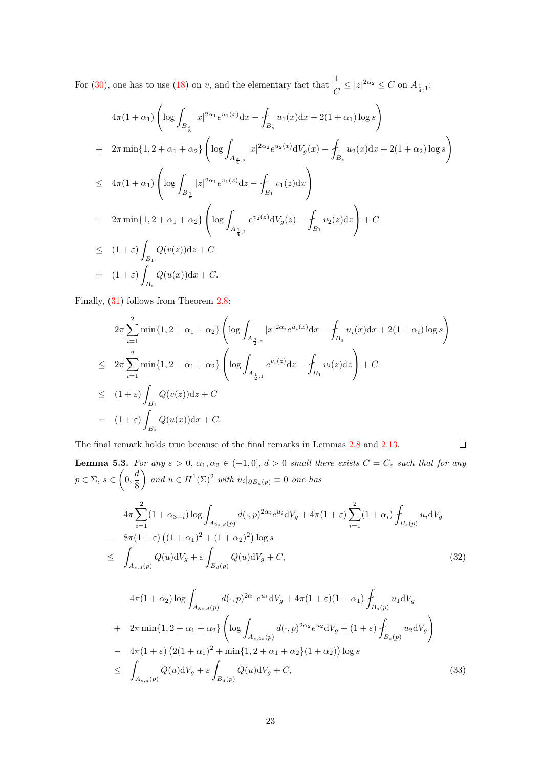For [\(30\)](#page-21-0), one has to use [\(18\)](#page-9-4) on v, and the elementary fact that  $\frac{1}{C} \leq |z|^{2\alpha_2} \leq C$  on  $A_{\frac{1}{4},1}$ :

$$
4\pi (1 + \alpha_1) \left( \log \int_{B_{\frac{8}{8}}} |x|^{2\alpha_1} e^{u_1(x)} dx - \int_{B_s} u_1(x) dx + 2(1 + \alpha_1) \log s \right)
$$
  
+ 
$$
2\pi \min\{1, 2 + \alpha_1 + \alpha_2\} \left( \log \int_{A_{\frac{8}{4},s}} |x|^{2\alpha_2} e^{u_2(x)} dV_g(x) - \int_{B_s} u_2(x) dx + 2(1 + \alpha_2) \log s \right)
$$
  

$$
\leq 4\pi (1 + \alpha_1) \left( \log \int_{B_{\frac{1}{8}}} |z|^{2\alpha_1} e^{v_1(z)} dz - \int_{B_1} v_1(z) dx \right)
$$
  
+ 
$$
2\pi \min\{1, 2 + \alpha_1 + \alpha_2\} \left( \log \int_{A_{\frac{1}{4},1}} e^{v_2(z)} dV_g(z) - \int_{B_1} v_2(z) dz \right) + C
$$
  

$$
\leq (1 + \varepsilon) \int_{B_1} Q(v(z)) dz + C
$$
  
= 
$$
(1 + \varepsilon) \int_{B_s} Q(u(x)) dx + C.
$$

Finally, [\(31\)](#page-21-0) follows from Theorem [2.8:](#page-9-0)

<span id="page-22-1"></span> $A_{s,d}(p)$ 

$$
2\pi \sum_{i=1}^{2} \min\{1, 2 + \alpha_1 + \alpha_2\} \left( \log \int_{A_{\frac{s}{2},s}} |x|^{2\alpha_i} e^{u_i(x)} dx - \int_{B_s} u_i(x) dx + 2(1 + \alpha_i) \log s \right)
$$
  
\n
$$
\leq 2\pi \sum_{i=1}^{2} \min\{1, 2 + \alpha_1 + \alpha_2\} \left( \log \int_{A_{\frac{1}{2},1}} e^{v_i(z)} dz - \int_{B_1} v_i(z) dz \right) + C
$$
  
\n
$$
\leq (1 + \varepsilon) \int_{B_1} Q(v(z)) dz + C
$$
  
\n
$$
= (1 + \varepsilon) \int_{B_s} Q(u(x)) dx + C.
$$

The final remark holds true because of the final remarks in Lemmas [2.8](#page-9-0) and [2.13.](#page-13-2)

$$
\Box
$$

<span id="page-22-2"></span><span id="page-22-0"></span>**Lemma 5.3.** For any  $\varepsilon > 0$ ,  $\alpha_1, \alpha_2 \in (-1, 0], d > 0$  small there exists  $C = C_{\varepsilon}$  such that for any  $p \in \Sigma, s \in \left(0, \frac{d}{2}\right)$ 8 and  $u \in H^1(\Sigma)^2$  with  $u_i|_{\partial B_d(p)} \equiv 0$  one has  $4\pi \sum_{i=1}^{2} (1 + \alpha_{3-i}) \log |i|$  $i=1$  $A_{2s,d}(p)$  $d(\cdot, p)^{2\alpha_i}e^{u_i}dV_g + 4\pi(1+\varepsilon)\sum^2$  $i=1$  $(1 + \alpha_i)$  $B_s(p)$  $u_i\mathrm{d}V_g$  $-8\pi(1+\varepsilon)\left((1+\alpha_1)^2+(1+\alpha_2)^2\right)\log s$  $\leq$  |  $A_{s,d}(p)$  $Q(u) dV_g + \varepsilon$  $B_d(p)$  $Q(u)dV_g + C,$  (32)  $4\pi(1+\alpha_2)\log$  $A_{8s,d}(p)$  $d(\cdot, p)^{2\alpha_1}e^{u_1}dV_g + 4\pi(1+\varepsilon)(1+\alpha_1)$  $B_s(p)$  $u_1 \mathrm{d}V_g$ +  $2\pi \min\{1, 2 + \alpha_1 + \alpha_2\}$  $\int$ log  $\int$  $A_{s,4s}(p)$  $d(\cdot, p)^{2\alpha_2}e^{u_2}dV_g + (1+\varepsilon)$  $B_s(p)$  $u_2 \mathrm{d}V_g$  $\setminus$  $-4\pi(1+\varepsilon)\left(2(1+\alpha_1)^2+\min\{1,2+\alpha_1+\alpha_2\}(1+\alpha_2)\right)\log s$  $\leq$  |  $Q(u) dV_g + \varepsilon$  $Q(u)dV_g + C,$  (33)

 $B_d(p)$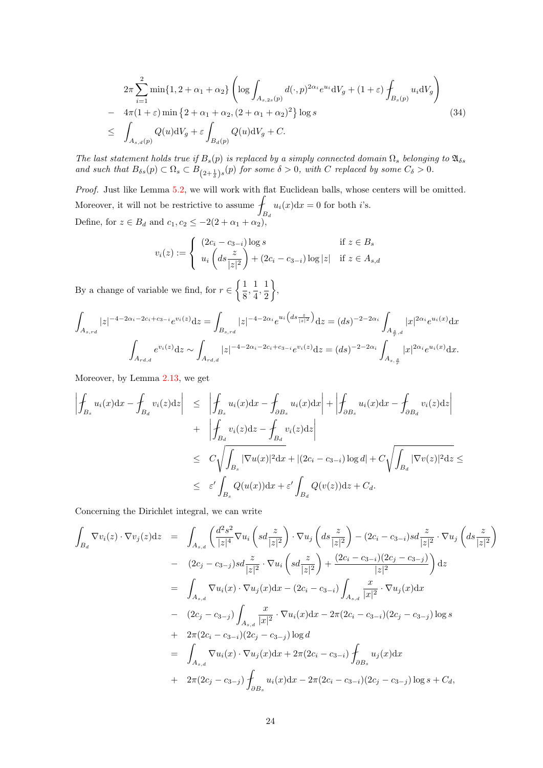<span id="page-23-0"></span>
$$
2\pi \sum_{i=1}^{2} \min\{1, 2 + \alpha_1 + \alpha_2\} \left( \log \int_{A_{s,2s}(p)} d(\cdot, p)^{2\alpha_i} e^{u_i} dV_g + (1 + \varepsilon) \int_{B_s(p)} u_i dV_g \right)
$$
  
- 
$$
4\pi (1 + \varepsilon) \min\{2 + \alpha_1 + \alpha_2, (2 + \alpha_1 + \alpha_2)^2\} \log s
$$
  

$$
\leq \int_{A_{s,d}(p)} Q(u) dV_g + \varepsilon \int_{B_d(p)} Q(u) dV_g + C.
$$
 (34)

The last statement holds true if  $B_s(p)$  is replaced by a simply connected domain  $\Omega_s$  belonging to  $\mathfrak{A}_{\delta s}$ and such that  $B_{\delta s}(p) \subset \Omega_s \subset B_{(2+\frac{1}{\delta})s}(p)$  for some  $\delta > 0$ , with C replaced by some  $C_{\delta} > 0$ .

Proof. Just like Lemma [5.2,](#page-21-1) we will work with flat Euclidean balls, whose centers will be omitted. Moreover, it will not be restrictive to assume  $\mathcal{I}$  $B_d$  $u_i(x)dx = 0$  for both *i*'s. Define, for  $z \in B_d$  and  $c_1, c_2 \leq -2(2+\alpha_1+\alpha_2)$ ,

$$
v_i(z) := \begin{cases} (2c_i - c_{3-i}) \log s & \text{if } z \in B_s \\ u_i \left( ds \frac{z}{|z|^2} \right) + (2c_i - c_{3-i}) \log |z| & \text{if } z \in A_{s,d} \end{cases}
$$

By a change of variable we find, for  $r \in \left\{\frac{1}{2}\right\}$  $\frac{1}{8}, \frac{1}{4}$  $\frac{1}{4}, \frac{1}{2}$ 2  $\big\}$ 

$$
\int_{A_{s,rd}} |z|^{-4-2\alpha_i - 2c_i + c_{3-i}} e^{v_i(z)} dz = \int_{B_{s,rd}} |z|^{-4-2\alpha_i} e^{u_i\left(ds \frac{z}{|z|^2}\right)} dz = (ds)^{-2-2\alpha_i} \int_{A_{\frac{s}{r},d}} |x|^{2\alpha_i} e^{u_i(x)} dx
$$

$$
\int_{A_{rd,d}} e^{v_i(z)} dz \sim \int_{A_{rd,d}} |z|^{-4-2\alpha_i - 2c_i + c_{3-i}} e^{v_i(z)} dz = (ds)^{-2-2\alpha_i} \int_{A_{s, \frac{s}{r}}} |x|^{2\alpha_i} e^{u_i(x)} dx.
$$

Moreover, by Lemma [2.13,](#page-13-2) we get

$$
\begin{aligned}\n\left| \oint_{B_s} u_i(x) dx - \oint_{B_d} v_i(z) dz \right| &\leq \left| \oint_{B_s} u_i(x) dx - \oint_{\partial B_s} u_i(x) dx \right| + \left| \oint_{\partial B_s} u_i(x) dx - \oint_{\partial B_d} v_i(z) dz \right| \\
&\quad + \left| \oint_{B_d} v_i(z) dz - \oint_{B_d} v_i(z) dz \right| \\
&\leq C \sqrt{\int_{B_s} |\nabla u(x)|^2 dx} + |(2c_i - c_{3-i}) \log d| + C \sqrt{\int_{B_d} |\nabla v(z)|^2 dz} \leq \\
&\leq \varepsilon' \int_{B_s} Q(u(x)) dx + \varepsilon' \int_{B_d} Q(v(z)) dz + C_d.\n\end{aligned}
$$

Concerning the Dirichlet integral, we can write

$$
\int_{B_d} \nabla v_i(z) \cdot \nabla v_j(z) dz = \int_{A_{s,d}} \left( \frac{d^2 s^2}{|z|^4} \nabla u_i \left( sd \frac{z}{|z|^2} \right) \cdot \nabla u_j \left( ds \frac{z}{|z|^2} \right) - (2c_i - c_{3-i})sd \frac{z}{|z|^2} \cdot \nabla u_j \left( ds \frac{z}{|z|^2} \right) \n- (2c_j - c_{3-j})sd \frac{z}{|z|^2} \cdot \nabla u_i \left( sd \frac{z}{|z|^2} \right) + \frac{(2c_i - c_{3-i})(2c_j - c_{3-j})}{|z|^2} dx \n= \int_{A_{s,d}} \nabla u_i(x) \cdot \nabla u_j(x) dx - (2c_i - c_{3-i}) \int_{A_{s,d}} \frac{x}{|x|^2} \cdot \nabla u_j(x) dx \n- (2c_j - c_{3-j}) \int_{A_{s,d}} \frac{x}{|x|^2} \cdot \nabla u_i(x) dx - 2\pi (2c_i - c_{3-i})(2c_j - c_{3-j}) \log s \n+ 2\pi (2c_i - c_{3-i})(2c_j - c_{3-j}) \log d \n= \int_{A_{s,d}} \nabla u_i(x) \cdot \nabla u_j(x) dx + 2\pi (2c_i - c_{3-i}) \int_{\partial B_s} u_j(x) dx \n+ 2\pi (2c_j - c_{3-j}) \int_{\partial B_s} u_i(x) dx - 2\pi (2c_i - c_{3-i})(2c_j - c_{3-j}) \log s + C_d,
$$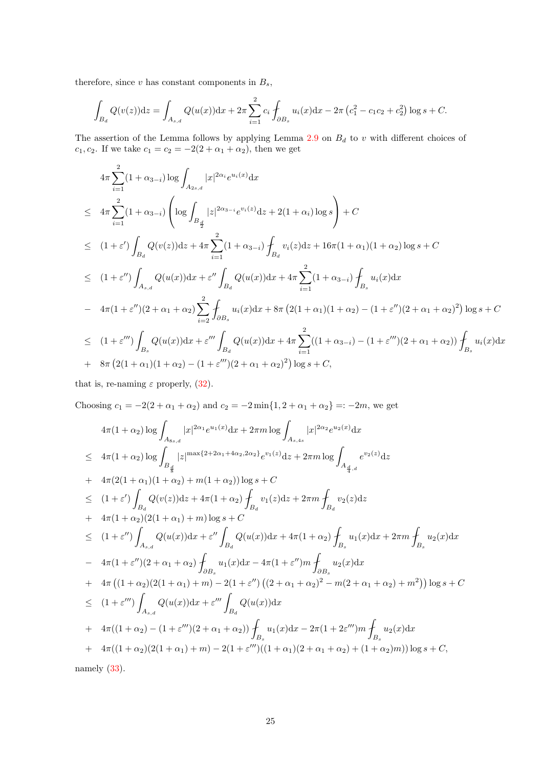therefore, since  $v$  has constant components in  $B_s$ ,

$$
\int_{B_d} Q(v(z))dz = \int_{A_{s,d}} Q(u(x))dx + 2\pi \sum_{i=1}^2 c_i \int_{\partial B_s} u_i(x)dx - 2\pi (c_1^2 - c_1c_2 + c_2^2) \log s + C.
$$

The assertion of the Lemma follows by applying Lemma  $2.9$  on  $B_d$  to v with different choices of c<sub>1</sub>, c<sub>2</sub>. If we take  $c_1 = c_2 = -2(2 + \alpha_1 + \alpha_2)$ , then we get

$$
4\pi \sum_{i=1}^{2} (1 + \alpha_{3-i}) \log \int_{A_{2s,d}} |x|^{2\alpha_i} e^{u_i(x)} dx
$$
  
\n
$$
\leq 4\pi \sum_{i=1}^{2} (1 + \alpha_{3-i}) \left( \log \int_{B_{\frac{d}{2}}} |z|^{2\alpha_{3-i}} e^{v_i(z)} dz + 2(1 + \alpha_i) \log s \right) + C
$$
  
\n
$$
\leq (1 + \varepsilon') \int_{B_d} Q(v(z)) dz + 4\pi \sum_{i=1}^{2} (1 + \alpha_{3-i}) \int_{B_d} v_i(z) dz + 16\pi (1 + \alpha_1)(1 + \alpha_2) \log s + C
$$
  
\n
$$
\leq (1 + \varepsilon'') \int_{A_{s,d}} Q(u(x)) dx + \varepsilon'' \int_{B_d} Q(u(x)) dx + 4\pi \sum_{i=1}^{2} (1 + \alpha_{3-i}) \int_{B_s} u_i(x) dx
$$
  
\n
$$
- 4\pi (1 + \varepsilon'')(2 + \alpha_1 + \alpha_2) \sum_{i=2}^{2} \int_{\partial B_s} u_i(x) dx + 8\pi (2(1 + \alpha_1)(1 + \alpha_2) - (1 + \varepsilon'')(2 + \alpha_1 + \alpha_2)^2) \log s + C
$$
  
\n
$$
\leq (1 + \varepsilon''') \int_{B_s} Q(u(x)) dx + \varepsilon''' \int_{B_d} Q(u(x)) dx + 4\pi \sum_{i=1}^{2} ((1 + \alpha_{3-i}) - (1 + \varepsilon''')(2 + \alpha_1 + \alpha_2)) \int_{B_s} u_i(x) dx
$$
  
\n+ 8\pi (2(1 + \alpha\_1)(1 + \alpha\_2) - (1 + \varepsilon''')(2 + \alpha\_1 + \alpha\_2)^2) \log s + C,

that is, re-naming  $\varepsilon$  properly, [\(32\)](#page-22-0).

Choosing  $c_1 = -2(2 + \alpha_1 + \alpha_2)$  and  $c_2 = -2 \min\{1, 2 + \alpha_1 + \alpha_2\} = -2m$ , we get

$$
4\pi (1 + \alpha_2) \log \int_{A_{8s,d}} |x|^{2\alpha_1} e^{u_1(x)} dx + 2\pi m \log \int_{A_{s,4s}} |x|^{2\alpha_2} e^{u_2(x)} dx
$$
  
\n
$$
\leq 4\pi (1 + \alpha_2) \log \int_{B_{\frac{d}{3}}} |z|^{\max\{2+2\alpha_1+4\alpha_2, 2\alpha_2\}} e^{v_1(z)} dz + 2\pi m \log \int_{A_{\frac{d}{4},d}} e^{v_2(z)} dz
$$
  
\n
$$
+ 4\pi (2(1 + \alpha_1)(1 + \alpha_2) + m(1 + \alpha_2)) \log s + C
$$
  
\n
$$
\leq (1 + \varepsilon') \int_{B_d} Q(v(z)) dz + 4\pi (1 + \alpha_2) \int_{B_d} v_1(z) dz + 2\pi m \int_{B_d} v_2(z) dz
$$
  
\n
$$
+ 4\pi (1 + \alpha_2)(2(1 + \alpha_1) + m) \log s + C
$$
  
\n
$$
\leq (1 + \varepsilon'') \int_{A_{s,d}} Q(u(x)) dx + \varepsilon'' \int_{B_d} Q(u(x)) dx + 4\pi (1 + \alpha_2) \int_{B_s} u_1(x) dx + 2\pi m \int_{B_s} u_2(x) dx
$$
  
\n
$$
- 4\pi (1 + \varepsilon'')(2 + \alpha_1 + \alpha_2) \int_{\partial B_s} u_1(x) dx - 4\pi (1 + \varepsilon'') m \int_{\partial B_s} u_2(x) dx
$$
  
\n
$$
+ 4\pi ((1 + \alpha_2)(2(1 + \alpha_1) + m) - 2(1 + \varepsilon'') ((2 + \alpha_1 + \alpha_2)^2 - m(2 + \alpha_1 + \alpha_2) + m^2)) \log s + C
$$
  
\n
$$
\leq (1 + \varepsilon''') \int_{A_{s,d}} Q(u(x)) dx + \varepsilon''' \int_{B_d} Q(u(x)) dx
$$
  
\n
$$
+ 4\pi ((1 + \alpha_2) - (1 + \varepsilon''')(2 + \alpha_1 + \alpha_2)) \int_{B_s} u_1(x) dx - 2\pi (1 + 2\varepsilon''') m \int_{B_s} u_2(x) dx
$$

namely  $(33)$ .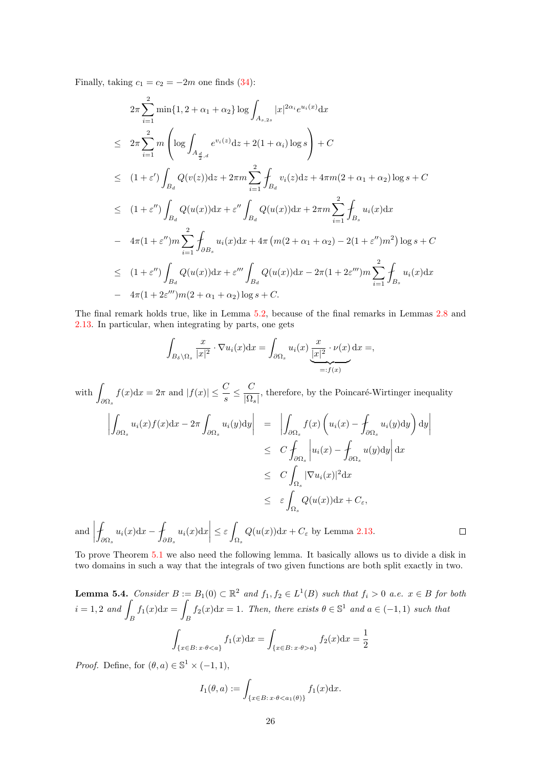Finally, taking  $c_1 = c_2 = -2m$  one finds [\(34\)](#page-23-0):

$$
2\pi \sum_{i=1}^{2} \min\{1, 2 + \alpha_1 + \alpha_2\} \log \int_{A_{s,2s}} |x|^{2\alpha_i} e^{u_i(x)} dx
$$
  
\n
$$
\leq 2\pi \sum_{i=1}^{2} m \left( \log \int_{A_{\frac{d}{2},d}} e^{v_i(z)} dz + 2(1 + \alpha_i) \log s \right) + C
$$
  
\n
$$
\leq (1 + \varepsilon') \int_{B_d} Q(v(z)) dz + 2\pi m \sum_{i=1}^{2} \int_{B_d} v_i(z) dz + 4\pi m (2 + \alpha_1 + \alpha_2) \log s + C
$$
  
\n
$$
\leq (1 + \varepsilon'') \int_{B_d} Q(u(x)) dx + \varepsilon'' \int_{B_d} Q(u(x)) dx + 2\pi m \sum_{i=1}^{2} \int_{B_s} u_i(x) dx
$$
  
\n
$$
- 4\pi (1 + \varepsilon'') m \sum_{i=1}^{2} \int_{\partial B_s} u_i(x) dx + 4\pi (m(2 + \alpha_1 + \alpha_2) - 2(1 + \varepsilon'') m^2) \log s + C
$$
  
\n
$$
\leq (1 + \varepsilon'') \int_{B_d} Q(u(x)) dx + \varepsilon''' \int_{B_d} Q(u(x)) dx - 2\pi (1 + 2\varepsilon''') m \sum_{i=1}^{2} \int_{B_s} u_i(x) dx
$$
  
\n
$$
- 4\pi (1 + 2\varepsilon'''') m (2 + \alpha_1 + \alpha_2) \log s + C.
$$

The final remark holds true, like in Lemma [5.2,](#page-21-1) because of the final remarks in Lemmas [2.8](#page-9-0) and [2.13.](#page-13-2) In particular, when integrating by parts, one gets

$$
\int_{B_{\delta}\setminus\Omega_s} \frac{x}{|x|^2} \cdot \nabla u_i(x) dx = \int_{\partial\Omega_s} u_i(x) \underbrace{\frac{x}{|x|^2} \cdot \nu(x)}_{=:f(x)} dx =,
$$

with  $\int$  $\partial \Omega_s$  $f(x)dx = 2\pi$  and  $|f(x)| \leq \frac{C}{s} \leq \frac{C}{|\Omega_s|}$  $\overline{|\Omega_s|}$ , therefore, by the Poincaré-Wirtinger inequality

$$
\left| \int_{\partial\Omega_s} u_i(x) f(x) dx - 2\pi \int_{\partial\Omega_s} u_i(y) dy \right| = \left| \int_{\partial\Omega_s} f(x) \left( u_i(x) - \int_{\partial\Omega_s} u_i(y) dy \right) dy \right|
$$
  
\n
$$
\leq C \int_{\partial\Omega_s} |u_i(x) - \int_{\partial\Omega_s} u(y) dy| dx
$$
  
\n
$$
\leq C \int_{\Omega_s} |\nabla u_i(x)|^2 dx
$$
  
\n
$$
\leq \varepsilon \int_{\Omega_s} Q(u(x)) dx + C_{\varepsilon},
$$

 $\binom{and}{b}$  $\overline{\phantom{a}}$  $\partial \Omega_s$  $u_i(x)dx - 1$  $\partial B_s$  $u_i(x)dx\Big|$  $\leq \varepsilon$  $\Omega_s$  $Q(u(x))dx + C_{\varepsilon}$  by Lemma [2.13.](#page-13-2)

To prove Theorem [5.1](#page-20-4) we also need the following lemma. It basically allows us to divide a disk in two domains in such a way that the integrals of two given functions are both split exactly in two.

 $\Box$ 

<span id="page-25-0"></span>**Lemma 5.4.** Consider  $B := B_1(0) \subset \mathbb{R}^2$  and  $f_1, f_2 \in L^1(B)$  such that  $f_i > 0$  a.e.  $x \in B$  for both  $i = 1, 2 \text{ and }$  $\int_B f_1(x) dx = \int$  $\int_B f_2(x) dx = 1$ . Then, there exists  $\theta \in \mathbb{S}^1$  and  $a \in (-1,1)$  such that ˆ  $\int_{\{x\in B:\,x\cdot\theta$  $\int_{\{x \in B: x \cdot \theta > a\}} f_2(x) dx = \frac{1}{2}$ 2

*Proof.* Define, for  $(\theta, a) \in \mathbb{S}^1 \times (-1, 1)$ ,

$$
I_1(\theta, a) := \int_{\{x \in B : x \cdot \theta < a_1(\theta)\}} f_1(x) \mathrm{d}x.
$$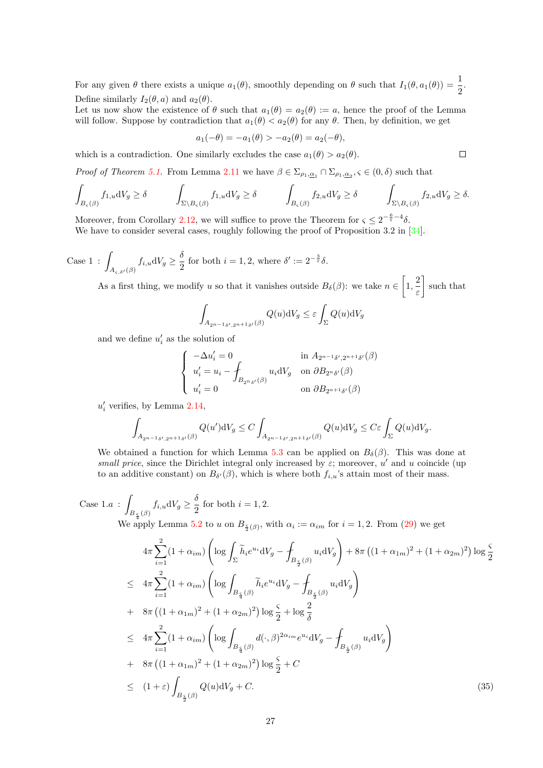For any given  $\theta$  there exists a unique  $a_1(\theta)$ , smoothly depending on  $\theta$  such that  $I_1(\theta, a_1(\theta)) = \frac{1}{2}$ . Define similarly  $I_2(\theta, a)$  and  $a_2(\theta)$ .

Let us now show the existence of  $\theta$  such that  $a_1(\theta) = a_2(\theta) := a$ , hence the proof of the Lemma will follow. Suppose by contradiction that  $a_1(\theta) < a_2(\theta)$  for any  $\theta$ . Then, by definition, we get

$$
a_1(-\theta) = -a_1(\theta) > -a_2(\theta) = a_2(-\theta),
$$

which is a contradiction. One similarly excludes the case  $a_1(\theta) > a_2(\theta)$ .

*Proof of Theorem [5.1.](#page-20-4)* From Lemma [2.11](#page-10-2) we have  $\beta \in \Sigma_{\rho_1,\underline{\alpha}_1} \cap \Sigma_{\rho_1,\underline{\alpha}_2}$ ,  $\varsigma \in (0,\delta)$  such that

$$
\int_{B_{\varsigma}(\beta)} f_{1,u} \mathrm{d}V_g \ge \delta \qquad \int_{\Sigma \backslash B_{\varsigma}(\beta)} f_{1,u} \mathrm{d}V_g \ge \delta \qquad \int_{B_{\varsigma}(\beta)} f_{2,u} \mathrm{d}V_g \ge \delta \qquad \int_{\Sigma \backslash B_{\varsigma}(\beta)} f_{2,u} \mathrm{d}V_g \ge \delta.
$$

Moreover, from Corollary [2.12,](#page-12-0) we will suffice to prove the Theorem for  $\zeta \leq 2^{-\frac{6}{\varepsilon}-4}\delta$ . We have to consider several cases, roughly following the proof of Proposition 3.2 in [\[34\]](#page-40-10).

Case 1: 
$$
\int_{A_{\varsigma,\delta'}(\beta)} f_{i,u} dV_g \ge \frac{\delta}{2}
$$
 for both  $i = 1, 2$ , where  $\delta' := 2^{-\frac{3}{\varepsilon}} \delta$ .

As a first thing, we modify u so that it vanishes outside  $B_\delta(\beta)$ : we take  $n \in \left[1, \frac{2}{3}\right]$ ε such that

$$
\int_{A_{2^{n-1}\delta',2^{n+1}\delta'}(\beta)} Q(u) \mathrm{d}V_g \leq \varepsilon \int_{\Sigma} Q(u) \mathrm{d}V_g
$$

and we define  $u'_i$  as the solution of

$$
\begin{cases}\n-\Delta u_i' = 0 & \text{in } A_{2^{n-1}\delta',2^{n+1}\delta'}(\beta) \\
u_i' = u_i - \int_{B_{2^{n}\delta'}(\beta)} u_i \mathrm{d}V_g & \text{on } \partial B_{2^{n}\delta'}(\beta) \\
u_i' = 0 & \text{on } \partial B_{2^{n+1}\delta'}(\beta)\n\end{cases}
$$

 $u'_i$  verifies, by Lemma [2.14,](#page-13-3)

$$
\int_{A_{2^{n-1}\delta',2^{n+1}\delta'}(\beta)} Q(u') dV_g \le C \int_{A_{2^{n-1}\delta',2^{n+1}\delta'}(\beta)} Q(u) dV_g \le C\varepsilon \int_{\Sigma} Q(u) dV_g.
$$

We obtained a function for which Lemma [5.3](#page-22-2) can be applied on  $B_{\delta}(\beta)$ . This was done at small price, since the Dirichlet integral only increased by  $\varepsilon$ ; moreover, u' and u coincide (up to an additive constant) on  $B_{\delta'}(\beta)$ , which is where both  $f_{i,u}$ 's attain most of their mass.

Case 1. 
$$
a: \int_{B_{\frac{\zeta}{2}}(\beta)} f_{i,u}dV_g \ge \frac{\delta}{2}
$$
 for both  $i = 1, 2$ .  
We apply Lemma 5.2 to u on  $B_{\frac{\zeta}{2}(\beta)}$ , with  $\alpha_i := \alpha_{im}$  for  $i = 1, 2$ . From (29) we get

<span id="page-26-0"></span>
$$
4\pi \sum_{i=1}^{2} (1 + \alpha_{im}) \left( \log \int_{\Sigma} \tilde{h}_{i} e^{u_{i}} dV_{g} - \int_{B_{\frac{\varsigma}{2}}(\beta)} u_{i} dV_{g} \right) + 8\pi \left( (1 + \alpha_{1m})^{2} + (1 + \alpha_{2m})^{2} \right) \log \frac{\varsigma}{2}
$$
  
\n
$$
\leq 4\pi \sum_{i=1}^{2} (1 + \alpha_{im}) \left( \log \int_{B_{\frac{\varsigma}{4}}(\beta)} \tilde{h}_{i} e^{u_{i}} dV_{g} - \int_{B_{\frac{\varsigma}{2}}(\beta)} u_{i} dV_{g} \right)
$$
  
\n
$$
+ 8\pi \left( (1 + \alpha_{1m})^{2} + (1 + \alpha_{2m})^{2} \right) \log \frac{\varsigma}{2} + \log \frac{2}{\delta}
$$
  
\n
$$
\leq 4\pi \sum_{i=1}^{2} (1 + \alpha_{im}) \left( \log \int_{B_{\frac{\varsigma}{4}}(\beta)} d(\cdot, \beta)^{2\alpha_{im}} e^{u_{i}} dV_{g} - \int_{B_{\frac{\varsigma}{2}}(\beta)} u_{i} dV_{g} \right)
$$
  
\n
$$
+ 8\pi \left( (1 + \alpha_{1m})^{2} + (1 + \alpha_{2m})^{2} \right) \log \frac{\varsigma}{2} + C
$$
  
\n
$$
\leq (1 + \varepsilon) \int_{B_{\frac{\varsigma}{2}}(\beta)} Q(u) dV_{g} + C.
$$
  
\n(35)

 $\Box$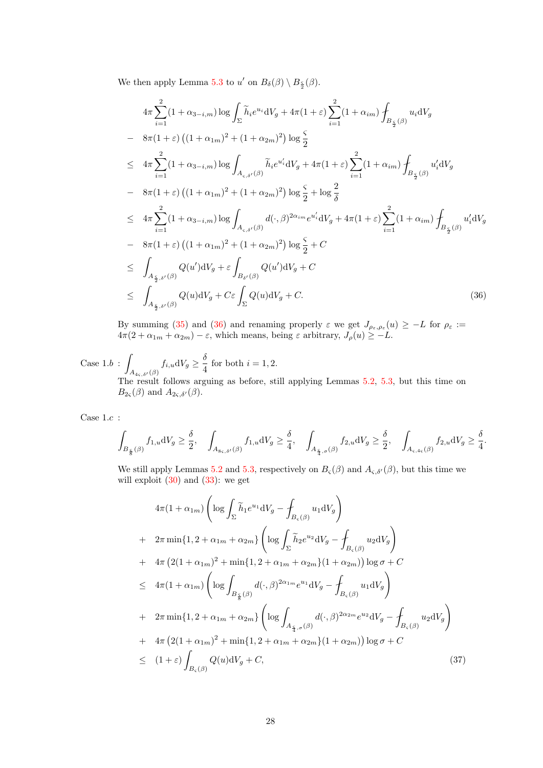We then apply Lemma [5.3](#page-22-2) to u' on  $B_{\delta}(\beta) \setminus B_{\frac{5}{2}}(\beta)$ .

<span id="page-27-0"></span>
$$
4\pi \sum_{i=1}^{2} (1 + \alpha_{3-i,m}) \log \int_{\Sigma} \tilde{h}_i e^{u_i} dV_g + 4\pi (1 + \varepsilon) \sum_{i=1}^{2} (1 + \alpha_{im}) \int_{B_{\frac{\varsigma}{2}}(\beta)} u_i dV_g
$$
  
\n
$$
- 8\pi (1 + \varepsilon) \left( (1 + \alpha_{1m})^2 + (1 + \alpha_{2m})^2 \right) \log \frac{\varsigma}{2}
$$
  
\n
$$
\leq 4\pi \sum_{i=1}^{2} (1 + \alpha_{3-i,m}) \log \int_{A_{\varsigma,\delta'}(\beta)} \tilde{h}_i e^{u'_i} dV_g + 4\pi (1 + \varepsilon) \sum_{i=1}^{2} (1 + \alpha_{im}) \int_{B_{\frac{\varsigma}{2}}(\beta)} u'_i dV_g
$$
  
\n
$$
- 8\pi (1 + \varepsilon) \left( (1 + \alpha_{1m})^2 + (1 + \alpha_{2m})^2 \right) \log \frac{\varsigma}{2} + \log \frac{2}{\delta}
$$
  
\n
$$
\leq 4\pi \sum_{i=1}^{2} (1 + \alpha_{3-i,m}) \log \int_{A_{\varsigma,\delta'}(\beta)} d(\cdot, \beta)^{2\alpha_{im}} e^{u'_i} dV_g + 4\pi (1 + \varepsilon) \sum_{i=1}^{2} (1 + \alpha_{im}) \int_{B_{\frac{\varsigma}{2}}(\beta)} u'_i dV_g
$$
  
\n
$$
- 8\pi (1 + \varepsilon) \left( (1 + \alpha_{1m})^2 + (1 + \alpha_{2m})^2 \right) \log \frac{\varsigma}{2} + C
$$
  
\n
$$
\leq \int_{A_{\frac{\varsigma}{2},\delta'}(\beta)} Q(u') dV_g + \varepsilon \int_{B_{\delta'}(\beta)} Q(u') dV_g + C
$$
  
\n
$$
\leq \int_{A_{\frac{\varsigma}{2},\delta'}(\beta)} Q(u) dV_g + C \varepsilon \int_{\Sigma} Q(u) dV_g + C.
$$
 (36)

By summing [\(35\)](#page-26-0) and [\(36\)](#page-27-0) and renaming properly  $\varepsilon$  we get  $J_{\rho_{\varepsilon},\rho_{\varepsilon}}(u) \geq -L$  for  $\rho_{\varepsilon} :=$  $4\pi(2+\alpha_{1m}+\alpha_{2m})-\varepsilon$ , which means, being  $\varepsilon$  arbitrary,  $J_{\rho}(u)\geq -L$ .

Case  $1.b$ :  $A_{4\varsigma,\delta'}(\beta)$  $f_{i,u}dV_g \geq \frac{\delta}{4}$  $\frac{1}{4}$  for both  $i = 1, 2$ . The result follows arguing as before, still applying Lemmas [5.2,](#page-21-1) [5.3,](#page-22-2) but this time on  $B_{2\varsigma}(\beta)$  and  $A_{2\varsigma,\delta'}(\beta)$ .

Case  $1.c$  :

$$
\int_{B_{\frac{\varsigma}{8}}(\beta)}f_{1,u}\mathrm{d}V_g\geq \frac{\delta}{2},\quad \int_{A_{8\varsigma,\delta'}(\beta)}f_{1,u}\mathrm{d}V_g\geq \frac{\delta}{4},\quad \int_{A_{\frac{\varsigma}{4},\sigma}(\beta)}f_{2,u}\mathrm{d}V_g\geq \frac{\delta}{2},\quad \int_{A_{\varsigma,4\varsigma}(\beta)}f_{2,u}\mathrm{d}V_g\geq \frac{\delta}{4}.
$$

We still apply Lemmas [5.2](#page-21-1) and [5.3,](#page-22-2) respectively on  $B_{\varsigma}(\beta)$  and  $A_{\varsigma,\delta'}(\beta)$ , but this time we will exploit  $(30)$  and  $(33)$ : we get

<span id="page-27-1"></span>
$$
4\pi (1 + \alpha_{1m}) \left( \log \int_{\Sigma} \tilde{h}_1 e^{u_1} dV_g - \int_{B_{\varsigma}(\beta)} u_1 dV_g \right)
$$
  
+  $2\pi \min \{1, 2 + \alpha_{1m} + \alpha_{2m}\} \left( \log \int_{\Sigma} \tilde{h}_2 e^{u_2} dV_g - \int_{B_{\varsigma}(\beta)} u_2 dV_g \right)$   
+  $4\pi (2(1 + \alpha_{1m})^2 + \min \{1, 2 + \alpha_{1m} + \alpha_{2m}\} (1 + \alpha_{2m})) \log \sigma + C$   
 $\leq 4\pi (1 + \alpha_{1m}) \left( \log \int_{B_{\frac{\varsigma}{8}}(\beta)} d(\cdot, \beta)^{2\alpha_{1m}} e^{u_1} dV_g - \int_{B_{\varsigma}(\beta)} u_1 dV_g \right)$   
+  $2\pi \min \{1, 2 + \alpha_{1m} + \alpha_{2m}\} \left( \log \int_{A_{\frac{\varsigma}{4}, \sigma}(\beta)} d(\cdot, \beta)^{2\alpha_{2m}} e^{u_2} dV_g - \int_{B_{\varsigma}(\beta)} u_2 dV_g \right)$   
+  $4\pi (2(1 + \alpha_{1m})^2 + \min \{1, 2 + \alpha_{1m} + \alpha_{2m}\} (1 + \alpha_{2m})) \log \sigma + C$   
 $\leq (1 + \varepsilon) \int_{B_{\varsigma}(\beta)} Q(u) dV_g + C,$  (37)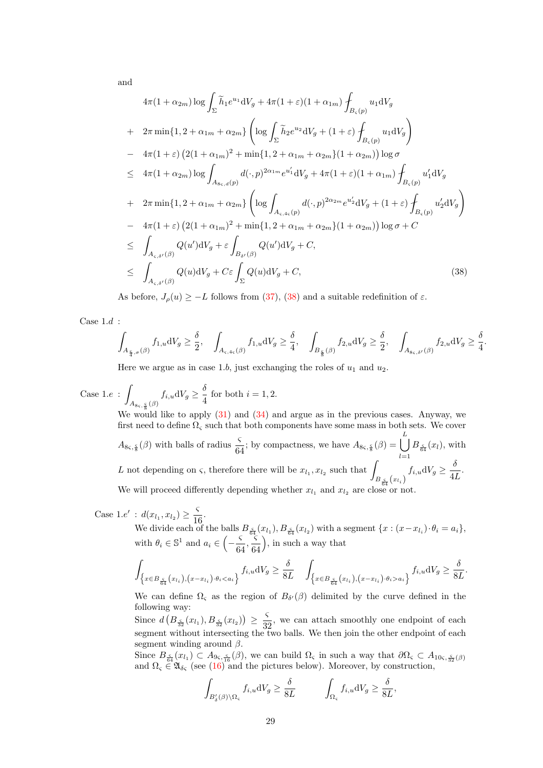and

<span id="page-28-0"></span>
$$
4\pi (1 + \alpha_{2m}) \log \int_{\Sigma} \tilde{h}_{1} e^{u_{1}} dV_{g} + 4\pi (1 + \varepsilon)(1 + \alpha_{1m}) \int_{B_{\varsigma}(p)} u_{1} dV_{g}
$$
  
+  $2\pi \min\{1, 2 + \alpha_{1m} + \alpha_{2m}\} \left( \log \int_{\Sigma} \tilde{h}_{2} e^{u_{2}} dV_{g} + (1 + \varepsilon) \int_{B_{\varsigma}(p)} u_{1} dV_{g} \right)$   
-  $4\pi (1 + \varepsilon) \left( 2(1 + \alpha_{1m})^{2} + \min\{1, 2 + \alpha_{1m} + \alpha_{2m}\} (1 + \alpha_{2m}) \right) \log \sigma$   
 $\leq 4\pi (1 + \alpha_{2m}) \log \int_{A_{8\varsigma,d}(p)} d(\cdot, p)^{2\alpha_{1m}} e^{u'_{1}} dV_{g} + 4\pi (1 + \varepsilon)(1 + \alpha_{1m}) \int_{B_{\varsigma}(p)} u'_{1} dV_{g}$   
+  $2\pi \min\{1, 2 + \alpha_{1m} + \alpha_{2m}\} \left( \log \int_{A_{\varsigma,4\varsigma}(p)} d(\cdot, p)^{2\alpha_{2m}} e^{u'_{2}} dV_{g} + (1 + \varepsilon) \int_{B_{\varsigma}(p)} u'_{2} dV_{g} \right)$   
-  $4\pi (1 + \varepsilon) \left( 2(1 + \alpha_{1m})^{2} + \min\{1, 2 + \alpha_{1m} + \alpha_{2m}\} (1 + \alpha_{2m}) \right) \log \sigma + C$   
 $\leq \int_{A_{\varsigma,\delta'}(\beta)} Q(u') dV_{g} + \varepsilon \int_{B_{\delta'}(\beta)} Q(u') dV_{g} + C,$   
 $\leq \int_{A_{\varsigma,\delta'}(\beta)} Q(u) dV_{g} + C \varepsilon \int_{\Sigma} Q(u) dV_{g} + C,$  (38)

As before,  $J_{\rho}(u) \geq -L$  follows from [\(37\)](#page-27-1), [\(38\)](#page-28-0) and a suitable redefinition of  $\varepsilon$ .

Case  $1.d$  :

$$
\int_{A_{\frac{\varsigma}{4},\sigma}(\beta)} f_{1,u}dV_g \geq \frac{\delta}{2}, \quad \int_{A_{\varsigma,4\varsigma}(\beta)} f_{1,u}dV_g \geq \frac{\delta}{4}, \quad \int_{B_{\frac{\varsigma}{8}}(\beta)} f_{2,u}dV_g \geq \frac{\delta}{2}, \quad \int_{A_{8\varsigma,\delta'}(\beta)} f_{2,u}dV_g \geq \frac{\delta}{4}
$$

.

Here we argue as in case 1.b, just exchanging the roles of  $u_1$  and  $u_2$ .

Case 1. $e$  :  $\int_{A_{8\varsigma,\frac{\varsigma}{8}}(\beta)}f_{i,u}\mathrm{d}V_{g}\geq \frac{\delta}{4}$ We would like to apply  $(31)$  and  $(34)$  and argue as in the previous cases. Anyway, we  $\frac{1}{4}$  for both  $i = 1, 2$ . first need to define  $\Omega_{\varsigma}$  such that both components have some mass in both sets. We cover  $A_{8\varsigma,\frac{\varsigma}{8}}(\beta)$  with balls of radius  $\frac{\varsigma}{64}$ ; by compactness, we have  $A_{8\varsigma,\frac{\varsigma}{8}}(\beta) = \bigcup_{l=1}^{L}$  $l=1$  $B_{\frac{5}{64}}(x_l)$ , with L not depending on  $\varsigma$ , therefore there will be  $x_{l_1}, x_{l_2}$  such that  $B_{\frac{\varsigma}{64}}(x_{l_i})$  $f_{i,u}dV_g \geq \frac{\delta}{4}$  $rac{c}{4L}$ . We will proceed differently depending whether  $x_{l_1}$  and  $x_{l_2}$  are close or not.

Case 1.e' :  $d(x_{l_1}, x_{l_2}) \geq \frac{5}{14}$  $\frac{1}{16}$ .

We divide each of the balls  $B_{\frac{\varsigma}{64}}(x_{l_1}), B_{\frac{\varsigma}{64}}(x_{l_2})$  with a segment  $\{x : (x-x_{l_i}) \cdot \theta_i = a_i\},$ with  $\theta_i \in \mathbb{S}^1$  and  $a_i \in \left(-\frac{\varsigma}{c}\right)$  $\frac{5}{64}, \frac{5}{6}$ 64 , in such a way that

$$
\int_{\left\{x\in B_{\frac{\varsigma}{64}}(x_{l_i}),(x-x_{l_i})\cdot\theta_ia_i\right\}}f_{i,u}\mathrm{d}V_g\geq \frac{\delta}{8L}.
$$

We can define  $\Omega_{\varsigma}$  as the region of  $B_{\delta'}(\beta)$  delimited by the curve defined in the following way:

Since  $d\left(B_{\frac{\varsigma}{32}}(x_{l_1}), B_{\frac{\varsigma}{32}}(x_{l_2})\right) \geq \frac{\varsigma}{3}$  $\frac{3}{32}$ , we can attach smoothly one endpoint of each segment without intersecting the two balls. We then join the other endpoint of each segment winding around  $\beta$ .

Since  $B_{\frac{\varsigma}{64}}(x_{l_1}) \subset A_{9\varsigma,\frac{\varsigma}{16}}(\beta)$ , we can build  $\Omega_{\varsigma}$  in such a way that  $\partial\Omega_{\varsigma} \subset A_{10\varsigma,\frac{\varsigma}{32}}(\beta)$ and  $\Omega_{\varsigma} \in \mathfrak{A}_{\delta_{\varsigma}}$  (see [\(16\)](#page-8-3) and the pictures below). Moreover, by construction,

$$
\int_{B'_{\delta}(\beta)\backslash\Omega_{\varsigma}} f_{i,u} dV_g \ge \frac{\delta}{8L} \qquad \int_{\Omega_{\varsigma}} f_{i,u} dV_g \ge \frac{\delta}{8L},
$$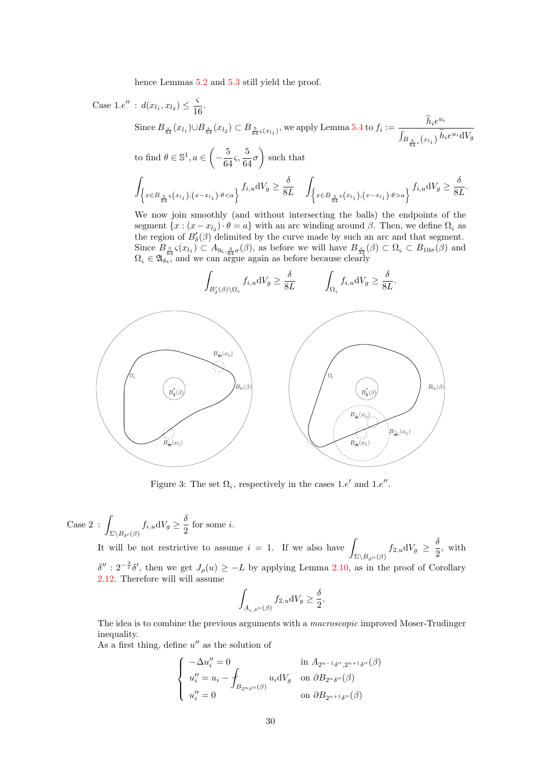hence Lemmas  $5.2$  and  $5.3$  still yield the proof.

Case 1.e"  
\n
$$
i \quad d(x_{l_1}, x_{l_2}) \leq \frac{c}{16}.
$$
\nSince  $B_{\delta_4}(x_{l_1}) \cup B_{\delta_4}(x_{l_2}) \subset B_{\frac{5}{64}s(x_{l_1})}$ , we apply Lemma 5.4 to  $f_i := \frac{\tilde{h}_i e^{u_i}}{\int_{B_{\frac{5}{64}s}(x_{l_1})} \tilde{h}_i e^{u_i} dV_g}$   
\nto find  $\theta \in \mathbb{S}^1$ ,  $a \in \left(-\frac{5}{64}, \frac{5}{64}\sigma\right)$  such that  
\n
$$
\int_{\left\{x \in B_{\frac{5}{64}s}(x_{l_1}),(x-x_{l_1}) \cdot \theta < a\right\}} f_{i,u} dV_g \geq \frac{\delta}{8L} \int_{\left\{x \in B_{\frac{5}{64}s}(x_{l_1}),(x-x_{l_1}) \cdot \theta > a\right\}} f_{i,u} dV_g \geq \frac{\delta}{8L}.
$$
\nWe now join smoothly (and without intersecting the balls) the endpoints of the segment  $\{x : (x-x_{l_2}) \cdot \theta = a\}$  with an arc winding around  $\beta$ . Then, we define  $\Omega_{\kappa}$  as there is  $\tilde{B}_{\kappa}(x) \leq \frac{1}{\kappa} \int_{\mathbb{S}^2} \left(\beta \right) \text{ delimited by the curve made by such an arc and that segment. Since  $B_{\frac{5}{64}s}(x_{l_1}) \subset A_{\kappa} \in \mathbb{R}^2$  of  $\beta$ ), so before we will have  $B_{\frac{5}{62}}(\beta) \subset \Omega_{\kappa} \subset B_{10\sigma}(\beta)$  and  $\Omega_{\kappa} \in \mathfrak{A}_{\delta\kappa}$ , and we can argue again as before because clearly  
\n
$$
\int_{B_{\delta}(\beta)} \int_{B_{\delta}(\beta)} f_{i,u} dV_g \geq \frac{\delta}{8L} \int_{\Omega_{\kappa}} f_{i,u} dV_g \geq \frac{\delta}{8L}.
$$$ 

Figure 3: The set  $\Omega_{\varsigma}$ , respectively in the cases 1.e' and 1.e''.

Case 2: 
$$
\int_{\Sigma \backslash B_{\delta'}(\beta)} f_{i,u} dV_g \ge \frac{\delta}{2}
$$
 for some *i*.

It will be not restrictive to assume  $i = 1$ . If we also have  $\Sigma \backslash B_{\delta''}(\beta)$  $f_{2,u}dV_g \geq \frac{\delta}{2}$  $\frac{3}{2}$ , with  $\delta'': 2^{-\frac{3}{\varepsilon}}\delta'$ , then we get  $J_{\rho}(u) \geq -L$  by applying Lemma [2.10,](#page-9-2) as in the proof of Corollary [2.12.](#page-12-0) Therefore will will assume

$$
\int_{A_{\varsigma,\delta''}(\beta)} f_{2,u} \mathrm{d}V_g \ge \frac{\delta}{2}.
$$

The idea is to combine the previous arguments with a macroscopic improved Moser-Trudinger inequality.

As a first thing, define  $u''$  as the solution of

$$
\begin{cases}\n-\Delta u_i'' = 0 & \text{in } A_{2^{n-1}\delta'',2^{n+1}\delta''}(\beta) \\
u_i'' = u_i - \int_{B_{2^n\delta''}(\beta)} u_i \mathrm{d}V_g & \text{on } \partial B_{2^n\delta''}(\beta) \\
u_i'' = 0 & \text{on } \partial B_{2^{n+1}\delta''}(\beta)\n\end{cases}
$$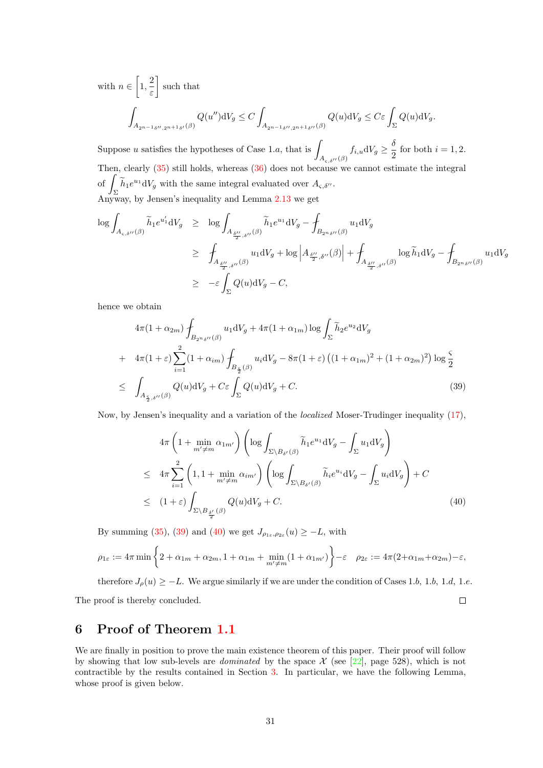with  $n \in \left[1, \frac{2}{n}\right]$ ε such that ˆ  $A_{2n-1 \delta'',2n+1 \delta'}(\beta)$  $Q(u'')\mathrm{d}V_g \leq C$  $A_{2n-1 \delta'',2n+1 \delta''}(\beta)$  $Q(u) \, \mathrm{d}V_g \leq C \varepsilon \int_{\Sigma} Q(u) \, \mathrm{d}V_g.$ 

Suppose u satisfies the hypotheses of Case 1.a, that is  $\mu$  $A_{\varsigma,\delta}$ ( $\beta$ )  $f_{i,u}dV_g \geq \frac{\delta}{2}$  $\frac{1}{2}$  for both  $i = 1, 2$ . Then, clearly [\(35\)](#page-26-0) still holds, whereas [\(36\)](#page-27-0) does not because we cannot estimate the integral  $\circ$ f  $\overline{\phantom{a}}$  $\int_{\Sigma} \widetilde{h}_1 e^{u_1} dV_g$  with the same integral evaluated over  $A_{\varsigma, \delta}$ . Anyway, by Jensen's inequality and Lemma  $2.13$  we get

$$
\begin{array}{lcl} \displaystyle \log \int_{A_{\varsigma,\delta^{\prime \prime}}(\beta)} \widetilde{h}_1 e^{u_1'} \mathrm{d}V_g & \geq & \displaystyle \log \int_{A_{\frac{\delta^{\prime \prime}}{2},\delta^{\prime \prime}}(\beta)} \widetilde{h}_1 e^{u_1} \mathrm{d}V_g - \oint_{B_{2^n\delta^{\prime \prime}}(\beta)} u_1 \mathrm{d}V_g \\ \\ & \geq & \displaystyle \int_{A_{\frac{\delta^{\prime \prime}}{2},\delta^{\prime \prime}}(\beta)} u_1 \mathrm{d}V_g + \log \left|A_{\frac{\delta^{\prime \prime}}{2},\delta^{\prime \prime}}(\beta)\right| + \oint_{A_{\frac{\delta^{\prime \prime}}{2},\delta^{\prime \prime}}(\beta)} \log \widetilde{h}_1 \mathrm{d}V_g - \oint_{B_{2^n\delta^{\prime \prime}}(\beta)} u_1 \mathrm{d}V_g \\ \\ & \geq & - \varepsilon \int_{\Sigma} Q(u) \mathrm{d}V_g - C, \end{array}
$$

hence we obtain

<span id="page-30-1"></span>
$$
4\pi (1 + \alpha_{2m}) \int_{B_{2n\delta''}(\beta)} u_1 \mathrm{d}V_g + 4\pi (1 + \alpha_{1m}) \log \int_{\Sigma} \tilde{h}_2 e^{u_2} \mathrm{d}V_g
$$
  
+ 
$$
4\pi (1 + \varepsilon) \sum_{i=1}^2 (1 + \alpha_{im}) \int_{B_{\frac{\varsigma}{2}}(\beta)} u_i \mathrm{d}V_g - 8\pi (1 + \varepsilon) \left( (1 + \alpha_{1m})^2 + (1 + \alpha_{2m})^2 \right) \log \frac{\varsigma}{2}
$$
  

$$
\leq \int_{A_{\frac{\varsigma}{2}, \delta''}(\beta)} Q(u) \mathrm{d}V_g + C \varepsilon \int_{\Sigma} Q(u) \mathrm{d}V_g + C. \tag{39}
$$

Now, by Jensen's inequality and a variation of the localized Moser-Trudinger inequality [\(17\)](#page-9-4),

<span id="page-30-2"></span>
$$
4\pi \left(1 + \min_{m' \neq m} \alpha_{1m'}\right) \left(\log \int_{\Sigma \backslash B_{\delta'}(\beta)} \widetilde{h}_1 e^{u_1} dV_g - \int_{\Sigma} u_1 dV_g\right)
$$
  
\n
$$
\leq 4\pi \sum_{i=1}^2 \left(1, 1 + \min_{m' \neq m} \alpha_{im'}\right) \left(\log \int_{\Sigma \backslash B_{\delta'}(\beta)} \widetilde{h}_i e^{u_i} dV_g - \int_{\Sigma} u_i dV_g\right) + C
$$
  
\n
$$
\leq (1 + \varepsilon) \int_{\Sigma \backslash B_{\frac{\delta'}{2}}(\beta)} Q(u) dV_g + C. \tag{40}
$$

By summing [\(35\)](#page-26-0), [\(39\)](#page-30-1) and [\(40\)](#page-30-2) we get  $J_{\rho_{1\varepsilon},\rho_{2\varepsilon}}(u) \geq -L$ , with

$$
\rho_{1\varepsilon} := 4\pi \min\left\{2 + \alpha_{1m} + \alpha_{2m}, 1 + \alpha_{1m} + \min_{m' \neq m} (1 + \alpha_{1m'})\right\} - \varepsilon \quad \rho_{2\varepsilon} := 4\pi (2 + \alpha_{1m} + \alpha_{2m}) - \varepsilon,
$$

therefore  $J_{\rho}(u) \ge -L$ . We argue similarly if we are under the condition of Cases 1.b, 1.b, 1.d, 1.e.  $\Box$ The proof is thereby concluded.

## <span id="page-30-0"></span>6 Proof of Theorem [1.1](#page-3-1)

We are finally in position to prove the main existence theorem of this paper. Their proof will follow by showing that low sub-levels are *dominated* by the space  $\mathcal X$  (see [\[22\]](#page-39-17), page 528), which is not contractible by the results contained in Section [3.](#page-13-0) In particular, we have the following Lemma, whose proof is given below.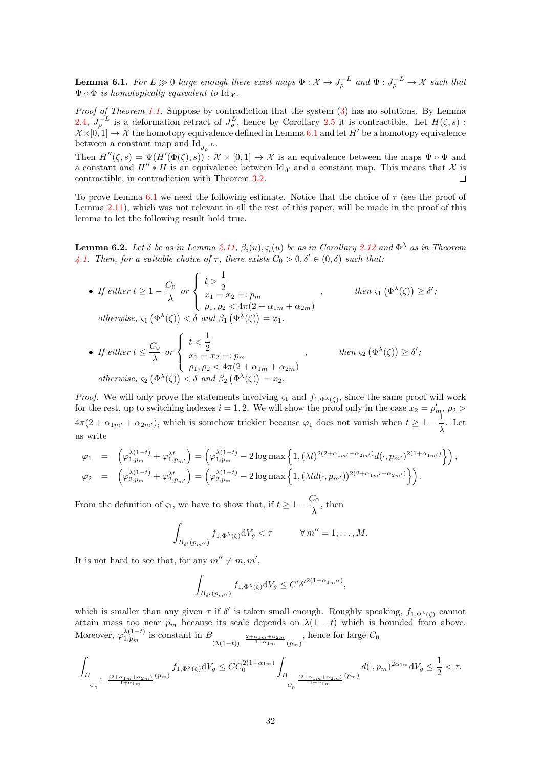<span id="page-31-0"></span>**Lemma 6.1.** For  $L \gg 0$  large enough there exist maps  $\Phi: \mathcal{X} \to J_{\rho}^{-L}$  and  $\Psi: J_{\rho}^{-L} \to \mathcal{X}$  such that  $\Psi \circ \Phi$  is homotopically equivalent to  $\mathrm{Id}_{\mathcal{X}}$ .

Proof of Theorem [1.1.](#page-3-1) Suppose by contradiction that the system  $(3)$  has no solutions. By Lemma [2.4,](#page-8-4)  $J_{\rho}^{-L}$  is a deformation retract of  $J_{\rho}^{L}$ , hence by Corollary [2.5](#page-8-5) it is contractible. Let  $H(\zeta, s)$ :  $\mathcal{X} \times [0, 1] \to \mathcal{X}$  the homotopy equivalence defined in Lemma [6.1](#page-31-0) and let  $H'$  be a homotopy equivalence between a constant map and  $\mathrm{Id}_{J_{\rho}^{-L}}$ .

Then  $H''(\zeta, s) = \Psi(H'(\Phi(\zeta), s)) : \mathcal{X} \times [0, 1] \to \mathcal{X}$  is an equivalence between the maps  $\Psi \circ \Phi$  and a constant and  $H'' * H$  is an equivalence between Id<sub>X</sub> and a constant map. This means that X is contractible, in contradiction with Theorem [3.2.](#page-14-0)  $\Box$ 

To prove Lemma [6.1](#page-31-0) we need the following estimate. Notice that the choice of  $\tau$  (see the proof of Lemma [2.11\)](#page-10-2), which was not relevant in all the rest of this paper, will be made in the proof of this lemma to let the following result hold true.

<span id="page-31-1"></span>**Lemma 6.2.** Let  $\delta$  be as in Lemma [2.11,](#page-10-2)  $\beta_i(u), \varsigma_i(u)$  be as in Corollary [2.12](#page-12-0) and  $\Phi^{\lambda}$  as in Theorem [4.1.](#page-15-1) Then, for a suitable choice of  $\tau$ , there exists  $C_0 > 0, \delta' \in (0, \delta)$  such that:

• If either 
$$
t \ge 1 - \frac{C_0}{\lambda}
$$
 or  $\begin{cases} t > \frac{1}{2} \\ x_1 = x_2 =: p_m \\ \rho_1, \rho_2 < 4\pi(2 + \alpha_{1m} + \alpha_{2m}) \end{cases}$ , then  $\varsigma_1 (\Phi^{\lambda}(\zeta)) \ge \delta'$ ;  
otherwise,  $\varsigma_1 (\Phi^{\lambda}(\zeta)) < \delta$  and  $\beta_1 (\Phi^{\lambda}(\zeta)) = x_1$ .  
• If either  $t \le \frac{C_0}{\lambda}$  or  $\begin{cases} t < \frac{1}{2} \\ x_1 = x_2 =: p_m \\ x_1 = x_2 =: p_m \end{cases}$ , then  $\varsigma_2 (\Phi^{\lambda}(\zeta)) \ge \delta'$ ;

 $\overline{\mathcal{L}}$  $x_1 = x_2 =: p_m$  $\rho_1, \rho_2 < 4\pi(2 + \alpha_{1m} + \alpha_{2m})$ otherwise,  $\varsigma_2(\Phi^{\lambda}(\zeta)) < \delta$  and  $\beta_2(\Phi^{\lambda}(\zeta)) = x_2$ .

*Proof.* We will only prove the statements involving  $\varsigma_1$  and  $f_{1,\Phi^{\lambda}(\zeta)}$ , since the same proof will work for the rest, up to switching indexes  $i = 1, 2$ . We will show the proof only in the case  $x_2 = p'_m$ ,  $\rho_2$  $4\pi(2+\alpha_{1m'}+\alpha_{2m'})$ , which is somehow trickier because  $\varphi_1$  does not vanish when  $t \geq 1-\frac{1}{\lambda}$  $\frac{1}{\lambda}$ . Let us write

$$
\varphi_1 = \left( \varphi_{1,p_m}^{\lambda(1-t)} + \varphi_{1,p_m}^{\lambda t} \right) = \left( \varphi_{1,p_m}^{\lambda(1-t)} - 2 \log \max \left\{ 1, (\lambda t)^{2(2+\alpha_{1m'}+\alpha_{2m'})} d(\cdot, p_{m'})^{2(1+\alpha_{1m'})} \right\} \right),
$$
  

$$
\varphi_2 = \left( \varphi_{2,p_m}^{\lambda(1-t)} + \varphi_{2,p_{m'}}^{\lambda t} \right) = \left( \varphi_{2,p_m}^{\lambda(1-t)} - 2 \log \max \left\{ 1, (\lambda td(\cdot, p_{m'})^{2(2+\alpha_{1m'}+\alpha_{2m'})} \right\} \right).
$$

From the definition of  $\varsigma_1$ , we have to show that, if  $t \geq 1 - \frac{C_0}{\lambda}$  $\frac{\partial}{\partial \lambda}$ , then

$$
\int_{B_{\delta'}(p_{m''})} f_{1,\Phi^{\lambda}(\zeta)} \mathrm{d}V_g < \tau \qquad \forall \, m'' = 1, \dots, M.
$$

It is not hard to see that, for any  $m'' \neq m, m'$ ,

$$
\int_{B_{\delta'}(p_{m'')}} f_{1,\Phi^{\lambda}(\zeta)} \mathrm{d}V_g \le C' {\delta'}^{2(1+\alpha_{1m'')}},
$$

which is smaller than any given  $\tau$  if  $\delta'$  is taken small enough. Roughly speaking,  $f_{1,\Phi^{\lambda}(\zeta)}$  cannot attain mass too near  $p_m$  because its scale depends on  $\lambda(1-t)$  which is bounded from above. Moreover,  $\varphi_{1,p_m}^{\lambda(1-t)}$  is constant in  $B_{(\lambda(1-t))^{-\frac{2+\alpha_{1m}+\alpha_{2m}}{1+\alpha_{1m}}(p_m)}$ , hence for large  $C_0$ 

$$
\int_{B_{C_0^{-1-\frac{(2+\alpha_{1m}+\alpha_{2m})}{1+\alpha_{1m}}}(p_m)}f_{1,\Phi^\lambda(\zeta)}\mathrm{d}V_g\leq CC_0^{2(1+\alpha_{1m})}\int_{B_{C_0^{-\frac{(2+\alpha_{1m}+\alpha_{2m})}{1+\alpha_{1m}}}(p_m)}d(\cdot,p_m)^{2\alpha_{1m}}\mathrm{d}V_g\leq \frac{1}{2}<\tau.
$$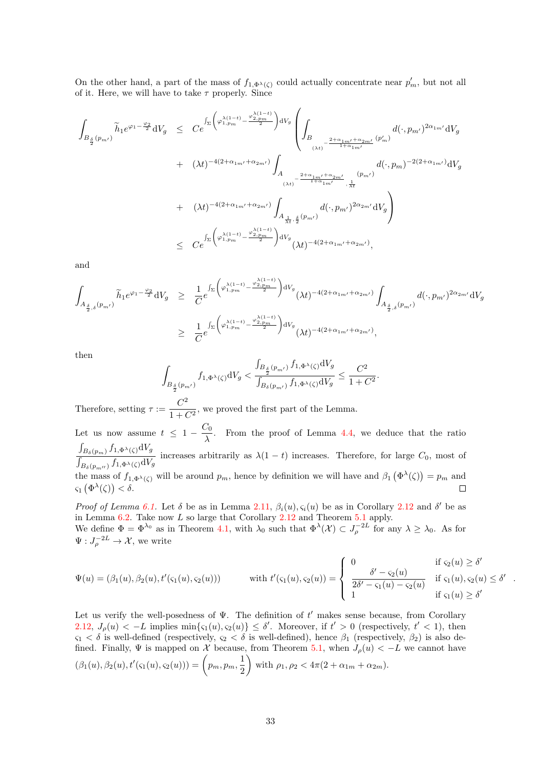On the other hand, a part of the mass of  $f_{1,\Phi^{\lambda}(\zeta)}$  could actually concentrate near  $p'_m$ , but not all of it. Here, we will have to take  $\tau$  properly. Since

$$
\begin{array}{lcl} \displaystyle\int_{B_{\frac{\delta}{2}}(p_{m'})}\widetilde{h}_{1}e^{\varphi_{1}-\frac{\varphi_{2}}{2}}\mathrm{d}V_{g} & \leq & \displaystyle C e^{\int_{\Sigma}\left(\varphi_{1,p_{m}}^{\lambda(1-t)}-\frac{\varphi_{2,p_{m}}^{\lambda(1-t)}}{2}\right)\mathrm{d}V_{g}}\left(\int_{B}d(\cdot,p_{m'})^{2\alpha_{1,m'}}\mathrm{d}V_{g}\right.\\ \\ & & \displaystyle\qquad\qquad \left.+\quad (\lambda t)^{-4(2+\alpha_{1,m'}+\alpha_{2m'})}\int_{A}d(\cdot,p_{m})^{-2(2+\alpha_{1,m'})}\mathrm{d}V_{g}\\ \\ & & \hspace{1.5cm}+ \quad (\lambda t)^{-4(2+\alpha_{1,m'}+\alpha_{2m'})}\int_{A_{\frac{1}{\lambda t},\frac{\delta}{2}}(p_{m'})}d(\cdot,p_{m})^{-2(2+\alpha_{1,m'})}\mathrm{d}V_{g}\\ \\ & & \hspace{1.5cm}+ \quad (\lambda t)^{-4(2+\alpha_{1,m'}+\alpha_{2m'})}\int_{A_{\frac{1}{\lambda t},\frac{\delta}{2}}(p_{m'})}d(\cdot,p_{m'})^{2\alpha_{2m'}}\mathrm{d}V_{g}\right)\\ \\ & \leq & \displaystyle C e^{\int_{\Sigma}\left(\varphi_{1,p_{m}}^{\lambda(1-t)}-\frac{\varphi_{2,p_{m}}^{\lambda(1-t)}}{2}\right)\mathrm{d}V_{g}}(\lambda t)^{-4(2+\alpha_{1,m'}+\alpha_{2m'})}, \end{array}
$$

and

$$
\int_{A_{\frac{\delta}{2},\delta}(p_{m'})} \tilde{h}_1 e^{\varphi_1 - \frac{\varphi_2}{2}} dV_g \geq \frac{1}{C} e^{\int_{\Sigma} \left( \varphi_{1,p_m}^{\lambda(1-t)} - \frac{\varphi_{2,p_m}^{\lambda(1-t)}}{2} \right) dV_g} (\lambda t)^{-4(2+\alpha_{1m'}+\alpha_{2m'})} \int_{A_{\frac{\delta}{2},\delta}(p_{m'})} d(\cdot,p_{m'})^{2\alpha_{2m'}} dV_g
$$
\n
$$
\geq \frac{1}{C} e^{\int_{\Sigma} \left( \varphi_{1,p_m}^{\lambda(1-t)} - \frac{\varphi_{2,p_m}^{\lambda(1-t)}}{2} \right) dV_g} (\lambda t)^{-4(2+\alpha_{1m'}+\alpha_{2m'})},
$$

then

$$
\int_{B_{\frac{\delta}{2}}(p_{m'})} f_{1,\Phi^{\lambda}(\zeta)} dV_g < \frac{\int_{B_{\frac{\delta}{2}}(p_{m'})} f_{1,\Phi^{\lambda}(\zeta)} dV_g}{\int_{B_{\delta}(p_{m'})} f_{1,\Phi^{\lambda}(\zeta)} dV_g} \le \frac{C^2}{1+C^2}.
$$

Therefore, setting  $\tau := \frac{C^2}{1 + C^2}$  $\frac{1}{1+C^2}$ , we proved the first part of the Lemma. Let us now assume  $t \leq 1 - \frac{C_0}{\lambda}$  $\frac{20}{\lambda}$ . From the proof of Lemma [4.4,](#page-18-0) we deduce that the ratio  $\int_{B_\delta(p_m)} f_{1,\Phi^\lambda(\zeta)} \mathrm{d} V_g$  $\frac{\sum_{B_{\delta}(p_m)} p^{\delta} \cdot \sum_{i=1}^{S} \sum_{j=1}^{S} p^{\delta} \cdot (p^{\delta})}{\int_{B_{\delta}(p_m)} f_{1,\Phi^{\lambda}(\zeta)} dV_g}$  increases arbitrarily as  $\lambda(1-t)$  increases. Therefore, for large  $C_0$ , most of the mass of  $f_{1,\Phi^{\lambda}(\zeta)}$  will be around  $p_m$ , hence by definition we will have and  $\beta_1(\Phi^{\lambda}(\zeta)) = p_m$  and  $\varsigma_1\left(\Phi^\lambda(\zeta)\right) < \delta.$ 

Proof of Lemma [6.1.](#page-31-0) Let  $\delta$  be as in Lemma [2.11,](#page-10-2)  $\beta_i(u), \varsigma_i(u)$  be as in Corollary [2.12](#page-12-0) and  $\delta'$  be as in Lemma [6.2.](#page-31-1) Take now  $L$  so large that Corollary [2.12](#page-12-0) and Theorem [5.1](#page-20-4) apply. We define  $\Phi = \Phi^{\lambda_0}$  as in Theorem [4.1,](#page-15-1) with  $\lambda_0$  such that  $\Phi^{\lambda}(\mathcal{X}) \subset J_{\rho}^{-2L}$  for any  $\lambda \geq \lambda_0$ . As for

 $\Psi:J_{\rho}^{-2L}\to\mathcal{X},$  we write

$$
\Psi(u) = (\beta_1(u), \beta_2(u), t'(\varsigma_1(u), \varsigma_2(u))) \qquad \text{with } t'(\varsigma_1(u), \varsigma_2(u)) = \begin{cases} 0 & \text{if } \varsigma_2(u) \ge \delta' \\ \frac{\delta' - \varsigma_2(u)}{2\delta' - \varsigma_1(u) - \varsigma_2(u)} & \text{if } \varsigma_1(u), \varsigma_2(u) \le \delta' \\ 1 & \text{if } \varsigma_1(u) \ge \delta' \end{cases}.
$$

Let us verify the well-posedness of  $\Psi$ . The definition of  $t'$  makes sense because, from Corollary [2.12,](#page-12-0)  $J_{\rho}(u) < -L$  implies  $\min\{\varsigma_1(u), \varsigma_2(u)\} \leq \delta'$ . Moreover, if  $t' > 0$  (respectively,  $t' < 1$ ), then  $\varsigma_1 < \delta$  is well-defined (respectively,  $\varsigma_2 < \delta$  is well-defined), hence  $\beta_1$  (respectively,  $\beta_2$ ) is also defined. Finally,  $\Psi$  is mapped on X because, from Theorem [5.1,](#page-20-4) when  $J_{\rho}(u) < -L$  we cannot have  $(\beta_1(u), \beta_2(u), t'(\varsigma_1(u), \varsigma_2(u))) = \left(p_m, p_m, \frac{1}{2}\right)$ 2 with  $\rho_1, \rho_2 < 4\pi (2 + \alpha_{1m} + \alpha_{2m}).$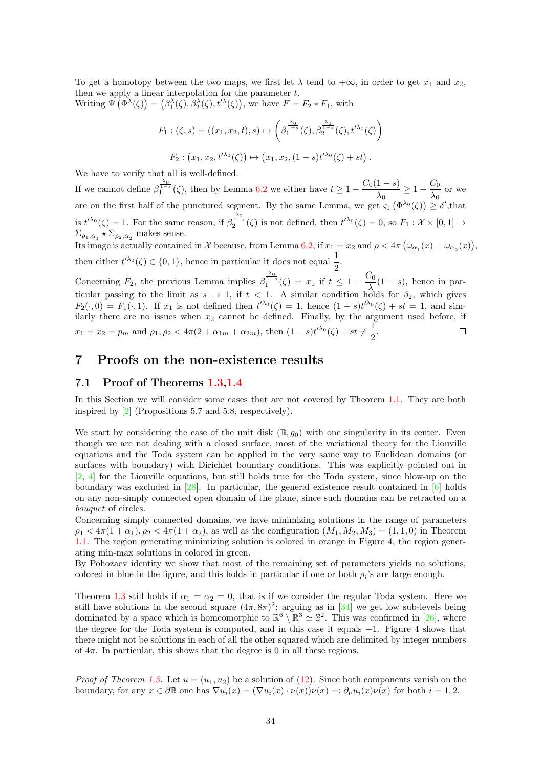To get a homotopy between the two maps, we first let  $\lambda$  tend to  $+\infty$ , in order to get  $x_1$  and  $x_2$ , then we apply a linear interpolation for the parameter  $t$ . Writing  $\Psi(\Phi^{\lambda}(\zeta)) = (\beta_1^{\lambda}(\zeta), \beta_2^{\lambda}(\zeta), t'^{\lambda}(\zeta))$ , we have  $F = F_2 * F_1$ , with

$$
F_1: (\zeta, s) = ((x_1, x_2, t), s) \mapsto \left(\beta_1^{\frac{\lambda_0}{1-s}}(\zeta), \beta_2^{\frac{\lambda_0}{1-s}}(\zeta), t'^{\lambda_0}(\zeta)\right)
$$

$$
F_2: (x_1, x_2, t'^{\lambda_0}(\zeta)) \mapsto (x_1, x_2, (1-s)t'^{\lambda_0}(\zeta) + st).
$$

We have to verify that all is well-defined.

If we cannot define  $\beta_1^{\frac{\lambda_0}{1-s}}(\zeta)$ , then by Lemma [6.2](#page-31-1) we either have  $t \geq 1 - \frac{C_0(1-s)}{\lambda_0}$  $\frac{(1-s)}{\lambda_0} \geq 1 - \frac{C_0}{\lambda_0}$  $\frac{\partial u}{\partial x}$  or we are on the first half of the punctured segment. By the same Lemma, we get  $\varsigma_1(\Phi^{\lambda_0}(\zeta)) \geq \delta'$ , that is  $t^{\prime\lambda_0}(\zeta) = 1$ . For the same reason, if  $\beta_2^{\frac{\lambda_0}{1-s}}(\zeta)$  is not defined, then  $t^{\prime\lambda_0}(\zeta) = 0$ , so  $F_1 : \mathcal{X} \times [0,1] \rightarrow$  $\Sigma_{\rho_1,\underline{\alpha}_1} \star \Sigma_{\rho_2,\underline{\alpha}_2}$  makes sense.

Its image is actually contained in X because, from Lemma [6.2,](#page-31-1) if  $x_1 = x_2$  and  $\rho < 4\pi \left(\omega_{\underline{\alpha}_1}(x) + \omega_{\underline{\alpha}_2}(x)\right)$ , then either  $t^{\prime \lambda_0}(\zeta) \in \{0,1\}$ , hence in particular it does not equal  $\frac{1}{2}$ .

Concerning  $F_2$ , the previous Lemma implies  $\beta_1^{\frac{\lambda_0}{1-s}}(\zeta) = x_1$  if  $t \leq 1 - \frac{C_0}{\lambda}$  $\frac{\partial v_0}{\partial \lambda}(1-s)$ , hence in particular passing to the limit as  $s \to 1$ , if  $t < 1$ . A similar condition holds for  $\beta_2$ , which gives  $F_2(\cdot,0) = F_1(\cdot,1)$ . If  $x_1$  is not defined then  $t^{\lambda_0}(\zeta) = 1$ , hence  $(1-s)t^{\lambda_0}(\zeta) + st = 1$ , and similarly there are no issues when  $x_2$  cannot be defined. Finally, by the argument used before, if  $x_1 = x_2 = p_m$  and  $\rho_1, \rho_2 < 4\pi(2 + \alpha_{1m} + \alpha_{2m})$ , then  $(1-s)t^{\lambda_0}(\zeta) + st \neq \frac{1}{2}$  $\frac{1}{2}$ .  $\Box$ 

## <span id="page-33-0"></span>7 Proofs on the non-existence results

#### 7.1 Proof of Theorems [1.3,](#page-4-0)[1.4](#page-4-1)

In this Section we will consider some cases that are not covered by Theorem [1.1.](#page-3-1) They are both inspired by [\[2\]](#page-38-1) (Propositions 5.7 and 5.8, respectively).

We start by considering the case of the unit disk  $(\mathbb{B}, g_0)$  with one singularity in its center. Even though we are not dealing with a closed surface, most of the variational theory for the Liouville equations and the Toda system can be applied in the very same way to Euclidean domains (or surfaces with boundary) with Dirichlet boundary conditions. This was explicitly pointed out in [\[2,](#page-38-1) [4\]](#page-39-5) for the Liouville equations, but still holds true for the Toda system, since blow-up on the boundary was excluded in [\[28\]](#page-40-15). In particular, the general existence result contained in [\[6\]](#page-39-15) holds on any non-simply connected open domain of the plane, since such domains can be retracted on a bouquet of circles.

Concerning simply connected domains, we have minimizing solutions in the range of parameters  $\rho_1 < 4\pi (1+\alpha_1), \rho_2 < 4\pi (1+\alpha_2),$  as well as the configuration  $(M_1, M_2, M_3) = (1, 1, 0)$  in Theorem [1.1.](#page-3-1) The region generating minimizing solution is colored in orange in Figure 4, the region generating min-max solutions in colored in green.

By Pohožaev identity we show that most of the remaining set of parameters yields no solutions, colored in blue in the figure, and this holds in particular if one or both  $\rho_i$ 's are large enough.

Theorem [1.3](#page-4-0) still holds if  $\alpha_1 = \alpha_2 = 0$ , that is if we consider the regular Toda system. Here we still have solutions in the second square  $(4\pi, 8\pi)^2$ ; arguing as in [\[34\]](#page-40-10) we get low sub-levels being dominated by a space which is homeomorphic to  $\mathbb{R}^6 \setminus \mathbb{R}^3 \simeq \mathbb{S}^2$ . This was confirmed in [\[26\]](#page-40-16), where the degree for the Toda system is computed, and in this case it equals −1. Figure 4 shows that there might not be solutions in each of all the other squared which are delimited by integer numbers of  $4\pi$ . In particular, this shows that the degree is 0 in all these regions.

*Proof of Theorem [1.3.](#page-4-0)* Let  $u = (u_1, u_2)$  be a solution of [\(12\)](#page-4-3). Since both components vanish on the boundary, for any  $x \in \partial \mathbb{B}$  one has  $\nabla u_i(x) = (\nabla u_i(x) \cdot \nu(x))\nu(x) =: \partial_\nu u_i(x)\nu(x)$  for both  $i = 1, 2$ .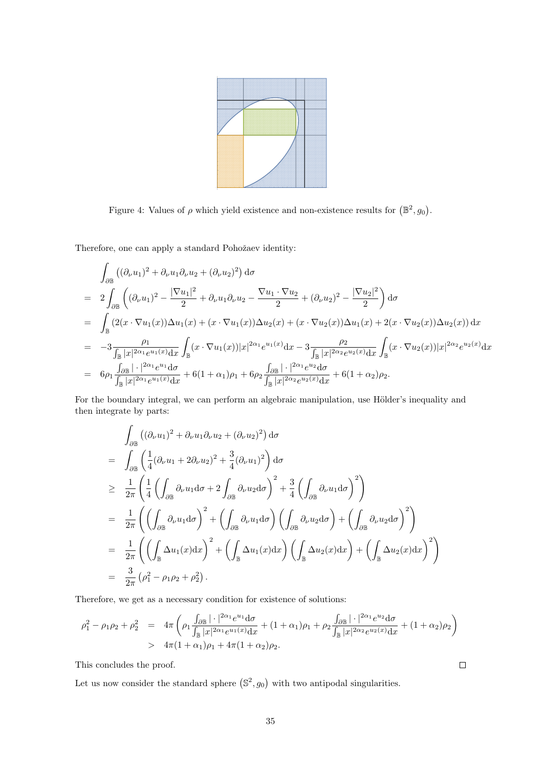

Figure 4: Values of  $\rho$  which yield existence and non-existence results for  $(\mathbb{B}^2, g_0)$ .

Therefore, one can apply a standard Pohožaev identity:

$$
\int_{\partial \mathbb{B}} ((\partial_{\nu} u_{1})^{2} + \partial_{\nu} u_{1} \partial_{\nu} u_{2} + (\partial_{\nu} u_{2})^{2}) d\sigma
$$
\n
$$
= 2 \int_{\partial \mathbb{B}} ((\partial_{\nu} u_{1})^{2} - \frac{|\nabla u_{1}|^{2}}{2} + \partial_{\nu} u_{1} \partial_{\nu} u_{2} - \frac{\nabla u_{1} \cdot \nabla u_{2}}{2} + (\partial_{\nu} u_{2})^{2} - \frac{|\nabla u_{2}|^{2}}{2}) d\sigma
$$
\n
$$
= \int_{\mathbb{B}} (2(x \cdot \nabla u_{1}(x)) \Delta u_{1}(x) + (x \cdot \nabla u_{1}(x)) \Delta u_{2}(x) + (x \cdot \nabla u_{2}(x)) \Delta u_{1}(x) + 2(x \cdot \nabla u_{2}(x)) \Delta u_{2}(x)) dx
$$
\n
$$
= -3 \frac{\rho_{1}}{\int_{\mathbb{B}} |x|^{2\alpha_{1}} e^{u_{1}(x)} dx} \int_{\mathbb{B}} (x \cdot \nabla u_{1}(x)) |x|^{2\alpha_{1}} e^{u_{1}(x)} dx - 3 \frac{\rho_{2}}{\int_{\mathbb{B}} |x|^{2\alpha_{2}} e^{u_{2}(x)} dx} \int_{\mathbb{B}} (x \cdot \nabla u_{2}(x)) |x|^{2\alpha_{2}} e^{u_{2}(x)} dx
$$
\n
$$
= 6\rho_{1} \frac{\int_{\partial \mathbb{B}} |\cdot|^{2\alpha_{1}} e^{u_{1}} d\sigma}{\int_{\mathbb{B}} |x|^{2\alpha_{1}} e^{u_{1}(x)} dx} + 6(1 + \alpha_{1})\rho_{1} + 6\rho_{2} \frac{\int_{\partial \mathbb{B}} |\cdot|^{2\alpha_{1}} e^{u_{2}} d\sigma}{\int_{\mathbb{B}} |x|^{2\alpha_{2}} e^{u_{2}(x)} dx} + 6(1 + \alpha_{2})\rho_{2}.
$$

For the boundary integral, we can perform an algebraic manipulation, use Hölder's inequality and then integrate by parts:

$$
\int_{\partial \mathbb{B}} ((\partial_{\nu} u_{1})^{2} + \partial_{\nu} u_{1} \partial_{\nu} u_{2} + (\partial_{\nu} u_{2})^{2}) d\sigma
$$
\n
$$
= \int_{\partial \mathbb{B}} \left( \frac{1}{4} (\partial_{\nu} u_{1} + 2 \partial_{\nu} u_{2})^{2} + \frac{3}{4} (\partial_{\nu} u_{1})^{2} \right) d\sigma
$$
\n
$$
\geq \frac{1}{2\pi} \left( \frac{1}{4} \left( \int_{\partial \mathbb{B}} \partial_{\nu} u_{1} d\sigma + 2 \int_{\partial \mathbb{B}} \partial_{\nu} u_{2} d\sigma \right)^{2} + \frac{3}{4} \left( \int_{\partial \mathbb{B}} \partial_{\nu} u_{1} d\sigma \right)^{2} \right)
$$
\n
$$
= \frac{1}{2\pi} \left( \left( \int_{\partial \mathbb{B}} \partial_{\nu} u_{1} d\sigma \right)^{2} + \left( \int_{\partial \mathbb{B}} \partial_{\nu} u_{1} d\sigma \right) \left( \int_{\partial \mathbb{B}} \partial_{\nu} u_{2} d\sigma \right) + \left( \int_{\partial \mathbb{B}} \partial_{\nu} u_{2} d\sigma \right)^{2} \right)
$$
\n
$$
= \frac{1}{2\pi} \left( \left( \int_{\mathbb{B}} \Delta u_{1}(x) dx \right)^{2} + \left( \int_{\mathbb{B}} \Delta u_{1}(x) dx \right) \left( \int_{\mathbb{B}} \Delta u_{2}(x) dx \right) + \left( \int_{\mathbb{B}} \Delta u_{2}(x) dx \right)^{2} \right)
$$
\n
$$
= \frac{3}{2\pi} (\rho_{1}^{2} - \rho_{1} \rho_{2} + \rho_{2}^{2}).
$$

Therefore, we get as a necessary condition for existence of solutions:

$$
\rho_1^2 - \rho_1 \rho_2 + \rho_2^2 = 4\pi \left( \rho_1 \frac{\int_{\partial \mathbb{B}} |\cdot|^{2\alpha_1} e^{u_1} d\sigma}{\int_{\mathbb{B}} |x|^{2\alpha_1} e^{u_1(x)} dx} + (1 + \alpha_1)\rho_1 + \rho_2 \frac{\int_{\partial \mathbb{B}} |\cdot|^{2\alpha_1} e^{u_2} d\sigma}{\int_{\mathbb{B}} |x|^{2\alpha_2} e^{u_2(x)} dx} + (1 + \alpha_2)\rho_2 \right)
$$
  
>  $4\pi (1 + \alpha_1)\rho_1 + 4\pi (1 + \alpha_2)\rho_2.$ 

This concludes the proof.

Let us now consider the standard sphere  $(\mathbb{S}^2, g_0)$  with two antipodal singularities.

 $\Box$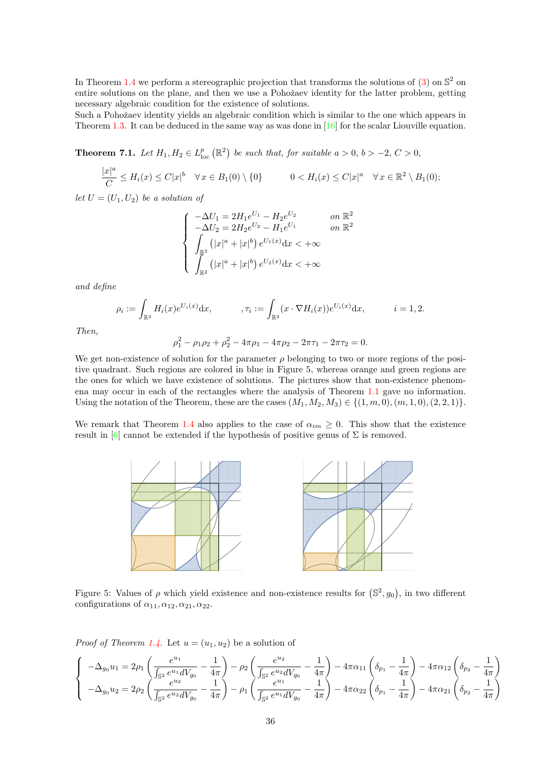In Theorem [1.4](#page-4-1) we perform a stereographic projection that transforms the solutions of  $(3)$  on  $\mathbb{S}^2$  on entire solutions on the plane, and then we use a Pohožaev identity for the latter problem, getting necessary algebraic condition for the existence of solutions.

Such a Pohožaev identity yields an algebraic condition which is similar to the one which appears in Theorem [1.3.](#page-4-0) It can be deduced in the same way as was done in [\[16\]](#page-39-8) for the scalar Liouville equation.

<span id="page-35-0"></span>**Theorem 7.1.** Let  $H_1, H_2 \in L^p_{loc}(\mathbb{R}^2)$  be such that, for suitable  $a > 0, b > -2, C > 0$ ,

$$
\frac{|x|^a}{C} \leq H_i(x) \leq C|x|^b \quad \forall x \in B_1(0) \setminus \{0\} \qquad 0 < H_i(x) \leq C|x|^a \quad \forall x \in \mathbb{R}^2 \setminus B_1(0);
$$

let  $U = (U_1, U_2)$  be a solution of

$$
\begin{cases}\n-\Delta U_1 = 2H_1 e^{U_1} - H_2 e^{U_2} & \text{on } \mathbb{R}^2 \\
-\Delta U_2 = 2H_2 e^{U_2} - H_1 e^{U_1} & \text{on } \mathbb{R}^2 \\
\int_{\mathbb{R}^2} (|x|^a + |x|^b) e^{U_1(x)} dx < +\infty \\
\int_{\mathbb{R}^2} (|x|^a + |x|^b) e^{U_2(x)} dx < +\infty\n\end{cases}
$$

and define

$$
\rho_i := \int_{\mathbb{R}^2} H_i(x) e^{U_i(x)} dx, \qquad \qquad , \tau_i := \int_{\mathbb{R}^2} (x \cdot \nabla H_i(x)) e^{U_i(x)} dx, \qquad i = 1, 2.
$$

Then,

$$
\rho_1^2 - \rho_1 \rho_2 + \rho_2^2 - 4\pi \rho_1 - 4\pi \rho_2 - 2\pi \tau_1 - 2\pi \tau_2 = 0.
$$

We get non-existence of solution for the parameter  $\rho$  belonging to two or more regions of the positive quadrant. Such regions are colored in blue in Figure 5, whereas orange and green regions are the ones for which we have existence of solutions. The pictures show that non-existence phenomena may occur in each of the rectangles where the analysis of Theorem [1.1](#page-3-1) gave no information. Using the notation of the Theorem, these are the cases  $(M_1, M_2, M_3) \in \{(1, m, 0), (m, 1, 0), (2, 2, 1)\}.$ 

We remark that Theorem [1.4](#page-4-1) also applies to the case of  $\alpha_{im} \geq 0$ . This show that the existence result in [\[6\]](#page-39-15) cannot be extended if the hypothesis of positive genus of  $\Sigma$  is removed.



Figure 5: Values of  $\rho$  which yield existence and non-existence results for  $(\mathbb{S}^2, g_0)$ , in two different configurations of  $\alpha_{11}, \alpha_{12}, \alpha_{21}, \alpha_{22}$ .

*Proof of Theorem [1.4.](#page-4-1)* Let  $u = (u_1, u_2)$  be a solution of

$$
\begin{cases}\n-\Delta_{g_0} u_1 = 2\rho_1 \left( \frac{e^{u_1}}{\int_{\mathbb{S}^2} e^{u_1} dV_{g_0}} - \frac{1}{4\pi} \right) - \rho_2 \left( \frac{e^{u_2}}{\int_{\mathbb{S}^2} e^{u_2} dV_{g_0}} - \frac{1}{4\pi} \right) - 4\pi \alpha_{11} \left( \delta_{p_1} - \frac{1}{4\pi} \right) - 4\pi \alpha_{12} \left( \delta_{p_2} - \frac{1}{4\pi} \right) \\
-\Delta_{g_0} u_2 = 2\rho_2 \left( \frac{e^{u_2}}{\int_{\mathbb{S}^2} e^{u_2} dV_{g_0}} - \frac{1}{4\pi} \right) - \rho_1 \left( \frac{e^{u_1}}{\int_{\mathbb{S}^2} e^{u_1} dV_{g_0}} - \frac{1}{4\pi} \right) - 4\pi \alpha_{22} \left( \delta_{p_1} - \frac{1}{4\pi} \right) - 4\pi \alpha_{21} \left( \delta_{p_2} - \frac{1}{4\pi} \right)\n\end{cases}
$$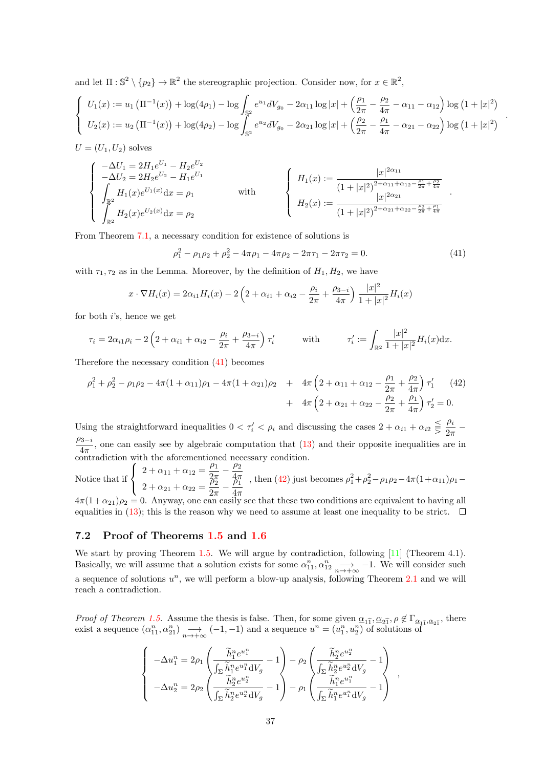and let  $\Pi: \mathbb{S}^2 \setminus \{p_2\} \to \mathbb{R}^2$  the stereographic projection. Consider now, for  $x \in \mathbb{R}^2$ ,

$$
\begin{cases}\nU_1(x) := u_1 \left( \Pi^{-1}(x) \right) + \log(4\rho_1) - \log \int_{\mathbb{S}^2} e^{u_1} dV_{g_0} - 2\alpha_{11} \log |x| + \left( \frac{\rho_1}{2\pi} - \frac{\rho_2}{4\pi} - \alpha_{11} - \alpha_{12} \right) \log \left( 1 + |x|^2 \right) \\
U_2(x) := u_2 \left( \Pi^{-1}(x) \right) + \log(4\rho_2) - \log \int_{\mathbb{S}^2} e^{u_2} dV_{g_0} - 2\alpha_{21} \log |x| + \left( \frac{\rho_2}{2\pi} - \frac{\rho_1}{4\pi} - \alpha_{21} - \alpha_{22} \right) \log \left( 1 + |x|^2 \right)\n\end{cases}
$$

 $U = (U_1, U_2)$  solves

$$
\begin{cases}\n-\Delta U_1 = 2H_1e^{U_1} - H_2e^{U_2} \\
-\Delta U_2 = 2H_2e^{U_2} - H_1e^{U_1} \\
\int_{\mathbb{R}^2} H_1(x)e^{U_1(x)}dx = \rho_1\n\end{cases}\n\text{ with }\n\begin{cases}\nH_1(x) := \frac{|x|^{2\alpha_{11}}}{(1+|x|^2)^{2+\alpha_{11}+\alpha_{12}-\frac{\rho_1}{2\pi}+\frac{\rho_2}{4\pi}} \\
H_2(x) := \frac{|x|^{2\alpha_{21}}}{(1+|x|^2)^{2+\alpha_{21}+\alpha_{22}-\frac{\rho_2}{2\pi}+\frac{\rho_1}{4\pi}}}\n\end{cases}
$$

From Theorem [7.1,](#page-35-0) a necessary condition for existence of solutions is

<span id="page-36-0"></span>
$$
\rho_1^2 - \rho_1 \rho_2 + \rho_2^2 - 4\pi \rho_1 - 4\pi \rho_2 - 2\pi \tau_1 - 2\pi \tau_2 = 0. \tag{41}
$$

.

.

with  $\tau_1, \tau_2$  as in the Lemma. Moreover, by the definition of  $H_1, H_2$ , we have

$$
x \cdot \nabla H_i(x) = 2\alpha_{i1} H_i(x) - 2\left(2 + \alpha_{i1} + \alpha_{i2} - \frac{\rho_i}{2\pi} + \frac{\rho_{3-i}}{4\pi}\right) \frac{|x|^2}{1+|x|^2} H_i(x)
$$

for both  $i$ 's, hence we get

$$
\tau_i = 2\alpha_{i1}\rho_i - 2\left(2 + \alpha_{i1} + \alpha_{i2} - \frac{\rho_i}{2\pi} + \frac{\rho_{3-i}}{4\pi}\right)\tau'_i \quad \text{with} \quad \tau'_i := \int_{\mathbb{R}^2} \frac{|x|^2}{1+|x|^2} H_i(x) \, dx.
$$

Therefore the necessary condition [\(41\)](#page-36-0) becomes

<span id="page-36-1"></span>
$$
\rho_1^2 + \rho_2^2 - \rho_1 \rho_2 - 4\pi (1 + \alpha_{11})\rho_1 - 4\pi (1 + \alpha_{21})\rho_2 + 4\pi \left(2 + \alpha_{11} + \alpha_{12} - \frac{\rho_1}{2\pi} + \frac{\rho_2}{4\pi}\right) \tau_1' \tag{42}
$$

$$
+ 4\pi \left(2 + \alpha_{21} + \alpha_{22} - \frac{\rho_2}{2\pi} + \frac{\rho_1}{4\pi}\right) \tau_2' = 0.
$$

Using the straightforward inequalities  $0 < \tau'_i < \rho_i$  and discussing the cases  $2 + \alpha_{i1} + \alpha_{i2} \leq \frac{\rho_i}{2\pi}$  $rac{r_i}{2\pi}$  –  $\frac{\rho_{3-i}}{4}$ , one can easily see by algebraic computation that [\(13\)](#page-4-4) and their opposite inequalities are in  $4\pi$ , the can cash, see by algebraic comparation mate.

Notice that if  $\sqrt{ }$  $\int$  $\mathcal{L}$  $2 + \alpha_{11} + \alpha_{12} = \frac{\rho_1}{2}$  $\frac{\rho_1}{2\pi} - \frac{\rho_2}{4\pi}$  $4\pi$  $2 + \alpha_{21} + \alpha_{22} = \frac{\hat{p}_2^2}{2}$  $\frac{\hat{\rho}_2^n}{2\pi}-\frac{\hat{\rho}_1^n}{4\pi}$  $\frac{4\pi}{4}$ , then [\(42\)](#page-36-1) just becomes  $\rho_1^2 + \rho_2^2 - \rho_1 \rho_2 - 4\pi (1 + \alpha_{11}) \rho_1 -$ 

 $4\pi(1+\alpha_{21})\rho_2 = 0$ . Anyway, one can easily see that these two conditions are equivalent to having all equalities in [\(13\)](#page-4-4); this is the reason why we need to assume at least one inequality to be strict.  $\Box$ 

#### 7.2 Proof of Theorems [1.5](#page-5-1) and [1.6](#page-5-2)

We start by proving Theorem [1.5.](#page-5-1) We will argue by contradiction, following [\[11\]](#page-39-12) (Theorem 4.1). Basically, we will assume that a solution exists for some  $\alpha_{11}^n, \alpha_{12}^n \longrightarrow -1$ . We will consider such a sequence of solutions  $u^n$ , we will perform a blow-up analysis, following Theorem [2.1](#page-7-0) and we will reach a contradiction.

*Proof of Theorem [1.5.](#page-5-1)* Assume the thesis is false. Then, for some given  $\underline{\alpha}_{1\hat{1}}, \underline{\alpha}_{2\hat{1}}, \rho \notin \Gamma_{\underline{\alpha}_{1\hat{1}}, \underline{\alpha}_{2\hat{1}}}$ , there exist a sequence  $(\alpha_{11}^n, \alpha_{21}^n) \longrightarrow_{n \to +\infty} (-1, -1)$  and a sequence  $u^n = (u_1^n, u_2^n)$  of solutions of

$$
\left\{\begin{array}{l} -\Delta u_1^n=2\rho_1\left(\frac{\widetilde{h}_1^n e^{u_1^n}}{\int_{\Sigma}\widetilde{h}_1^n e^{u_1^n}\mathrm{d}V_g}-1\right)-\rho_2\left(\frac{\widetilde{h}_2^n e^{u_2^n}}{\int_{\Sigma}\widetilde{h}_2^n e^{u_2^n}\mathrm{d}V_g}-1\right)\\ -\Delta u_2^n=2\rho_2\left(\frac{\widetilde{h}_2^n e^{u_2^n}}{\int_{\Sigma}\widetilde{h}_2^n e^{u_2^n}\mathrm{d}V_g}-1\right)-\rho_1\left(\frac{\widetilde{h}_1^n e^{u_1^n}}{\int_{\Sigma}\widetilde{h}_1^n e^{u_1^n}\mathrm{d}V_g}-1\right)\end{array}\right.,
$$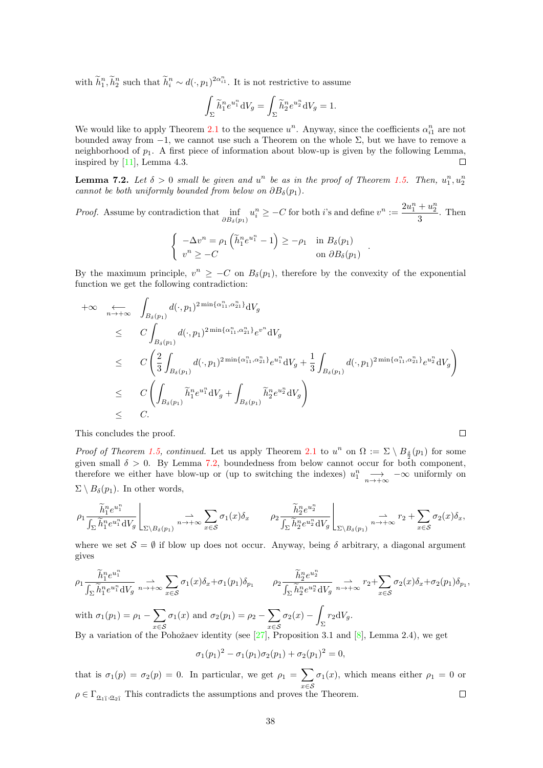with  $\tilde{h}_1^n, \tilde{h}_2^n$  such that  $\tilde{h}_i^n \sim d(\cdot, p_1)^{2\alpha_{i1}^n}$ . It is not restrictive to assume

$$
\int_{\Sigma} \widetilde{h}_1^n e^{u_1^n} \,dV_g = \int_{\Sigma} \widetilde{h}_2^n e^{u_2^n} \,dV_g = 1.
$$

We would like to apply Theorem [2.1](#page-7-0) to the sequence  $u^n$ . Anyway, since the coefficients  $\alpha_{i1}^n$  are not bounded away from  $-1$ , we cannot use such a Theorem on the whole  $\Sigma$ , but we have to remove a neighborhood of  $p_1$ . A first piece of information about blow-up is given by the following Lemma, inspired by [\[11\]](#page-39-12), Lemma 4.3.  $\Box$ 

<span id="page-37-0"></span>**Lemma 7.2.** Let  $\delta > 0$  small be given and  $u^n$  be as in the proof of Theorem [1.5.](#page-5-1) Then,  $u_1^n, u_2^n$ cannot be both uniformly bounded from below on  $\partial B_\delta(p_1)$ .

*Proof.* Assume by contradiction that  $\inf_{\partial B_\delta(p_1)} u_i^n \geq -C$  for both i's and define  $v^n := \frac{2u_1^n + u_2^n}{3}$  $\frac{1}{3}$ . Then

$$
\begin{cases}\n-\Delta v^n = \rho_1 \left( \widetilde{h}_1^n e^{u_1^n} - 1 \right) \ge -\rho_1 & \text{in } B_\delta(p_1) \\
v^n \ge -C & \text{on } \partial B_\delta(p_1)\n\end{cases}
$$

.

By the maximum principle,  $v^n \geq -C$  on  $B_\delta(p_1)$ , therefore by the convexity of the exponential function we get the following contradiction:

$$
+\infty \quad \underset{n\to+\infty}{\longleftrightarrow} \quad \int_{B_{\delta}(p_1)} d(\cdot, p_1)^{2\min\{\alpha_{11}^n, \alpha_{21}^n\}} dV_g
$$
  
\n
$$
\leq C \int_{B_{\delta}(p_1)} d(\cdot, p_1)^{2\min\{\alpha_{11}^n, \alpha_{21}^n\}} e^{v^n} dV_g
$$
  
\n
$$
\leq C \left(\frac{2}{3} \int_{B_{\delta}(p_1)} d(\cdot, p_1)^{2\min\{\alpha_{11}^n, \alpha_{21}^n\}} e^{u_1^n} dV_g + \frac{1}{3} \int_{B_{\delta}(p_1)} d(\cdot, p_1)^{2\min\{\alpha_{11}^n, \alpha_{21}^n\}} e^{u_2^n} dV_g\right)
$$
  
\n
$$
\leq C \left(\int_{B_{\delta}(p_1)} \widetilde{h}_1^n e^{u_1^n} dV_g + \int_{B_{\delta}(p_1)} \widetilde{h}_2^n e^{u_2^n} dV_g\right)
$$
  
\n
$$
\leq C.
$$

This concludes the proof.

*Proof of Theorem [1.5,](#page-5-1) continued.* Let us apply Theorem [2.1](#page-7-0) to  $u^n$  on  $\Omega := \Sigma \setminus B_{\frac{\delta}{2}}(p_1)$  for some given small  $\delta > 0$ . By Lemma [7.2,](#page-37-0) boundedness from below cannot occur for both component, therefore we either have blow-up or (up to switching the indexes)  $u_1^n \longrightarrow -\infty$  uniformly on  $\Sigma \setminus B_\delta(p_1)$ . In other words,

$$
\rho_1 \frac{\widetilde{h}_1^n e^{u_1^n}}{\int_{\Sigma} \widetilde{h}_1^n e^{u_1^n} dV_g} \bigg|_{\Sigma \backslash B_\delta(p_1)} \xrightarrow{n \to +\infty} \sum_{x \in \mathcal{S}} \sigma_1(x) \delta_x \qquad \rho_2 \frac{\widetilde{h}_2^n e^{u_2^n}}{\int_{\Sigma} \widetilde{h}_2^n e^{u_2^n} dV_g} \bigg|_{\Sigma \backslash B_\delta(p_1)} \xrightarrow{n \to +\infty} r_2 + \sum_{x \in \mathcal{S}} \sigma_2(x) \delta_x,
$$

where we set  $\mathcal{S} = \emptyset$  if blow up does not occur. Anyway, being  $\delta$  arbitrary, a diagonal argument gives

$$
\rho_1 \frac{\widetilde{h}_1^n e^{u_1^n}}{\int_{\Sigma} \widetilde{h}_1^n e^{u_1^n} dV_g} \xrightarrow[n \to +\infty]{} \sum_{x \in S} \sigma_1(x) \delta_x + \sigma_1(p_1) \delta_{p_1} \qquad \rho_2 \frac{\widetilde{h}_2^n e^{u_2^n}}{\int_{\Sigma} \widetilde{h}_2^n e^{u_2^n} dV_g} \xrightarrow[n \to +\infty]{} r_2 + \sum_{x \in S} \sigma_2(x) \delta_x + \sigma_2(p_1) \delta_{p_1},
$$

with  $\sigma_1(p_1) = \rho_1 - \sum$ x∈S  $\sigma_1(x)$  and  $\sigma_2(p_1) = \rho_2 - \sum$ x∈S  $\sigma_2(x)$  −  $\int_{\Sigma} r_2 \mathrm{d}V_g.$ 

By a variation of the Pohožaev identity (see  $[27]$ , Proposition 3.1 and  $[8]$ , Lemma 2.4), we get

$$
\sigma_1(p_1)^2 - \sigma_1(p_1)\sigma_2(p_1) + \sigma_2(p_1)^2 = 0,
$$

that is  $\sigma_1(p) = \sigma_2(p) = 0$ . In particular, we get  $\rho_1 = \sum$ x∈S  $\sigma_1(x)$ , which means either  $\rho_1 = 0$  or  $\rho \in \Gamma_{\underline{\alpha}_{1\hat{1}}, \underline{\alpha}_{2\hat{1}}}$  This contradicts the assumptions and proves the Theorem.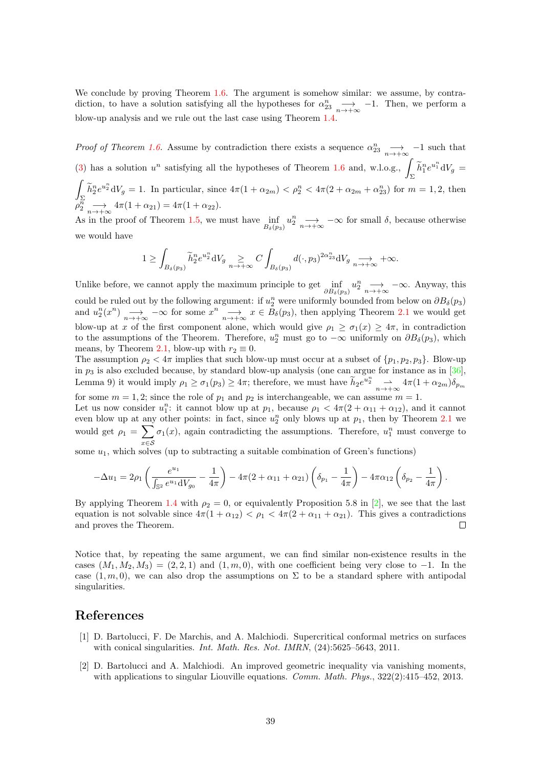We conclude by proving Theorem [1.6.](#page-5-2) The argument is somehow similar: we assume, by contradiction, to have a solution satisfying all the hypotheses for  $\alpha_{23}^n \longrightarrow -1$ . Then, we perform a blow-up analysis and we rule out the last case using Theorem [1.4.](#page-4-1)

*Proof of Theorem [1.6.](#page-5-2)* Assume by contradiction there exists a sequence  $\alpha_{23}^n \longrightarrow -1$  such that [\(3\)](#page-1-0) has a solution  $u^n$  satisfying all the hypotheses of Theorem [1.6](#page-5-2) and, w.l.o.g.,  $\int_{\nabla} \tilde{h}_1^n e^{u_1^n} dV_g =$  $\int \widetilde{L}n_e u_n^2 dV$  1. In particular, since  $4\pi(1 + \epsilon_n) \leq \epsilon^n \leq 4\pi(2 + \epsilon_n) + \epsilon^n$  ) for m  $\int_{\Sigma} \tilde{h}_2^n e^{u_2^n} dV_g = 1$ . In particular, since  $4\pi (1 + \alpha_{2m}) < \rho_2^n < 4\pi (2 + \alpha_{2m} + \alpha_{23}^n)$  for  $m = 1, 2$ , then  $\tilde{\varphi}_2^{\vec{n}} \longrightarrow_{n \to +\infty} 4\pi (1 + \alpha_{21}) = 4\pi (1 + \alpha_{22}).$ 

As in the proof of Theorem [1.5,](#page-5-1) we must have  $\inf_{B_{\delta}(p_3)} u_2^n \longrightarrow -\infty$  for small  $\delta$ , because otherwise we would have

$$
1 \geq \int_{B_{\delta}(p_3)} \widetilde{h}_2^n e^{u_2^n} \mathrm{d}V_g \underset{n \to +\infty}{\geq} C \int_{B_{\delta}(p_3)} d(\cdot, p_3)^{2\alpha_{23}^n} \mathrm{d}V_g \underset{n \to +\infty}{\longrightarrow} +\infty.
$$

Unlike before, we cannot apply the maximum principle to get  $\inf_{\partial B_\delta(p_3)} u_2^n \longrightarrow -\infty$ . Anyway, this could be ruled out by the following argument: if  $u_2^n$  were uniformly bounded from below on  $\partial B_\delta(p_3)$ and  $u_2^n(x^n) \longrightarrow_{n \to +\infty} -\infty$  for some  $x^n \longrightarrow_{n \to +\infty} x \in B_\delta(p_3)$ , then applying Theorem [2.1](#page-7-0) we would get blow-up at x of the first component alone, which would give  $\rho_1 \geq \sigma_1(x) \geq 4\pi$ , in contradiction to the assumptions of the Theorem. Therefore,  $u_2^n$  must go to  $-\infty$  uniformly on  $\partial B_\delta(p_3)$ , which means, by Theorem 2.[1,](#page-7-0) blow-up with  $r_2 \equiv 0$ .

The assumption  $\rho_2 < 4\pi$  implies that such blow-up must occur at a subset of  $\{p_1, p_2, p_3\}$ . Blow-up in  $p_3$  is also excluded because, by standard blow-up analysis (one can argue for instance as in [\[36\]](#page-40-17), Lemma 9) it would imply  $\rho_1 \ge \sigma_1(p_3) \ge 4\pi$ ; therefore, we must have  $\widetilde{h}_2 e^{u_2^n} \longrightarrow \pi(1 + \alpha_{2m}) \delta_{p_m}$ for some  $m = 1, 2$ ; since the role of  $p_1$  and  $p_2$  is interchangeable, we can assume  $m = 1$ .

Let us now consider  $u_1^n$ : it cannot blow up at  $p_1$ , because  $\rho_1 < 4\pi(2 + \alpha_{11} + \alpha_{12})$ , and it cannot Let us now consider  $u_1$ . It cannot blow up at  $p_1$ , because  $p_1 < 4n(2 + \alpha_{11} + \alpha_{12})$ , and it cannot<br>even blow up at any other points: in fact, since  $u_2^n$  only blows up at  $p_1$ , then by Theorem [2.1](#page-7-0) we would get  $\rho_1 = \sum$ x∈S  $\sigma_1(x)$ , again contradicting the assumptions. Therefore,  $u_1^n$  must converge to

some  $u_1$ , which solves (up to subtracting a suitable combination of Green's functions)

$$
-\Delta u_1 = 2\rho_1 \left( \frac{e^{u_1}}{\int_{\mathbb{S}^2} e^{u_1} dV_{g_0}} - \frac{1}{4\pi} \right) - 4\pi (2 + \alpha_{11} + \alpha_{21}) \left( \delta_{p_1} - \frac{1}{4\pi} \right) - 4\pi \alpha_{12} \left( \delta_{p_2} - \frac{1}{4\pi} \right).
$$

By applying Theorem [1.4](#page-4-1) with  $\rho_2 = 0$ , or equivalently Proposition 5.8 in [\[2\]](#page-38-1), we see that the last equation is not solvable since  $4\pi(1+\alpha_{12}) < \rho_1 < 4\pi(2+\alpha_{11}+\alpha_{21})$ . This gives a contradictions and proves the Theorem.  $\Box$ 

Notice that, by repeating the same argument, we can find similar non-existence results in the cases  $(M_1, M_2, M_3) = (2, 2, 1)$  and  $(1, m, 0)$ , with one coefficient being very close to -1. In the case  $(1, m, 0)$ , we can also drop the assumptions on  $\Sigma$  to be a standard sphere with antipodal singularities.

#### References

- <span id="page-38-0"></span>[1] D. Bartolucci, F. De Marchis, and A. Malchiodi. Supercritical conformal metrics on surfaces with conical singularities. *Int. Math. Res. Not. IMRN*,  $(24):5625-5643, 2011$ .
- <span id="page-38-1"></span>[2] D. Bartolucci and A. Malchiodi. An improved geometric inequality via vanishing moments, with applications to singular Liouville equations. *Comm. Math. Phys.*,  $322(2):415-452$ , 2013.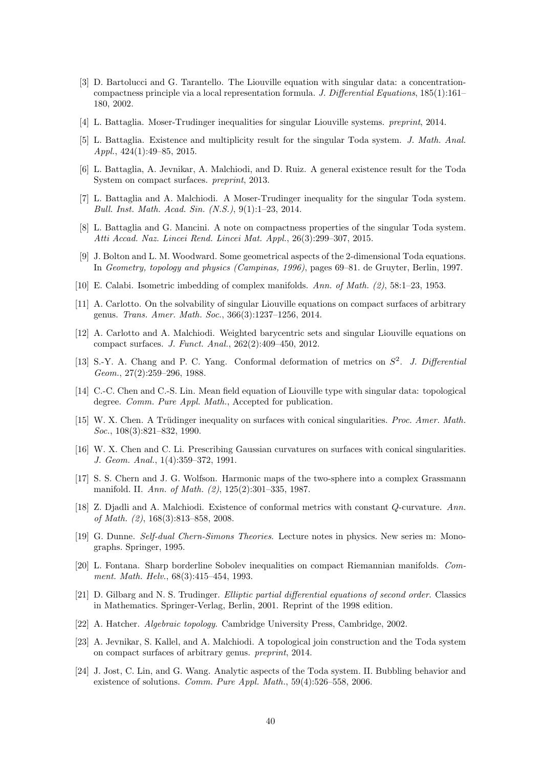- <span id="page-39-11"></span>[3] D. Bartolucci and G. Tarantello. The Liouville equation with singular data: a concentrationcompactness principle via a local representation formula. J. Differential Equations, 185(1):161– 180, 2002.
- <span id="page-39-5"></span>[4] L. Battaglia. Moser-Trudinger inequalities for singular Liouville systems. preprint, 2014.
- <span id="page-39-16"></span>[5] L. Battaglia. Existence and multiplicity result for the singular Toda system. J. Math. Anal. Appl., 424(1):49–85, 2015.
- <span id="page-39-15"></span>[6] L. Battaglia, A. Jevnikar, A. Malchiodi, and D. Ruiz. A general existence result for the Toda System on compact surfaces. preprint, 2013.
- <span id="page-39-4"></span>[7] L. Battaglia and A. Malchiodi. A Moser-Trudinger inequality for the singular Toda system. Bull. Inst. Math. Acad. Sin. (N.S.), 9(1):1–23, 2014.
- <span id="page-39-18"></span>[8] L. Battaglia and G. Mancini. A note on compactness properties of the singular Toda system. Atti Accad. Naz. Lincei Rend. Lincei Mat. Appl., 26(3):299–307, 2015.
- <span id="page-39-2"></span>[9] J. Bolton and L. M. Woodward. Some geometrical aspects of the 2-dimensional Toda equations. In Geometry, topology and physics (Campinas, 1996), pages 69–81. de Gruyter, Berlin, 1997.
- <span id="page-39-0"></span>[10] E. Calabi. Isometric imbedding of complex manifolds. Ann. of Math. (2), 58:1–23, 1953.
- <span id="page-39-12"></span>[11] A. Carlotto. On the solvability of singular Liouville equations on compact surfaces of arbitrary genus. Trans. Amer. Math. Soc., 366(3):1237–1256, 2014.
- <span id="page-39-9"></span>[12] A. Carlotto and A. Malchiodi. Weighted barycentric sets and singular Liouville equations on compact surfaces. J. Funct. Anal., 262(2):409–450, 2012.
- <span id="page-39-20"></span>[13] S.-Y. A. Chang and P. C. Yang. Conformal deformation of metrics on  $S^2$ . J. Differential Geom., 27(2):259–296, 1988.
- <span id="page-39-13"></span>[14] C.-C. Chen and C.-S. Lin. Mean field equation of Liouville type with singular data: topological degree. *Comm. Pure Appl. Math.*, Accepted for publication.
- <span id="page-39-7"></span>[15] W. X. Chen. A Trüdinger inequality on surfaces with conical singularities. Proc. Amer. Math. Soc., 108(3):821–832, 1990.
- <span id="page-39-8"></span>[16] W. X. Chen and C. Li. Prescribing Gaussian curvatures on surfaces with conical singularities. J. Geom. Anal., 1(4):359–372, 1991.
- <span id="page-39-1"></span>[17] S. S. Chern and J. G. Wolfson. Harmonic maps of the two-sphere into a complex Grassmann manifold. II. Ann. of Math. (2), 125(2):301–335, 1987.
- <span id="page-39-10"></span>[18] Z. Djadli and A. Malchiodi. Existence of conformal metrics with constant Q-curvature. Ann. of Math. (2), 168(3):813–858, 2008.
- <span id="page-39-3"></span>[19] G. Dunne. Self-dual Chern-Simons Theories. Lecture notes in physics. New series m: Monographs. Springer, 1995.
- <span id="page-39-6"></span>[20] L. Fontana. Sharp borderline Sobolev inequalities on compact Riemannian manifolds. Comment. Math. Helv., 68(3):415–454, 1993.
- <span id="page-39-21"></span>[21] D. Gilbarg and N. S. Trudinger. Elliptic partial differential equations of second order. Classics in Mathematics. Springer-Verlag, Berlin, 2001. Reprint of the 1998 edition.
- <span id="page-39-17"></span>[22] A. Hatcher. Algebraic topology. Cambridge University Press, Cambridge, 2002.
- <span id="page-39-14"></span>[23] A. Jevnikar, S. Kallel, and A. Malchiodi. A topological join construction and the Toda system on compact surfaces of arbitrary genus. preprint, 2014.
- <span id="page-39-19"></span>[24] J. Jost, C. Lin, and G. Wang. Analytic aspects of the Toda system. II. Bubbling behavior and existence of solutions. Comm. Pure Appl. Math., 59(4):526–558, 2006.